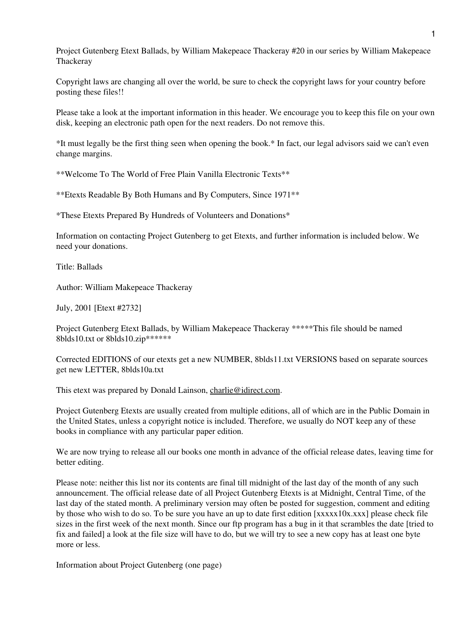Project Gutenberg Etext Ballads, by William Makepeace Thackeray #20 in our series by William Makepeace **Thackeray** 

Copyright laws are changing all over the world, be sure to check the copyright laws for your country before posting these files!!

Please take a look at the important information in this header. We encourage you to keep this file on your own disk, keeping an electronic path open for the next readers. Do not remove this.

\*It must legally be the first thing seen when opening the book.\* In fact, our legal advisors said we can't even change margins.

\*\*Welcome To The World of Free Plain Vanilla Electronic Texts\*\*

\*\*Etexts Readable By Both Humans and By Computers, Since 1971\*\*

\*These Etexts Prepared By Hundreds of Volunteers and Donations\*

Information on contacting Project Gutenberg to get Etexts, and further information is included below. We need your donations.

Title: Ballads

Author: William Makepeace Thackeray

July, 2001 [Etext #2732]

Project Gutenberg Etext Ballads, by William Makepeace Thackeray \*\*\*\*\*This file should be named 8blds10.txt or 8blds10.zip\*\*\*\*\*\*

Corrected EDITIONS of our etexts get a new NUMBER, 8blds11.txt VERSIONS based on separate sources get new LETTER, 8blds10a.txt

This etext was prepared by Donald Lainson, [charlie@idirect.com](mailto:charlie@idirect.com).

Project Gutenberg Etexts are usually created from multiple editions, all of which are in the Public Domain in the United States, unless a copyright notice is included. Therefore, we usually do NOT keep any of these books in compliance with any particular paper edition.

We are now trying to release all our books one month in advance of the official release dates, leaving time for better editing.

Please note: neither this list nor its contents are final till midnight of the last day of the month of any such announcement. The official release date of all Project Gutenberg Etexts is at Midnight, Central Time, of the last day of the stated month. A preliminary version may often be posted for suggestion, comment and editing by those who wish to do so. To be sure you have an up to date first edition [xxxxx10x.xxx] please check file sizes in the first week of the next month. Since our ftp program has a bug in it that scrambles the date [tried to fix and failed] a look at the file size will have to do, but we will try to see a new copy has at least one byte more or less.

Information about Project Gutenberg (one page)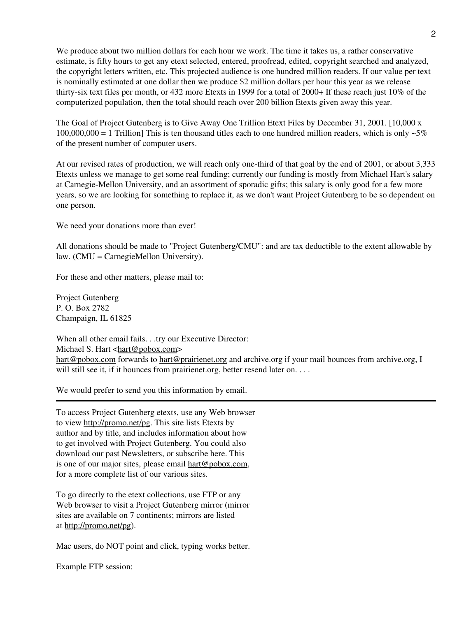We produce about two million dollars for each hour we work. The time it takes us, a rather conservative estimate, is fifty hours to get any etext selected, entered, proofread, edited, copyright searched and analyzed, the copyright letters written, etc. This projected audience is one hundred million readers. If our value per text is nominally estimated at one dollar then we produce \$2 million dollars per hour this year as we release thirty-six text files per month, or 432 more Etexts in 1999 for a total of 2000+ If these reach just 10% of the computerized population, then the total should reach over 200 billion Etexts given away this year.

The Goal of Project Gutenberg is to Give Away One Trillion Etext Files by December 31, 2001. [10,000 x  $100,000,000 = 1$  Trillion] This is ten thousand titles each to one hundred million readers, which is only  $\sim 5\%$ of the present number of computer users.

At our revised rates of production, we will reach only one-third of that goal by the end of 2001, or about 3,333 Etexts unless we manage to get some real funding; currently our funding is mostly from Michael Hart's salary at Carnegie-Mellon University, and an assortment of sporadic gifts; this salary is only good for a few more years, so we are looking for something to replace it, as we don't want Project Gutenberg to be so dependent on one person.

We need your donations more than ever!

All donations should be made to "Project Gutenberg/CMU": and are tax deductible to the extent allowable by law. (CMU = CarnegieMellon University).

For these and other matters, please mail to:

Project Gutenberg P. O. Box 2782 Champaign, IL 61825

When all other email fails. . .try our Executive Director: Michael S. Hart <[hart@pobox.com](mailto:hart@pobox.com)> [hart@pobox.com](mailto:hart@pobox.com) forwards to [hart@prairienet.org](mailto:hart@prairienet.org) and archive.org if your mail bounces from archive.org, I will still see it, if it bounces from prairienet.org, better resend later on....

We would prefer to send you this information by email.

To access Project Gutenberg etexts, use any Web browser to view [http://promo.net/pg.](http://promo.net/pg) This site lists Etexts by author and by title, and includes information about how to get involved with Project Gutenberg. You could also download our past Newsletters, or subscribe here. This is one of our major sites, please email [hart@pobox.com](mailto:hart@pobox.com), for a more complete list of our various sites.

To go directly to the etext collections, use FTP or any Web browser to visit a Project Gutenberg mirror (mirror sites are available on 7 continents; mirrors are listed at [http://promo.net/pg\)](http://promo.net/pg).

Mac users, do NOT point and click, typing works better.

Example FTP session: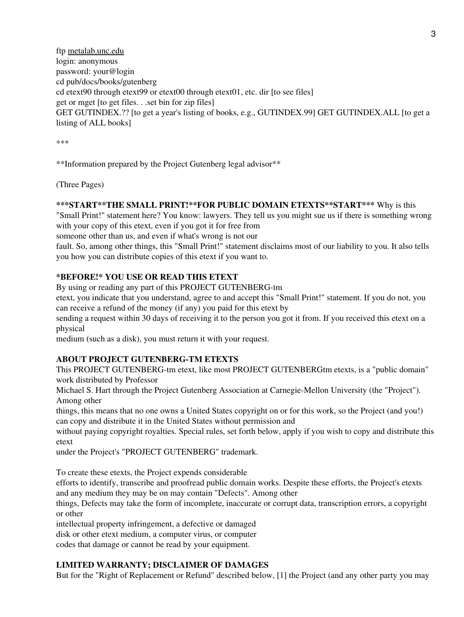ftp [metalab.unc.edu](ftp://metalab.unc.edu/) login: anonymous password: your@login cd pub/docs/books/gutenberg cd etext90 through etext99 or etext00 through etext01, etc. dir [to see files] get or mget [to get files. . .set bin for zip files] GET GUTINDEX.?? [to get a year's listing of books, e.g., GUTINDEX.99] GET GUTINDEX.ALL [to get a listing of ALL books]

\*\*\*

\*\*Information prepared by the Project Gutenberg legal advisor\*\*

(Three Pages)

## **\*\*\*START\*\*THE SMALL PRINT!\*\*FOR PUBLIC DOMAIN ETEXTS\*\*START\*\*\*** Why is this

"Small Print!" statement here? You know: lawyers. They tell us you might sue us if there is something wrong with your copy of this etext, even if you got it for free from

someone other than us, and even if what's wrong is not our

fault. So, among other things, this "Small Print!" statement disclaims most of our liability to you. It also tells you how you can distribute copies of this etext if you want to.

## **\*BEFORE!\* YOU USE OR READ THIS ETEXT**

By using or reading any part of this PROJECT GUTENBERG-tm

etext, you indicate that you understand, agree to and accept this "Small Print!" statement. If you do not, you can receive a refund of the money (if any) you paid for this etext by

sending a request within 30 days of receiving it to the person you got it from. If you received this etext on a physical

medium (such as a disk), you must return it with your request.

## **ABOUT PROJECT GUTENBERG-TM ETEXTS**

This PROJECT GUTENBERG-tm etext, like most PROJECT GUTENBERGtm etexts, is a "public domain" work distributed by Professor

Michael S. Hart through the Project Gutenberg Association at Carnegie-Mellon University (the "Project"). Among other

things, this means that no one owns a United States copyright on or for this work, so the Project (and you!) can copy and distribute it in the United States without permission and

without paying copyright royalties. Special rules, set forth below, apply if you wish to copy and distribute this etext

under the Project's "PROJECT GUTENBERG" trademark.

To create these etexts, the Project expends considerable

efforts to identify, transcribe and proofread public domain works. Despite these efforts, the Project's etexts and any medium they may be on may contain "Defects". Among other

things, Defects may take the form of incomplete, inaccurate or corrupt data, transcription errors, a copyright or other

intellectual property infringement, a defective or damaged

disk or other etext medium, a computer virus, or computer

codes that damage or cannot be read by your equipment.

# **LIMITED WARRANTY; DISCLAIMER OF DAMAGES**

But for the "Right of Replacement or Refund" described below, [1] the Project (and any other party you may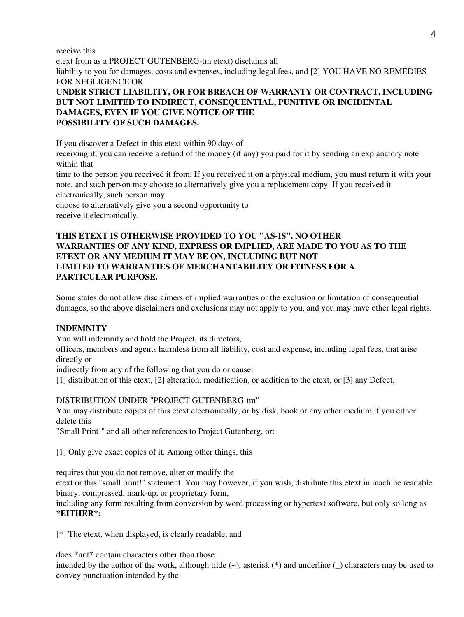receive this

etext from as a PROJECT GUTENBERG-tm etext) disclaims all liability to you for damages, costs and expenses, including legal fees, and [2] YOU HAVE NO REMEDIES FOR NEGLIGENCE OR **UNDER STRICT LIABILITY, OR FOR BREACH OF WARRANTY OR CONTRACT, INCLUDING**

# **BUT NOT LIMITED TO INDIRECT, CONSEQUENTIAL, PUNITIVE OR INCIDENTAL DAMAGES, EVEN IF YOU GIVE NOTICE OF THE POSSIBILITY OF SUCH DAMAGES.**

If you discover a Defect in this etext within 90 days of

receiving it, you can receive a refund of the money (if any) you paid for it by sending an explanatory note within that

time to the person you received it from. If you received it on a physical medium, you must return it with your note, and such person may choose to alternatively give you a replacement copy. If you received it electronically, such person may

choose to alternatively give you a second opportunity to receive it electronically.

# **THIS ETEXT IS OTHERWISE PROVIDED TO YOU "AS-IS". NO OTHER WARRANTIES OF ANY KIND, EXPRESS OR IMPLIED, ARE MADE TO YOU AS TO THE ETEXT OR ANY MEDIUM IT MAY BE ON, INCLUDING BUT NOT LIMITED TO WARRANTIES OF MERCHANTABILITY OR FITNESS FOR A PARTICULAR PURPOSE.**

Some states do not allow disclaimers of implied warranties or the exclusion or limitation of consequential damages, so the above disclaimers and exclusions may not apply to you, and you may have other legal rights.

# **INDEMNITY**

You will indemnify and hold the Project, its directors,

officers, members and agents harmless from all liability, cost and expense, including legal fees, that arise directly or

indirectly from any of the following that you do or cause:

[1] distribution of this etext, [2] alteration, modification, or addition to the etext, or [3] any Defect.

# DISTRIBUTION UNDER "PROJECT GUTENBERG-tm"

You may distribute copies of this etext electronically, or by disk, book or any other medium if you either delete this

"Small Print!" and all other references to Project Gutenberg, or:

[1] Only give exact copies of it. Among other things, this

requires that you do not remove, alter or modify the

etext or this "small print!" statement. You may however, if you wish, distribute this etext in machine readable binary, compressed, mark-up, or proprietary form,

including any form resulting from conversion by word processing or hypertext software, but only so long as **\*EITHER\*:**

[\*] The etext, when displayed, is clearly readable, and

does \*not\* contain characters other than those

intended by the author of the work, although tilde (~), asterisk (\*) and underline (\_) characters may be used to convey punctuation intended by the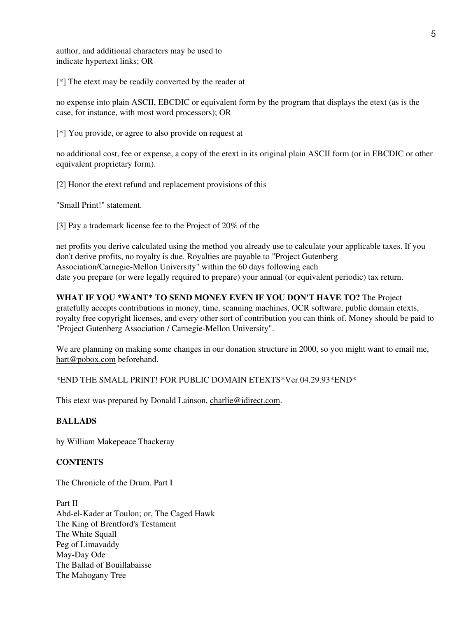author, and additional characters may be used to indicate hypertext links; OR

[\*] The etext may be readily converted by the reader at

no expense into plain ASCII, EBCDIC or equivalent form by the program that displays the etext (as is the case, for instance, with most word processors); OR

[\*] You provide, or agree to also provide on request at

no additional cost, fee or expense, a copy of the etext in its original plain ASCII form (or in EBCDIC or other equivalent proprietary form).

[2] Honor the etext refund and replacement provisions of this

"Small Print!" statement.

[3] Pay a trademark license fee to the Project of 20% of the

net profits you derive calculated using the method you already use to calculate your applicable taxes. If you don't derive profits, no royalty is due. Royalties are payable to "Project Gutenberg Association/Carnegie-Mellon University" within the 60 days following each date you prepare (or were legally required to prepare) your annual (or equivalent periodic) tax return.

# **WHAT IF YOU \*WANT\* TO SEND MONEY EVEN IF YOU DON'T HAVE TO?** The Project gratefully accepts contributions in money, time, scanning machines, OCR software, public domain etexts, royalty free copyright licenses, and every other sort of contribution you can think of. Money should be paid to "Project Gutenberg Association / Carnegie-Mellon University".

We are planning on making some changes in our donation structure in 2000, so you might want to email me, [hart@pobox.com](mailto:hart@pobox.com) beforehand.

\*END THE SMALL PRINT! FOR PUBLIC DOMAIN ETEXTS\*Ver.04.29.93\*END\*

This etext was prepared by Donald Lainson, [charlie@idirect.com](mailto:charlie@idirect.com).

# **BALLADS**

by William Makepeace Thackeray

## **CONTENTS**

The Chronicle of the Drum. Part I

Part II Abd-el-Kader at Toulon; or, The Caged Hawk The King of Brentford's Testament The White Squall Peg of Limavaddy May-Day Ode The Ballad of Bouillabaisse The Mahogany Tree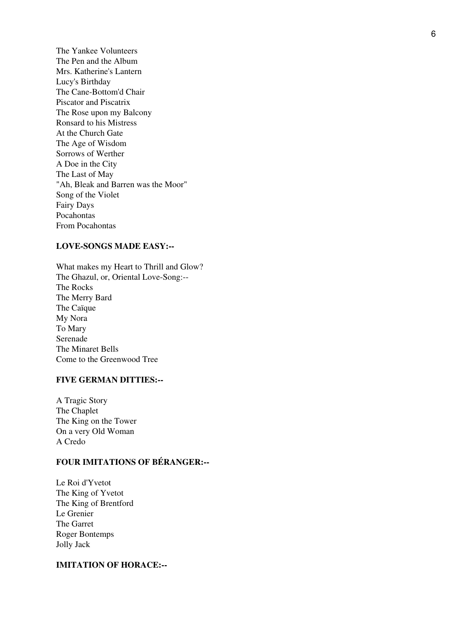The Yankee Volunteers The Pen and the Album Mrs. Katherine's Lantern Lucy's Birthday The Cane-Bottom'd Chair Piscator and Piscatrix The Rose upon my Balcony Ronsard to his Mistress At the Church Gate The Age of Wisdom Sorrows of Werther A Doe in the City The Last of May "Ah, Bleak and Barren was the Moor" Song of the Violet Fairy Days Pocahontas From Pocahontas

## **LOVE-SONGS MADE EASY:--**

What makes my Heart to Thrill and Glow? The Ghazul, or, Oriental Love-Song:-- The Rocks The Merry Bard The Caïque My Nora To Mary Serenade The Minaret Bells Come to the Greenwood Tree

## **FIVE GERMAN DITTIES:--**

A Tragic Story The Chaplet The King on the Tower On a very Old Woman A Credo

# **FOUR IMITATIONS OF BÉRANGER:--**

Le Roi d'Yvetot The King of Yvetot The King of Brentford Le Grenier The Garret Roger Bontemps Jolly Jack

#### **IMITATION OF HORACE:--**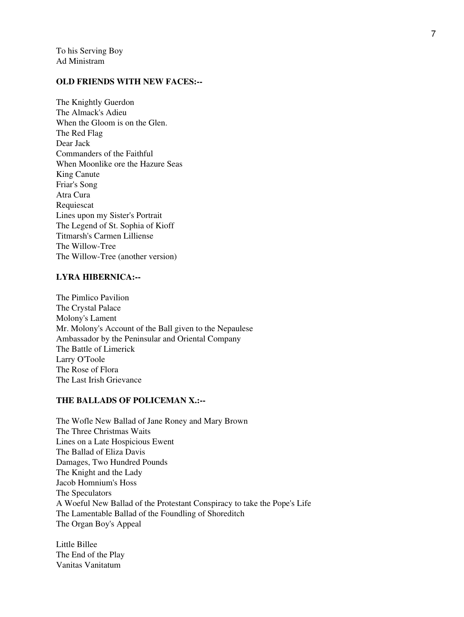To his Serving Boy Ad Ministram

### **OLD FRIENDS WITH NEW FACES:--**

The Knightly Guerdon The Almack's Adieu When the Gloom is on the Glen. The Red Flag Dear Jack Commanders of the Faithful When Moonlike ore the Hazure Seas King Canute Friar's Song Atra Cura Requiescat Lines upon my Sister's Portrait The Legend of St. Sophia of Kioff Titmarsh's Carmen Lilliense The Willow-Tree The Willow-Tree (another version)

#### **LYRA HIBERNICA:--**

The Pimlico Pavilion The Crystal Palace Molony's Lament Mr. Molony's Account of the Ball given to the Nepaulese Ambassador by the Peninsular and Oriental Company The Battle of Limerick Larry O'Toole The Rose of Flora The Last Irish Grievance

### **THE BALLADS OF POLICEMAN X.:--**

The Wofle New Ballad of Jane Roney and Mary Brown The Three Christmas Waits Lines on a Late Hospicious Ewent The Ballad of Eliza Davis Damages, Two Hundred Pounds The Knight and the Lady Jacob Homnium's Hoss The Speculators A Woeful New Ballad of the Protestant Conspiracy to take the Pope's Life The Lamentable Ballad of the Foundling of Shoreditch The Organ Boy's Appeal

Little Billee The End of the Play Vanitas Vanitatum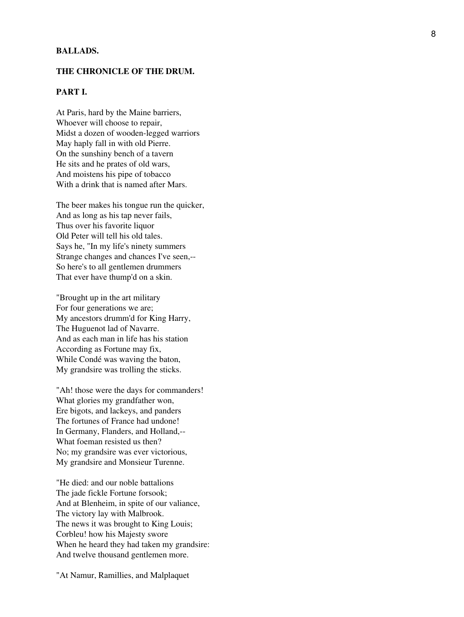#### **BALLADS.**

#### **THE CHRONICLE OF THE DRUM.**

## **PART I.**

At Paris, hard by the Maine barriers, Whoever will choose to repair, Midst a dozen of wooden-legged warriors May haply fall in with old Pierre. On the sunshiny bench of a tavern He sits and he prates of old wars, And moistens his pipe of tobacco With a drink that is named after Mars.

The beer makes his tongue run the quicker, And as long as his tap never fails, Thus over his favorite liquor Old Peter will tell his old tales. Says he, "In my life's ninety summers Strange changes and chances I've seen,-- So here's to all gentlemen drummers That ever have thump'd on a skin.

"Brought up in the art military For four generations we are; My ancestors drumm'd for King Harry, The Huguenot lad of Navarre. And as each man in life has his station According as Fortune may fix, While Condé was waving the baton, My grandsire was trolling the sticks.

"Ah! those were the days for commanders! What glories my grandfather won, Ere bigots, and lackeys, and panders The fortunes of France had undone! In Germany, Flanders, and Holland,-- What foeman resisted us then? No; my grandsire was ever victorious, My grandsire and Monsieur Turenne.

"He died: and our noble battalions The jade fickle Fortune forsook; And at Blenheim, in spite of our valiance, The victory lay with Malbrook. The news it was brought to King Louis; Corbleu! how his Majesty swore When he heard they had taken my grandsire: And twelve thousand gentlemen more.

"At Namur, Ramillies, and Malplaquet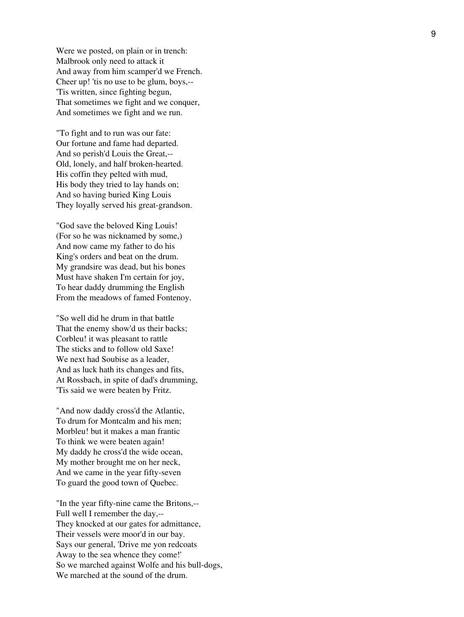Were we posted, on plain or in trench: Malbrook only need to attack it And away from him scamper'd we French. Cheer up! 'tis no use to be glum, boys,-- 'Tis written, since fighting begun, That sometimes we fight and we conquer, And sometimes we fight and we run.

"To fight and to run was our fate: Our fortune and fame had departed. And so perish'd Louis the Great,-- Old, lonely, and half broken-hearted. His coffin they pelted with mud, His body they tried to lay hands on; And so having buried King Louis They loyally served his great-grandson.

"God save the beloved King Louis! (For so he was nicknamed by some,) And now came my father to do his King's orders and beat on the drum. My grandsire was dead, but his bones Must have shaken I'm certain for joy, To hear daddy drumming the English From the meadows of famed Fontenoy.

"So well did he drum in that battle That the enemy show'd us their backs; Corbleu! it was pleasant to rattle The sticks and to follow old Saxe! We next had Soubise as a leader, And as luck hath its changes and fits, At Rossbach, in spite of dad's drumming, 'Tis said we were beaten by Fritz.

"And now daddy cross'd the Atlantic, To drum for Montcalm and his men; Morbleu! but it makes a man frantic To think we were beaten again! My daddy he cross'd the wide ocean, My mother brought me on her neck, And we came in the year fifty-seven To guard the good town of Quebec.

"In the year fifty-nine came the Britons,-- Full well I remember the day,-- They knocked at our gates for admittance, Their vessels were moor'd in our bay. Says our general, 'Drive me yon redcoats Away to the sea whence they come!' So we marched against Wolfe and his bull-dogs, We marched at the sound of the drum.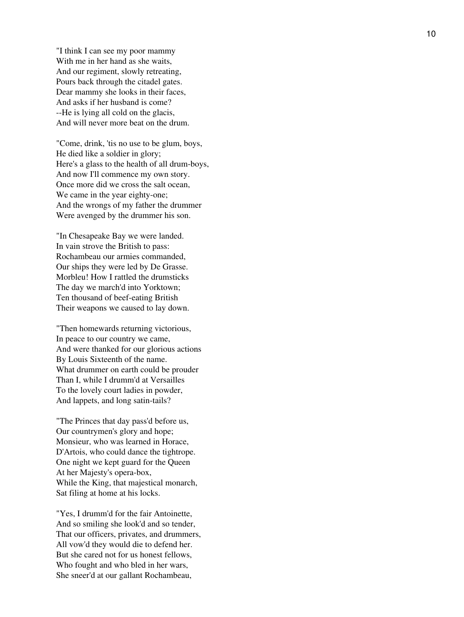"I think I can see my poor mammy With me in her hand as she waits, And our regiment, slowly retreating, Pours back through the citadel gates. Dear mammy she looks in their faces, And asks if her husband is come? --He is lying all cold on the glacis, And will never more beat on the drum.

"Come, drink, 'tis no use to be glum, boys, He died like a soldier in glory; Here's a glass to the health of all drum-boys, And now I'll commence my own story. Once more did we cross the salt ocean, We came in the year eighty-one; And the wrongs of my father the drummer Were avenged by the drummer his son.

"In Chesapeake Bay we were landed. In vain strove the British to pass: Rochambeau our armies commanded, Our ships they were led by De Grasse. Morbleu! How I rattled the drumsticks The day we march'd into Yorktown; Ten thousand of beef-eating British Their weapons we caused to lay down.

"Then homewards returning victorious, In peace to our country we came, And were thanked for our glorious actions By Louis Sixteenth of the name. What drummer on earth could be prouder Than I, while I drumm'd at Versailles To the lovely court ladies in powder, And lappets, and long satin-tails?

"The Princes that day pass'd before us, Our countrymen's glory and hope; Monsieur, who was learned in Horace, D'Artois, who could dance the tightrope. One night we kept guard for the Queen At her Majesty's opera-box, While the King, that majestical monarch, Sat filing at home at his locks.

"Yes, I drumm'd for the fair Antoinette, And so smiling she look'd and so tender, That our officers, privates, and drummers, All vow'd they would die to defend her. But she cared not for us honest fellows, Who fought and who bled in her wars, She sneer'd at our gallant Rochambeau,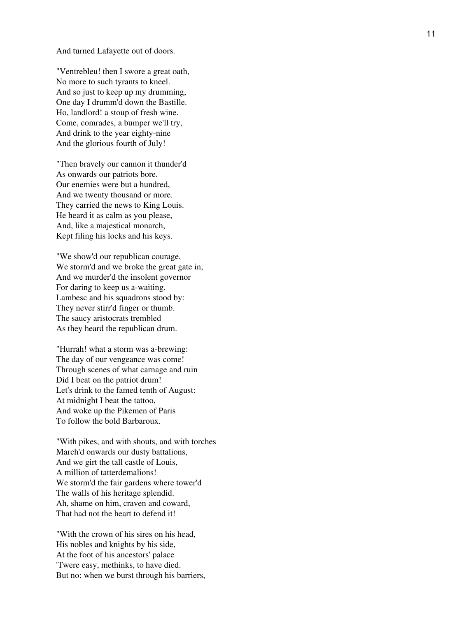And turned Lafayette out of doors.

"Ventrebleu! then I swore a great oath, No more to such tyrants to kneel. And so just to keep up my drumming, One day I drumm'd down the Bastille. Ho, landlord! a stoup of fresh wine. Come, comrades, a bumper we'll try, And drink to the year eighty-nine And the glorious fourth of July!

"Then bravely our cannon it thunder'd As onwards our patriots bore. Our enemies were but a hundred, And we twenty thousand or more. They carried the news to King Louis. He heard it as calm as you please, And, like a majestical monarch, Kept filing his locks and his keys.

"We show'd our republican courage, We storm'd and we broke the great gate in, And we murder'd the insolent governor For daring to keep us a-waiting. Lambesc and his squadrons stood by: They never stirr'd finger or thumb. The saucy aristocrats trembled As they heard the republican drum.

"Hurrah! what a storm was a-brewing: The day of our vengeance was come! Through scenes of what carnage and ruin Did I beat on the patriot drum! Let's drink to the famed tenth of August: At midnight I beat the tattoo, And woke up the Pikemen of Paris To follow the bold Barbaroux.

"With pikes, and with shouts, and with torches March'd onwards our dusty battalions, And we girt the tall castle of Louis, A million of tatterdemalions! We storm'd the fair gardens where tower'd The walls of his heritage splendid. Ah, shame on him, craven and coward, That had not the heart to defend it!

"With the crown of his sires on his head, His nobles and knights by his side, At the foot of his ancestors' palace 'Twere easy, methinks, to have died. But no: when we burst through his barriers,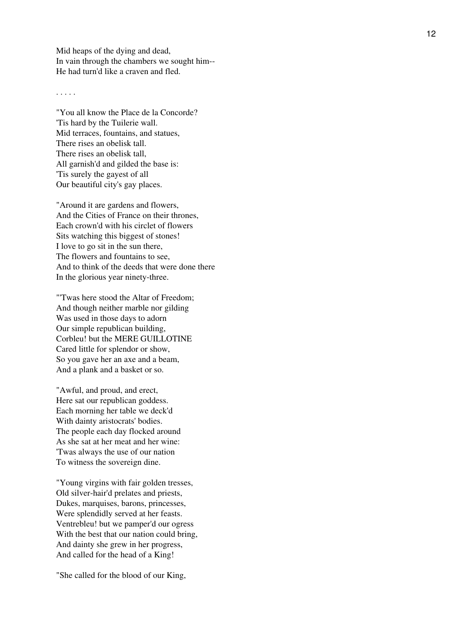Mid heaps of the dying and dead, In vain through the chambers we sought him-- He had turn'd like a craven and fled.

. . . . .

"You all know the Place de la Concorde? 'Tis hard by the Tuilerie wall. Mid terraces, fountains, and statues, There rises an obelisk tall. There rises an obelisk tall, All garnish'd and gilded the base is: 'Tis surely the gayest of all Our beautiful city's gay places.

"Around it are gardens and flowers, And the Cities of France on their thrones, Each crown'd with his circlet of flowers Sits watching this biggest of stones! I love to go sit in the sun there, The flowers and fountains to see, And to think of the deeds that were done there In the glorious year ninety-three.

"'Twas here stood the Altar of Freedom; And though neither marble nor gilding Was used in those days to adorn Our simple republican building, Corbleu! but the MERE GUILLOTINE Cared little for splendor or show, So you gave her an axe and a beam, And a plank and a basket or so.

"Awful, and proud, and erect, Here sat our republican goddess. Each morning her table we deck'd With dainty aristocrats' bodies. The people each day flocked around As she sat at her meat and her wine: 'Twas always the use of our nation To witness the sovereign dine.

"Young virgins with fair golden tresses, Old silver-hair'd prelates and priests, Dukes, marquises, barons, princesses, Were splendidly served at her feasts. Ventrebleu! but we pamper'd our ogress With the best that our nation could bring, And dainty she grew in her progress, And called for the head of a King!

"She called for the blood of our King,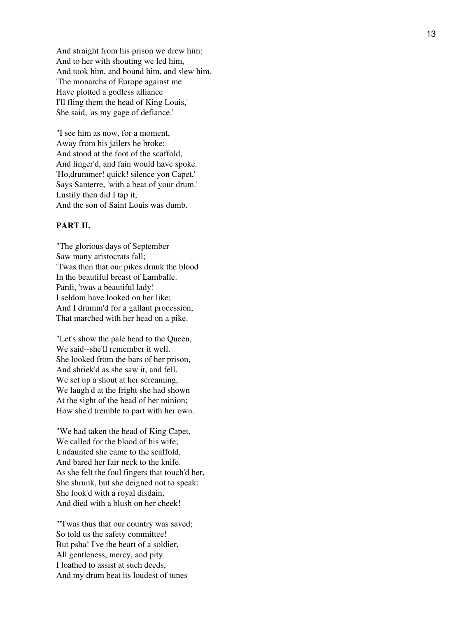And straight from his prison we drew him; And to her with shouting we led him, And took him, and bound him, and slew him. 'The monarchs of Europe against me Have plotted a godless alliance I'll fling them the head of King Louis,' She said, 'as my gage of defiance.'

"I see him as now, for a moment, Away from his jailers he broke; And stood at the foot of the scaffold, And linger'd, and fain would have spoke. 'Ho,drummer! quick! silence yon Capet,' Says Santerre, 'with a beat of your drum.' Lustily then did I tap it, And the son of Saint Louis was dumb.

# **PART II.**

"The glorious days of September Saw many aristocrats fall; 'Twas then that our pikes drunk the blood In the beautiful breast of Lamballe. Pardi, 'twas a beautiful lady! I seldom have looked on her like; And I drumm'd for a gallant procession, That marched with her head on a pike.

"Let's show the pale head to the Queen, We said--she'll remember it well. She looked from the bars of her prison, And shriek'd as she saw it, and fell. We set up a shout at her screaming, We laugh'd at the fright she had shown At the sight of the head of her minion; How she'd tremble to part with her own.

"We had taken the head of King Capet, We called for the blood of his wife; Undaunted she came to the scaffold, And bared her fair neck to the knife. As she felt the foul fingers that touch'd her, She shrunk, but she deigned not to speak: She look'd with a royal disdain, And died with a blush on her cheek!

"'Twas thus that our country was saved; So told us the safety committee! But psha! I've the heart of a soldier, All gentleness, mercy, and pity. I loathed to assist at such deeds, And my drum beat its loudest of tunes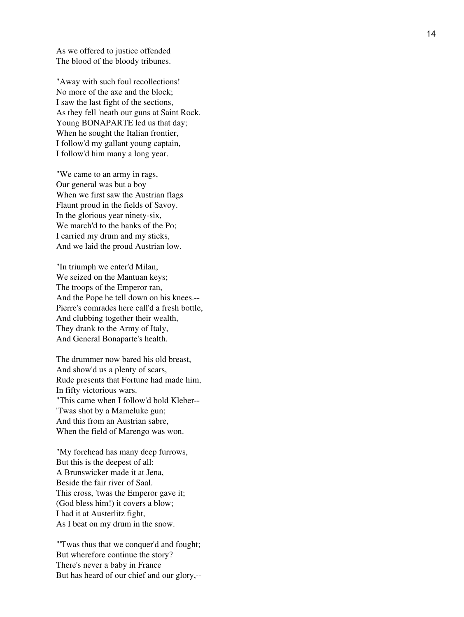As we offered to justice offended The blood of the bloody tribunes.

"Away with such foul recollections! No more of the axe and the block; I saw the last fight of the sections, As they fell 'neath our guns at Saint Rock. Young BONAPARTE led us that day; When he sought the Italian frontier, I follow'd my gallant young captain, I follow'd him many a long year.

"We came to an army in rags, Our general was but a boy When we first saw the Austrian flags Flaunt proud in the fields of Savoy. In the glorious year ninety-six, We march'd to the banks of the Po; I carried my drum and my sticks, And we laid the proud Austrian low.

"In triumph we enter'd Milan, We seized on the Mantuan keys; The troops of the Emperor ran, And the Pope he tell down on his knees.-- Pierre's comrades here call'd a fresh bottle, And clubbing together their wealth, They drank to the Army of Italy, And General Bonaparte's health.

The drummer now bared his old breast, And show'd us a plenty of scars, Rude presents that Fortune had made him, In fifty victorious wars. "This came when I follow'd bold Kleber-- 'Twas shot by a Mameluke gun; And this from an Austrian sabre, When the field of Marengo was won.

"My forehead has many deep furrows, But this is the deepest of all: A Brunswicker made it at Jena, Beside the fair river of Saal. This cross, 'twas the Emperor gave it; (God bless him!) it covers a blow; I had it at Austerlitz fight, As I beat on my drum in the snow.

"'Twas thus that we conquer'd and fought; But wherefore continue the story? There's never a baby in France But has heard of our chief and our glory,--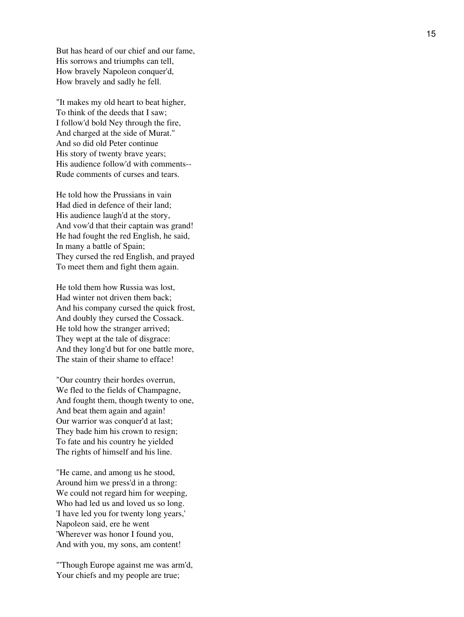But has heard of our chief and our fame, His sorrows and triumphs can tell, How bravely Napoleon conquer'd, How bravely and sadly he fell.

"It makes my old heart to beat higher, To think of the deeds that I saw; I follow'd bold Ney through the fire, And charged at the side of Murat." And so did old Peter continue His story of twenty brave years; His audience follow'd with comments-- Rude comments of curses and tears.

He told how the Prussians in vain Had died in defence of their land; His audience laugh'd at the story, And vow'd that their captain was grand! He had fought the red English, he said, In many a battle of Spain; They cursed the red English, and prayed To meet them and fight them again.

He told them how Russia was lost, Had winter not driven them back; And his company cursed the quick frost, And doubly they cursed the Cossack. He told how the stranger arrived; They wept at the tale of disgrace: And they long'd but for one battle more, The stain of their shame to efface!

"Our country their hordes overrun, We fled to the fields of Champagne, And fought them, though twenty to one, And beat them again and again! Our warrior was conquer'd at last; They bade him his crown to resign; To fate and his country he yielded The rights of himself and his line.

"He came, and among us he stood, Around him we press'd in a throng: We could not regard him for weeping, Who had led us and loved us so long. 'I have led you for twenty long years,' Napoleon said, ere he went 'Wherever was honor I found you, And with you, my sons, am content!

"'Though Europe against me was arm'd, Your chiefs and my people are true;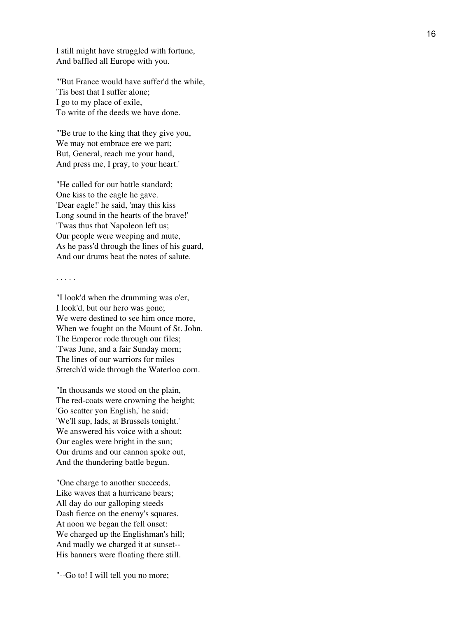I still might have struggled with fortune, And baffled all Europe with you.

"'But France would have suffer'd the while, 'Tis best that I suffer alone; I go to my place of exile, To write of the deeds we have done.

"'Be true to the king that they give you, We may not embrace ere we part; But, General, reach me your hand, And press me, I pray, to your heart.'

"He called for our battle standard; One kiss to the eagle he gave. 'Dear eagle!' he said, 'may this kiss Long sound in the hearts of the brave!' 'Twas thus that Napoleon left us; Our people were weeping and mute, As he pass'd through the lines of his guard, And our drums beat the notes of salute.

. . . . .

"I look'd when the drumming was o'er, I look'd, but our hero was gone; We were destined to see him once more, When we fought on the Mount of St. John. The Emperor rode through our files; 'Twas June, and a fair Sunday morn; The lines of our warriors for miles Stretch'd wide through the Waterloo corn.

"In thousands we stood on the plain, The red-coats were crowning the height; 'Go scatter yon English,' he said; 'We'll sup, lads, at Brussels tonight.' We answered his voice with a shout; Our eagles were bright in the sun; Our drums and our cannon spoke out, And the thundering battle begun.

"One charge to another succeeds, Like waves that a hurricane bears; All day do our galloping steeds Dash fierce on the enemy's squares. At noon we began the fell onset: We charged up the Englishman's hill; And madly we charged it at sunset-- His banners were floating there still.

"--Go to! I will tell you no more;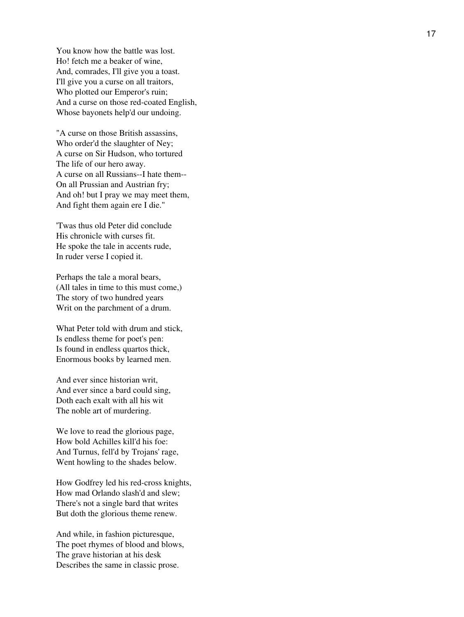You know how the battle was lost. Ho! fetch me a beaker of wine, And, comrades, I'll give you a toast. I'll give you a curse on all traitors, Who plotted our Emperor's ruin; And a curse on those red-coated English, Whose bayonets help'd our undoing.

"A curse on those British assassins, Who order'd the slaughter of Ney; A curse on Sir Hudson, who tortured The life of our hero away. A curse on all Russians--I hate them-- On all Prussian and Austrian fry; And oh! but I pray we may meet them, And fight them again ere I die."

'Twas thus old Peter did conclude His chronicle with curses fit. He spoke the tale in accents rude, In ruder verse I copied it.

Perhaps the tale a moral bears, (All tales in time to this must come,) The story of two hundred years Writ on the parchment of a drum.

What Peter told with drum and stick, Is endless theme for poet's pen: Is found in endless quartos thick, Enormous books by learned men.

And ever since historian writ, And ever since a bard could sing, Doth each exalt with all his wit The noble art of murdering.

We love to read the glorious page, How bold Achilles kill'd his foe: And Turnus, fell'd by Trojans' rage, Went howling to the shades below.

How Godfrey led his red-cross knights, How mad Orlando slash'd and slew; There's not a single bard that writes But doth the glorious theme renew.

And while, in fashion picturesque, The poet rhymes of blood and blows, The grave historian at his desk Describes the same in classic prose.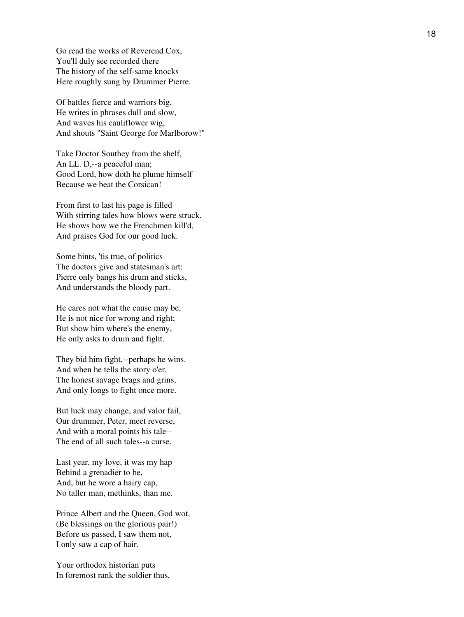Go read the works of Reverend Cox, You'll duly see recorded there The history of the self-same knocks Here roughly sung by Drummer Pierre.

Of battles fierce and warriors big, He writes in phrases dull and slow, And waves his cauliflower wig, And shouts "Saint George for Marlborow!"

Take Doctor Southey from the shelf, An LL. D,--a peaceful man; Good Lord, how doth he plume himself Because we beat the Corsican!

From first to last his page is filled With stirring tales how blows were struck. He shows how we the Frenchmen kill'd, And praises God for our good luck.

Some hints, 'tis true, of politics The doctors give and statesman's art: Pierre only bangs his drum and sticks, And understands the bloody part.

He cares not what the cause may be, He is not nice for wrong and right; But show him where's the enemy, He only asks to drum and fight.

They bid him fight,--perhaps he wins. And when he tells the story o'er, The honest savage brags and grins, And only longs to fight once more.

But luck may change, and valor fail, Our drummer, Peter, meet reverse, And with a moral points his tale-- The end of all such tales--a curse.

Last year, my love, it was my hap Behind a grenadier to be, And, but he wore a hairy cap, No taller man, methinks, than me.

Prince Albert and the Queen, God wot, (Be blessings on the glorious pair!) Before us passed, I saw them not, I only saw a cap of hair.

Your orthodox historian puts In foremost rank the soldier thus,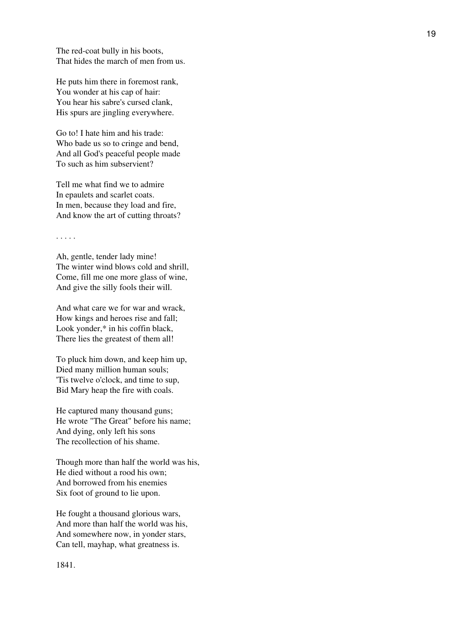The red-coat bully in his boots, That hides the march of men from us.

He puts him there in foremost rank, You wonder at his cap of hair: You hear his sabre's cursed clank, His spurs are jingling everywhere.

Go to! I hate him and his trade: Who bade us so to cringe and bend, And all God's peaceful people made To such as him subservient?

Tell me what find we to admire In epaulets and scarlet coats. In men, because they load and fire, And know the art of cutting throats?

#### . . . . .

Ah, gentle, tender lady mine! The winter wind blows cold and shrill, Come, fill me one more glass of wine, And give the silly fools their will.

And what care we for war and wrack, How kings and heroes rise and fall; Look yonder,\* in his coffin black, There lies the greatest of them all!

To pluck him down, and keep him up, Died many million human souls; 'Tis twelve o'clock, and time to sup, Bid Mary heap the fire with coals.

He captured many thousand guns; He wrote "The Great" before his name; And dying, only left his sons The recollection of his shame.

Though more than half the world was his, He died without a rood his own; And borrowed from his enemies Six foot of ground to lie upon.

He fought a thousand glorious wars, And more than half the world was his, And somewhere now, in yonder stars, Can tell, mayhap, what greatness is.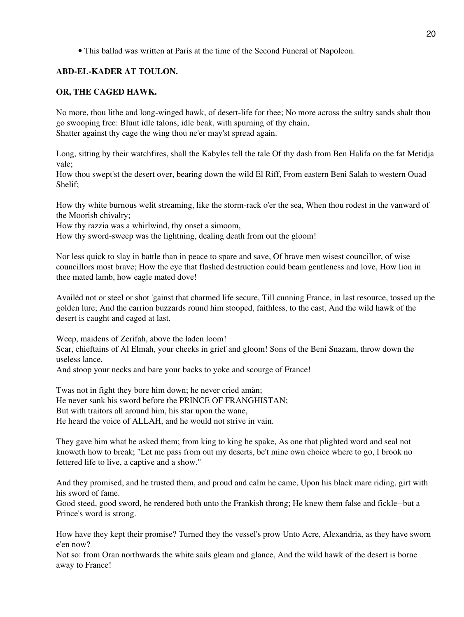• This ballad was written at Paris at the time of the Second Funeral of Napoleon.

# **ABD-EL-KADER AT TOULON.**

# **OR, THE CAGED HAWK.**

No more, thou lithe and long-winged hawk, of desert-life for thee; No more across the sultry sands shalt thou go swooping free: Blunt idle talons, idle beak, with spurning of thy chain, Shatter against thy cage the wing thou ne'er may'st spread again.

Long, sitting by their watchfires, shall the Kabyles tell the tale Of thy dash from Ben Halifa on the fat Metidja vale;

How thou swept'st the desert over, bearing down the wild El Riff, From eastern Beni Salah to western Ouad Shelif;

How thy white burnous welit streaming, like the storm-rack o'er the sea, When thou rodest in the vanward of the Moorish chivalry;

How thy razzia was a whirlwind, thy onset a simoom,

How thy sword-sweep was the lightning, dealing death from out the gloom!

Nor less quick to slay in battle than in peace to spare and save, Of brave men wisest councillor, of wise councillors most brave; How the eye that flashed destruction could beam gentleness and love, How lion in thee mated lamb, how eagle mated dove!

Availéd not or steel or shot 'gainst that charmed life secure, Till cunning France, in last resource, tossed up the golden lure; And the carrion buzzards round him stooped, faithless, to the cast, And the wild hawk of the desert is caught and caged at last.

Weep, maidens of Zerifah, above the laden loom! Scar, chieftains of Al Elmah, your cheeks in grief and gloom! Sons of the Beni Snazam, throw down the useless lance,

And stoop your necks and bare your backs to yoke and scourge of France!

Twas not in fight they bore him down; he never cried amàn; He never sank his sword before the PRINCE OF FRANGHISTAN; But with traitors all around him, his star upon the wane, He heard the voice of ALLAH, and he would not strive in vain.

They gave him what he asked them; from king to king he spake, As one that plighted word and seal not knoweth how to break; "Let me pass from out my deserts, be't mine own choice where to go, I brook no fettered life to live, a captive and a show."

And they promised, and he trusted them, and proud and calm he came, Upon his black mare riding, girt with his sword of fame.

Good steed, good sword, he rendered both unto the Frankish throng; He knew them false and fickle--but a Prince's word is strong.

How have they kept their promise? Turned they the vessel's prow Unto Acre, Alexandria, as they have sworn e'en now?

Not so: from Oran northwards the white sails gleam and glance, And the wild hawk of the desert is borne away to France!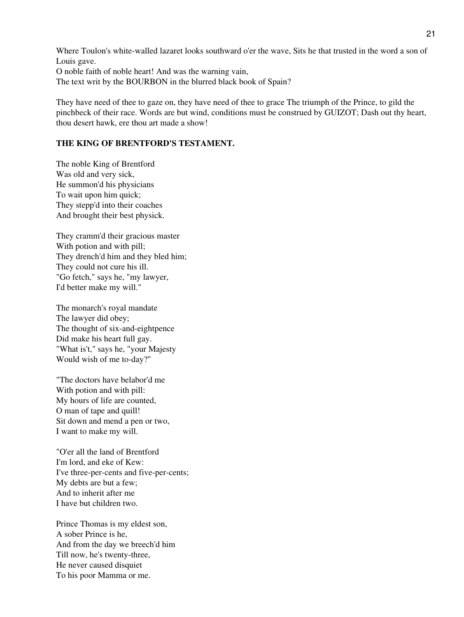Where Toulon's white-walled lazaret looks southward o'er the wave, Sits he that trusted in the word a son of Louis gave. O noble faith of noble heart! And was the warning vain,

The text writ by the BOURBON in the blurred black book of Spain?

They have need of thee to gaze on, they have need of thee to grace The triumph of the Prince, to gild the pinchbeck of their race. Words are but wind, conditions must be construed by GUIZOT; Dash out thy heart, thou desert hawk, ere thou art made a show!

# **THE KING OF BRENTFORD'S TESTAMENT.**

The noble King of Brentford Was old and very sick, He summon'd his physicians To wait upon him quick; They stepp'd into their coaches And brought their best physick.

They cramm'd their gracious master With potion and with pill; They drench'd him and they bled him; They could not cure his ill. "Go fetch," says he, "my lawyer, I'd better make my will."

The monarch's royal mandate The lawyer did obey; The thought of six-and-eightpence Did make his heart full gay. "What is't," says he, "your Majesty Would wish of me to-day?"

"The doctors have belabor'd me With potion and with pill: My hours of life are counted, O man of tape and quill! Sit down and mend a pen or two, I want to make my will.

"O'er all the land of Brentford I'm lord, and eke of Kew: I've three-per-cents and five-per-cents; My debts are but a few; And to inherit after me I have but children two.

Prince Thomas is my eldest son, A sober Prince is he, And from the day we breech'd him Till now, he's twenty-three, He never caused disquiet To his poor Mamma or me.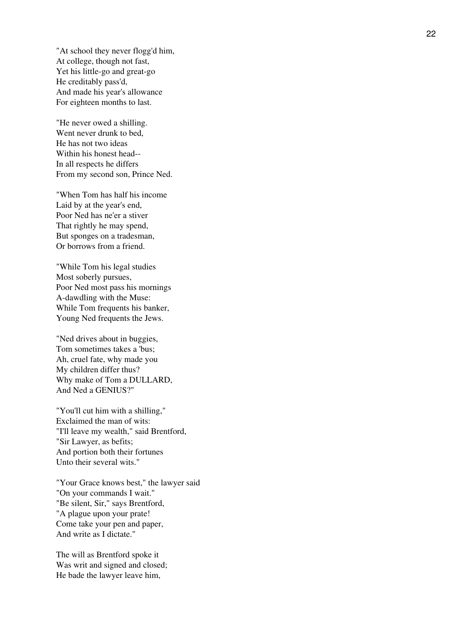"At school they never flogg'd him, At college, though not fast, Yet his little-go and great-go He creditably pass'd, And made his year's allowance For eighteen months to last.

"He never owed a shilling. Went never drunk to bed, He has not two ideas Within his honest head-- In all respects he differs From my second son, Prince Ned.

"When Tom has half his income Laid by at the year's end, Poor Ned has ne'er a stiver That rightly he may spend, But sponges on a tradesman, Or borrows from a friend.

"While Tom his legal studies Most soberly pursues, Poor Ned most pass his mornings A-dawdling with the Muse: While Tom frequents his banker, Young Ned frequents the Jews.

"Ned drives about in buggies, Tom sometimes takes a 'bus; Ah, cruel fate, why made you My children differ thus? Why make of Tom a DULLARD, And Ned a GENIUS?"

"You'll cut him with a shilling," Exclaimed the man of wits: "I'll leave my wealth," said Brentford, "Sir Lawyer, as befits; And portion both their fortunes Unto their several wits."

"Your Grace knows best," the lawyer said "On your commands I wait." "Be silent, Sir," says Brentford, "A plague upon your prate! Come take your pen and paper, And write as I dictate."

The will as Brentford spoke it Was writ and signed and closed; He bade the lawyer leave him,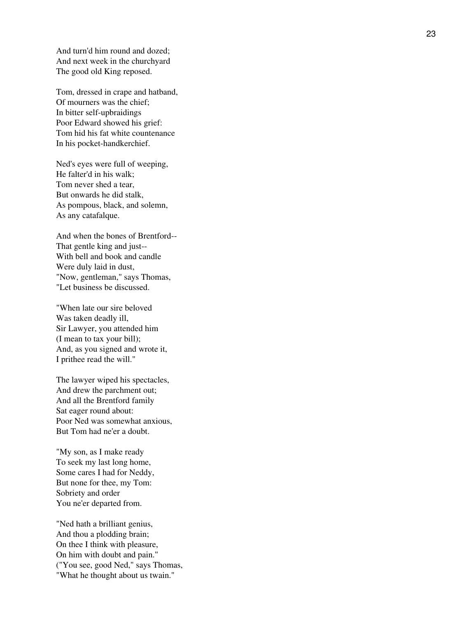And turn'd him round and dozed; And next week in the churchyard The good old King reposed.

Tom, dressed in crape and hatband, Of mourners was the chief; In bitter self-upbraidings Poor Edward showed his grief: Tom hid his fat white countenance In his pocket-handkerchief.

Ned's eyes were full of weeping, He falter'd in his walk; Tom never shed a tear, But onwards he did stalk, As pompous, black, and solemn, As any catafalque.

And when the bones of Brentford-- That gentle king and just-- With bell and book and candle Were duly laid in dust, "Now, gentleman," says Thomas, "Let business be discussed.

"When late our sire beloved Was taken deadly ill, Sir Lawyer, you attended him (I mean to tax your bill); And, as you signed and wrote it, I prithee read the will."

The lawyer wiped his spectacles, And drew the parchment out; And all the Brentford family Sat eager round about: Poor Ned was somewhat anxious, But Tom had ne'er a doubt.

"My son, as I make ready To seek my last long home, Some cares I had for Neddy, But none for thee, my Tom: Sobriety and order You ne'er departed from.

"Ned hath a brilliant genius, And thou a plodding brain; On thee I think with pleasure, On him with doubt and pain." ("You see, good Ned," says Thomas, "What he thought about us twain."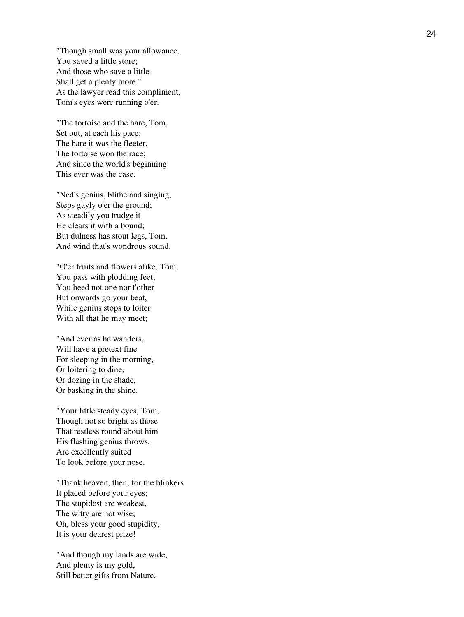"Though small was your allowance, You saved a little store; And those who save a little Shall get a plenty more." As the lawyer read this compliment, Tom's eyes were running o'er.

"The tortoise and the hare, Tom, Set out, at each his pace; The hare it was the fleeter, The tortoise won the race; And since the world's beginning This ever was the case.

"Ned's genius, blithe and singing, Steps gayly o'er the ground; As steadily you trudge it He clears it with a bound; But dulness has stout legs, Tom, And wind that's wondrous sound.

"O'er fruits and flowers alike, Tom, You pass with plodding feet; You heed not one nor t'other But onwards go your beat, While genius stops to loiter With all that he may meet;

"And ever as he wanders, Will have a pretext fine For sleeping in the morning, Or loitering to dine, Or dozing in the shade, Or basking in the shine.

"Your little steady eyes, Tom, Though not so bright as those That restless round about him His flashing genius throws, Are excellently suited To look before your nose.

"Thank heaven, then, for the blinkers It placed before your eyes; The stupidest are weakest, The witty are not wise; Oh, bless your good stupidity, It is your dearest prize!

"And though my lands are wide, And plenty is my gold, Still better gifts from Nature,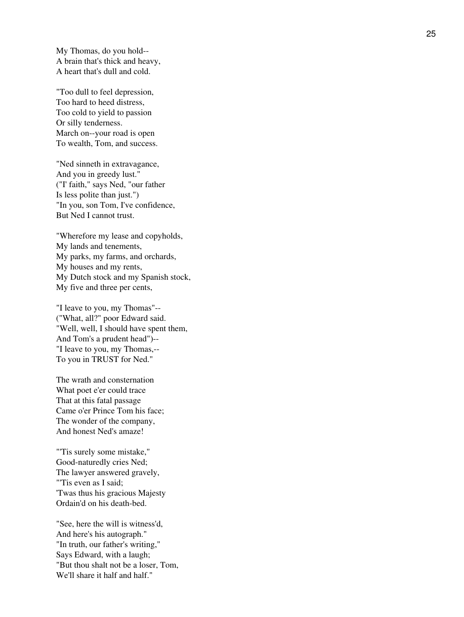My Thomas, do you hold-- A brain that's thick and heavy, A heart that's dull and cold.

"Too dull to feel depression, Too hard to heed distress, Too cold to yield to passion Or silly tenderness. March on--your road is open To wealth, Tom, and success.

"Ned sinneth in extravagance, And you in greedy lust." ("I' faith," says Ned, "our father Is less polite than just.") "In you, son Tom, I've confidence, But Ned I cannot trust.

"Wherefore my lease and copyholds, My lands and tenements, My parks, my farms, and orchards, My houses and my rents, My Dutch stock and my Spanish stock, My five and three per cents,

"I leave to you, my Thomas"-- ("What, all?" poor Edward said. "Well, well, I should have spent them, And Tom's a prudent head")-- "I leave to you, my Thomas,-- To you in TRUST for Ned."

The wrath and consternation What poet e'er could trace That at this fatal passage Came o'er Prince Tom his face; The wonder of the company, And honest Ned's amaze!

"'Tis surely some mistake," Good-naturedly cries Ned; The lawyer answered gravely, "'Tis even as I said; 'Twas thus his gracious Majesty Ordain'd on his death-bed.

"See, here the will is witness'd, And here's his autograph." "In truth, our father's writing," Says Edward, with a laugh; "But thou shalt not be a loser, Tom, We'll share it half and half."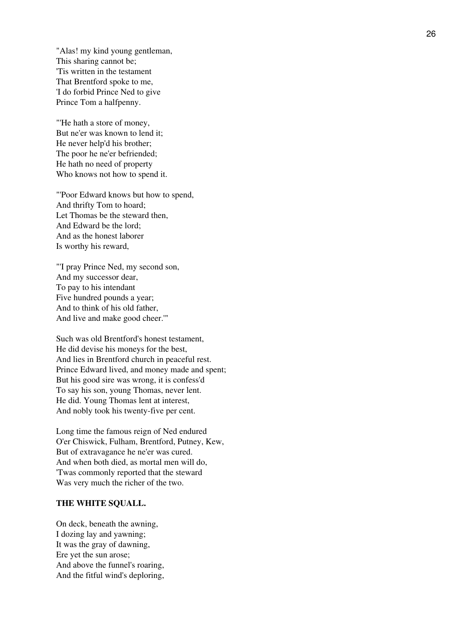"Alas! my kind young gentleman, This sharing cannot be; 'Tis written in the testament That Brentford spoke to me, 'I do forbid Prince Ned to give Prince Tom a halfpenny.

"'He hath a store of money, But ne'er was known to lend it; He never help'd his brother; The poor he ne'er befriended; He hath no need of property Who knows not how to spend it.

"'Poor Edward knows but how to spend, And thrifty Tom to hoard; Let Thomas be the steward then, And Edward be the lord; And as the honest laborer Is worthy his reward,

"'I pray Prince Ned, my second son, And my successor dear, To pay to his intendant Five hundred pounds a year; And to think of his old father, And live and make good cheer.'"

Such was old Brentford's honest testament, He did devise his moneys for the best, And lies in Brentford church in peaceful rest. Prince Edward lived, and money made and spent; But his good sire was wrong, it is confess'd To say his son, young Thomas, never lent. He did. Young Thomas lent at interest, And nobly took his twenty-five per cent.

Long time the famous reign of Ned endured O'er Chiswick, Fulham, Brentford, Putney, Kew, But of extravagance he ne'er was cured. And when both died, as mortal men will do, 'Twas commonly reported that the steward Was very much the richer of the two.

### **THE WHITE SQUALL.**

On deck, beneath the awning, I dozing lay and yawning; It was the gray of dawning, Ere yet the sun arose; And above the funnel's roaring, And the fitful wind's deploring,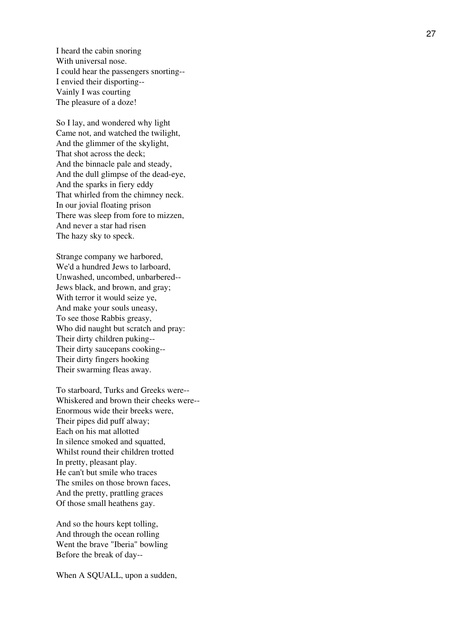I heard the cabin snoring With universal nose. I could hear the passengers snorting-- I envied their disporting-- Vainly I was courting The pleasure of a doze!

So I lay, and wondered why light Came not, and watched the twilight, And the glimmer of the skylight, That shot across the deck; And the binnacle pale and steady, And the dull glimpse of the dead-eye, And the sparks in fiery eddy That whirled from the chimney neck. In our jovial floating prison There was sleep from fore to mizzen, And never a star had risen The hazy sky to speck.

Strange company we harbored, We'd a hundred Jews to larboard, Unwashed, uncombed, unbarbered-- Jews black, and brown, and gray; With terror it would seize ye, And make your souls uneasy, To see those Rabbis greasy, Who did naught but scratch and pray: Their dirty children puking-- Their dirty saucepans cooking-- Their dirty fingers hooking Their swarming fleas away.

To starboard, Turks and Greeks were-- Whiskered and brown their cheeks were-- Enormous wide their breeks were, Their pipes did puff alway; Each on his mat allotted In silence smoked and squatted, Whilst round their children trotted In pretty, pleasant play. He can't but smile who traces The smiles on those brown faces, And the pretty, prattling graces Of those small heathens gay.

And so the hours kept tolling, And through the ocean rolling Went the brave "Iberia" bowling Before the break of day--

When A SQUALL, upon a sudden,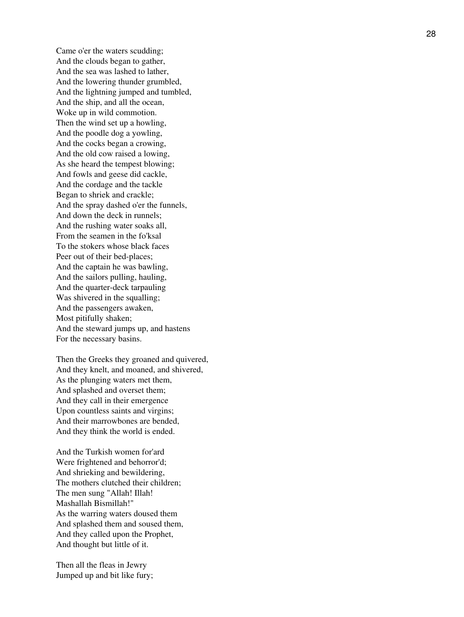Came o'er the waters scudding; And the clouds began to gather, And the sea was lashed to lather, And the lowering thunder grumbled, And the lightning jumped and tumbled, And the ship, and all the ocean, Woke up in wild commotion. Then the wind set up a howling, And the poodle dog a yowling, And the cocks began a crowing, And the old cow raised a lowing, As she heard the tempest blowing; And fowls and geese did cackle, And the cordage and the tackle Began to shriek and crackle; And the spray dashed o'er the funnels, And down the deck in runnels; And the rushing water soaks all, From the seamen in the fo'ksal To the stokers whose black faces Peer out of their bed-places; And the captain he was bawling, And the sailors pulling, hauling, And the quarter-deck tarpauling Was shivered in the squalling; And the passengers awaken, Most pitifully shaken; And the steward jumps up, and hastens For the necessary basins.

Then the Greeks they groaned and quivered, And they knelt, and moaned, and shivered, As the plunging waters met them, And splashed and overset them; And they call in their emergence Upon countless saints and virgins; And their marrowbones are bended, And they think the world is ended.

And the Turkish women for'ard Were frightened and behorror'd; And shrieking and bewildering, The mothers clutched their children; The men sung "Allah! Illah! Mashallah Bismillah!" As the warring waters doused them And splashed them and soused them, And they called upon the Prophet, And thought but little of it.

Then all the fleas in Jewry Jumped up and bit like fury;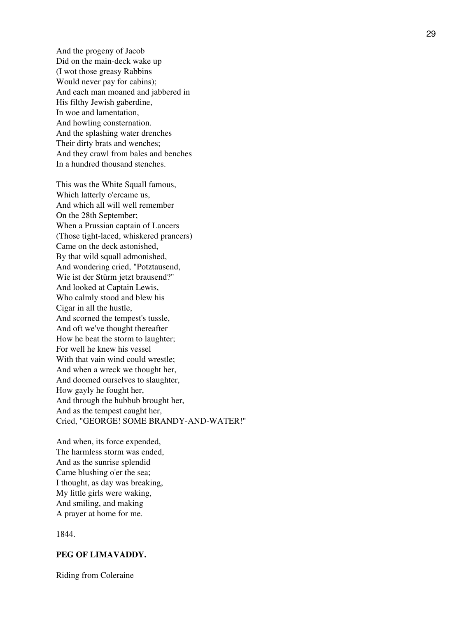And the progeny of Jacob Did on the main-deck wake up (I wot those greasy Rabbins Would never pay for cabins); And each man moaned and jabbered in His filthy Jewish gaberdine, In woe and lamentation, And howling consternation. And the splashing water drenches Their dirty brats and wenches; And they crawl from bales and benches In a hundred thousand stenches.

This was the White Squall famous, Which latterly o'ercame us, And which all will well remember On the 28th September; When a Prussian captain of Lancers (Those tight-laced, whiskered prancers) Came on the deck astonished, By that wild squall admonished, And wondering cried, "Potztausend, Wie ist der Stürm jetzt brausend?" And looked at Captain Lewis, Who calmly stood and blew his Cigar in all the hustle, And scorned the tempest's tussle, And oft we've thought thereafter How he beat the storm to laughter; For well he knew his vessel With that vain wind could wrestle; And when a wreck we thought her, And doomed ourselves to slaughter, How gayly he fought her, And through the hubbub brought her, And as the tempest caught her, Cried, "GEORGE! SOME BRANDY-AND-WATER!"

And when, its force expended, The harmless storm was ended, And as the sunrise splendid Came blushing o'er the sea; I thought, as day was breaking, My little girls were waking, And smiling, and making A prayer at home for me.

1844.

## **PEG OF LIMAVADDY.**

Riding from Coleraine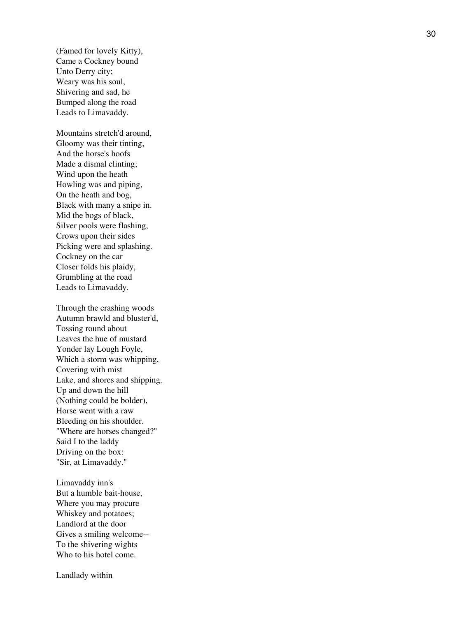(Famed for lovely Kitty), Came a Cockney bound Unto Derry city; Weary was his soul, Shivering and sad, he Bumped along the road Leads to Limavaddy.

Mountains stretch'd around, Gloomy was their tinting, And the horse's hoofs Made a dismal clinting; Wind upon the heath Howling was and piping, On the heath and bog, Black with many a snipe in. Mid the bogs of black, Silver pools were flashing, Crows upon their sides Picking were and splashing. Cockney on the car Closer folds his plaidy, Grumbling at the road Leads to Limavaddy.

Through the crashing woods Autumn brawld and bluster'd, Tossing round about Leaves the hue of mustard Yonder lay Lough Foyle, Which a storm was whipping, Covering with mist Lake, and shores and shipping. Up and down the hill (Nothing could be bolder), Horse went with a raw Bleeding on his shoulder. "Where are horses changed?" Said I to the laddy Driving on the box: "Sir, at Limavaddy."

Limavaddy inn's But a humble bait-house, Where you may procure Whiskey and potatoes; Landlord at the door Gives a smiling welcome-- To the shivering wights Who to his hotel come.

Landlady within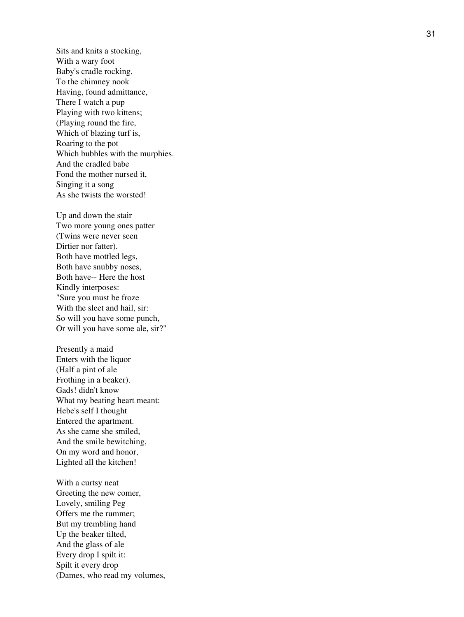Sits and knits a stocking, With a wary foot Baby's cradle rocking. To the chimney nook Having, found admittance, There I watch a pup Playing with two kittens; (Playing round the fire, Which of blazing turf is, Roaring to the pot Which bubbles with the murphies. And the cradled babe Fond the mother nursed it, Singing it a song As she twists the worsted!

Up and down the stair Two more young ones patter (Twins were never seen Dirtier nor fatter). Both have mottled legs, Both have snubby noses, Both have-- Here the host Kindly interposes: "Sure you must be froze With the sleet and hail, sir: So will you have some punch, Or will you have some ale, sir?"

Presently a maid Enters with the liquor (Half a pint of ale Frothing in a beaker). Gads! didn't know What my beating heart meant: Hebe's self I thought Entered the apartment. As she came she smiled, And the smile bewitching, On my word and honor, Lighted all the kitchen!

With a curtsy neat Greeting the new comer, Lovely, smiling Peg Offers me the rummer; But my trembling hand Up the beaker tilted, And the glass of ale Every drop I spilt it: Spilt it every drop (Dames, who read my volumes,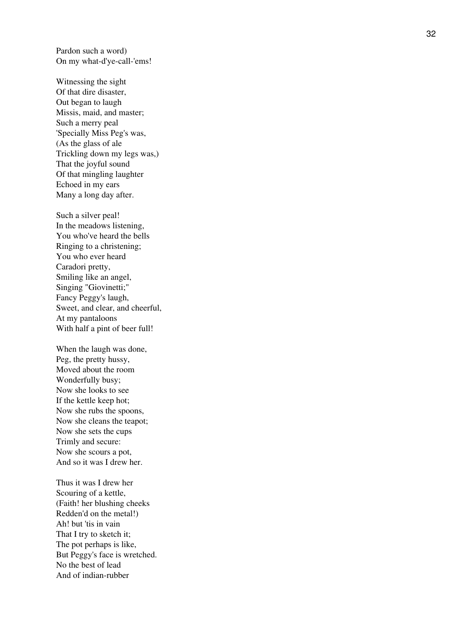Pardon such a word) On my what-d'ye-call-'ems!

Witnessing the sight Of that dire disaster, Out began to laugh Missis, maid, and master; Such a merry peal 'Specially Miss Peg's was, (As the glass of ale Trickling down my legs was,) That the joyful sound Of that mingling laughter Echoed in my ears Many a long day after.

Such a silver peal! In the meadows listening, You who've heard the bells Ringing to a christening; You who ever heard Caradori pretty, Smiling like an angel, Singing "Giovinetti;" Fancy Peggy's laugh, Sweet, and clear, and cheerful, At my pantaloons With half a pint of beer full!

When the laugh was done, Peg, the pretty hussy, Moved about the room Wonderfully busy; Now she looks to see If the kettle keep hot; Now she rubs the spoons, Now she cleans the teapot; Now she sets the cups Trimly and secure: Now she scours a pot, And so it was I drew her.

Thus it was I drew her Scouring of a kettle, (Faith! her blushing cheeks Redden'd on the metal!) Ah! but 'tis in vain That I try to sketch it; The pot perhaps is like, But Peggy's face is wretched. No the best of lead And of indian-rubber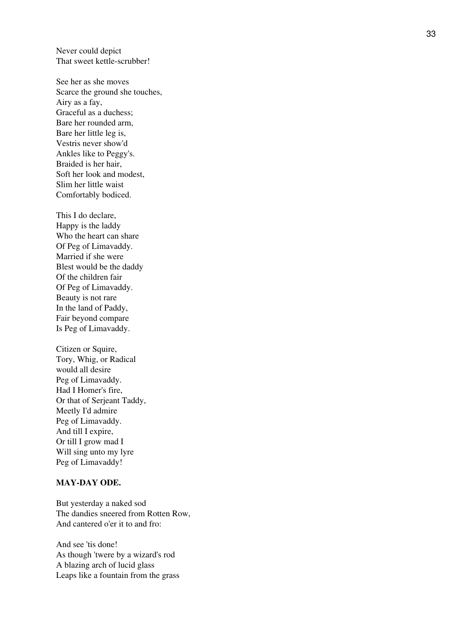Never could depict That sweet kettle-scrubber!

See her as she moves Scarce the ground she touches, Airy as a fay, Graceful as a duchess; Bare her rounded arm, Bare her little leg is, Vestris never show'd Ankles like to Peggy's. Braided is her hair, Soft her look and modest, Slim her little waist Comfortably bodiced.

This I do declare, Happy is the laddy Who the heart can share Of Peg of Limavaddy. Married if she were Blest would be the daddy Of the children fair Of Peg of Limavaddy. Beauty is not rare In the land of Paddy, Fair beyond compare Is Peg of Limavaddy.

Citizen or Squire, Tory, Whig, or Radical would all desire Peg of Limavaddy. Had I Homer's fire, Or that of Serjeant Taddy, Meetly I'd admire Peg of Limavaddy. And till I expire, Or till I grow mad I Will sing unto my lyre Peg of Limavaddy!

#### **MAY-DAY ODE.**

But yesterday a naked sod The dandies sneered from Rotten Row, And cantered o'er it to and fro:

And see 'tis done! As though 'twere by a wizard's rod A blazing arch of lucid glass Leaps like a fountain from the grass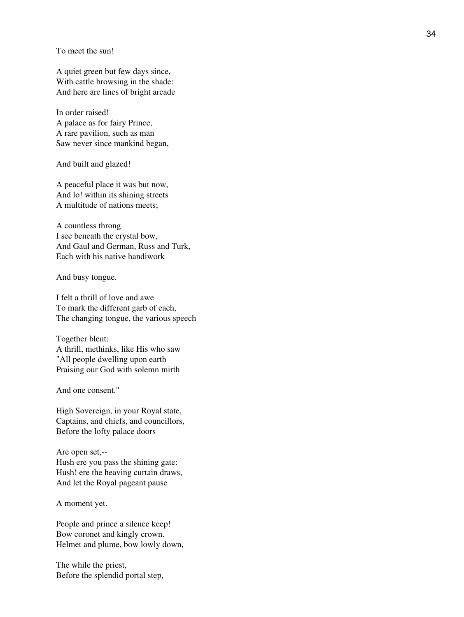To meet the sun!

A quiet green but few days since, With cattle browsing in the shade: And here are lines of bright arcade

In order raised! A palace as for fairy Prince, A rare pavilion, such as man Saw never since mankind began,

And built and glazed!

A peaceful place it was but now, And lo! within its shining streets A multitude of nations meets;

A countless throng I see beneath the crystal bow, And Gaul and German, Russ and Turk, Each with his native handiwork

And busy tongue.

I felt a thrill of love and awe To mark the different garb of each, The changing tongue, the various speech

Together blent: A thrill, methinks, like His who saw "All people dwelling upon earth Praising our God with solemn mirth

And one consent."

High Sovereign, in your Royal state, Captains, and chiefs, and councillors, Before the lofty palace doors

Are open set,-- Hush ere you pass the shining gate: Hush! ere the heaving curtain draws, And let the Royal pageant pause

A moment yet.

People and prince a silence keep! Bow coronet and kingly crown. Helmet and plume, bow lowly down,

The while the priest, Before the splendid portal step,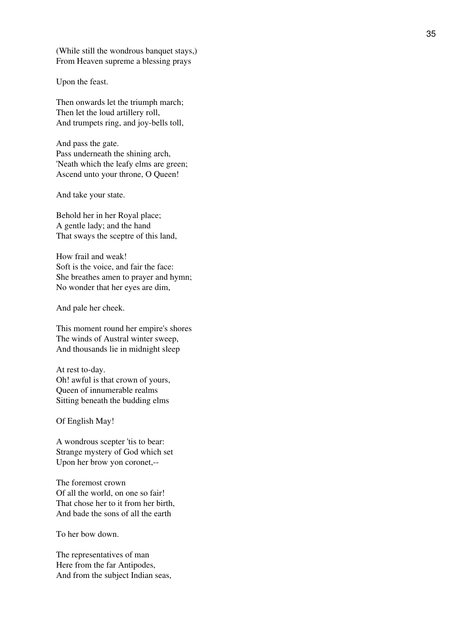(While still the wondrous banquet stays,) From Heaven supreme a blessing prays

Upon the feast.

Then onwards let the triumph march; Then let the loud artillery roll, And trumpets ring, and joy-bells toll,

And pass the gate. Pass underneath the shining arch, 'Neath which the leafy elms are green; Ascend unto your throne, O Queen!

And take your state.

Behold her in her Royal place; A gentle lady; and the hand That sways the sceptre of this land,

How frail and weak! Soft is the voice, and fair the face: She breathes amen to prayer and hymn; No wonder that her eyes are dim,

And pale her cheek.

This moment round her empire's shores The winds of Austral winter sweep, And thousands lie in midnight sleep

At rest to-day. Oh! awful is that crown of yours, Queen of innumerable realms Sitting beneath the budding elms

Of English May!

A wondrous scepter 'tis to bear: Strange mystery of God which set Upon her brow yon coronet,--

The foremost crown Of all the world, on one so fair! That chose her to it from her birth, And bade the sons of all the earth

To her bow down.

The representatives of man Here from the far Antipodes, And from the subject Indian seas,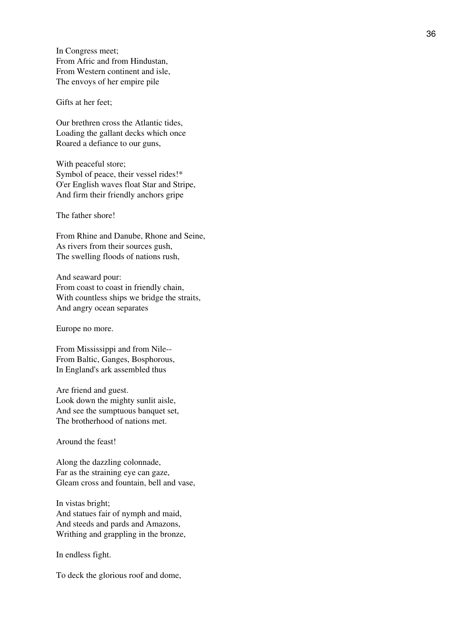In Congress meet; From Afric and from Hindustan, From Western continent and isle, The envoys of her empire pile

Gifts at her feet;

Our brethren cross the Atlantic tides, Loading the gallant decks which once Roared a defiance to our guns,

With peaceful store; Symbol of peace, their vessel rides!\* O'er English waves float Star and Stripe, And firm their friendly anchors gripe

The father shore!

From Rhine and Danube, Rhone and Seine, As rivers from their sources gush, The swelling floods of nations rush,

And seaward pour: From coast to coast in friendly chain, With countless ships we bridge the straits, And angry ocean separates

Europe no more.

From Mississippi and from Nile-- From Baltic, Ganges, Bosphorous, In England's ark assembled thus

Are friend and guest. Look down the mighty sunlit aisle, And see the sumptuous banquet set, The brotherhood of nations met.

Around the feast!

Along the dazzling colonnade, Far as the straining eye can gaze, Gleam cross and fountain, bell and vase,

In vistas bright; And statues fair of nymph and maid, And steeds and pards and Amazons, Writhing and grappling in the bronze,

In endless fight.

To deck the glorious roof and dome,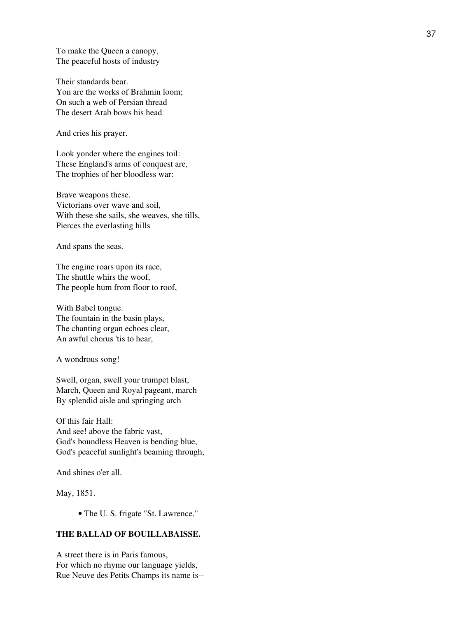To make the Queen a canopy, The peaceful hosts of industry

Their standards bear. Yon are the works of Brahmin loom; On such a web of Persian thread The desert Arab bows his head

And cries his prayer.

Look yonder where the engines toil: These England's arms of conquest are, The trophies of her bloodless war:

Brave weapons these. Victorians over wave and soil, With these she sails, she weaves, she tills, Pierces the everlasting hills

And spans the seas.

The engine roars upon its race, The shuttle whirs the woof, The people hum from floor to roof,

With Babel tongue. The fountain in the basin plays, The chanting organ echoes clear, An awful chorus 'tis to hear,

A wondrous song!

Swell, organ, swell your trumpet blast, March, Queen and Royal pageant, march By splendid aisle and springing arch

Of this fair Hall: And see! above the fabric vast, God's boundless Heaven is bending blue, God's peaceful sunlight's beaming through,

And shines o'er all.

May, 1851.

• The U. S. frigate "St. Lawrence."

## **THE BALLAD OF BOUILLABAISSE.**

A street there is in Paris famous, For which no rhyme our language yields, Rue Neuve des Petits Champs its name is--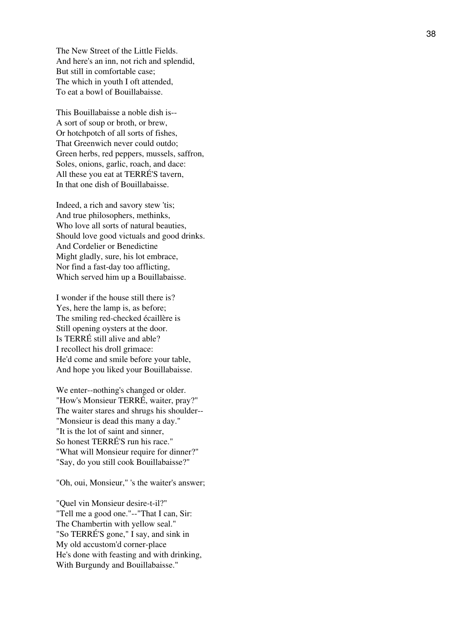The New Street of the Little Fields. And here's an inn, not rich and splendid, But still in comfortable case; The which in youth I oft attended, To eat a bowl of Bouillabaisse.

This Bouillabaisse a noble dish is-- A sort of soup or broth, or brew, Or hotchpotch of all sorts of fishes, That Greenwich never could outdo; Green herbs, red peppers, mussels, saffron, Soles, onions, garlic, roach, and dace: All these you eat at TERRÉ'S tavern, In that one dish of Bouillabaisse.

Indeed, a rich and savory stew 'tis; And true philosophers, methinks, Who love all sorts of natural beauties, Should love good victuals and good drinks. And Cordelier or Benedictine Might gladly, sure, his lot embrace, Nor find a fast-day too afflicting, Which served him up a Bouillabaisse.

I wonder if the house still there is? Yes, here the lamp is, as before; The smiling red-checked écaillère is Still opening oysters at the door. Is TERRÉ still alive and able? I recollect his droll grimace: He'd come and smile before your table, And hope you liked your Bouillabaisse.

We enter--nothing's changed or older. "How's Monsieur TERRÉ, waiter, pray?" The waiter stares and shrugs his shoulder-- "Monsieur is dead this many a day." "It is the lot of saint and sinner, So honest TERRÉ'S run his race." "What will Monsieur require for dinner?" "Say, do you still cook Bouillabaisse?"

"Oh, oui, Monsieur," 's the waiter's answer;

"Quel vin Monsieur desire-t-il?" "Tell me a good one."--"That I can, Sir: The Chambertin with yellow seal." "So TERRÉ'S gone," I say, and sink in My old accustom'd corner-place He's done with feasting and with drinking, With Burgundy and Bouillabaisse."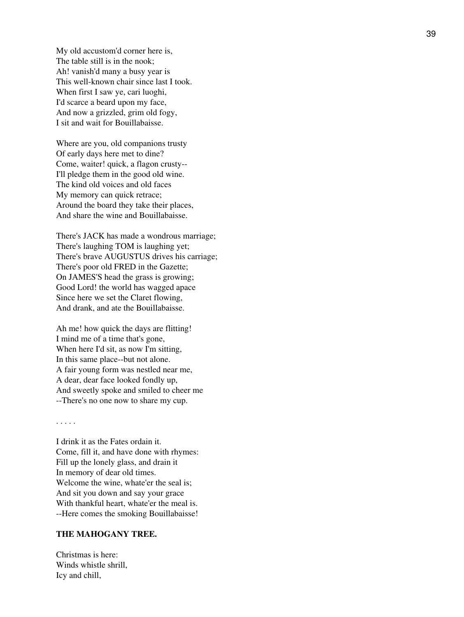My old accustom'd corner here is, The table still is in the nook; Ah! vanish'd many a busy year is This well-known chair since last I took. When first I saw ye, cari luoghi, I'd scarce a beard upon my face, And now a grizzled, grim old fogy, I sit and wait for Bouillabaisse.

Where are you, old companions trusty Of early days here met to dine? Come, waiter! quick, a flagon crusty-- I'll pledge them in the good old wine. The kind old voices and old faces My memory can quick retrace; Around the board they take their places, And share the wine and Bouillabaisse.

There's JACK has made a wondrous marriage; There's laughing TOM is laughing yet; There's brave AUGUSTUS drives his carriage; There's poor old FRED in the Gazette; On JAMES'S head the grass is growing; Good Lord! the world has wagged apace Since here we set the Claret flowing, And drank, and ate the Bouillabaisse.

Ah me! how quick the days are flitting! I mind me of a time that's gone, When here I'd sit, as now I'm sitting, In this same place--but not alone. A fair young form was nestled near me, A dear, dear face looked fondly up, And sweetly spoke and smiled to cheer me --There's no one now to share my cup.

. . . . .

I drink it as the Fates ordain it. Come, fill it, and have done with rhymes: Fill up the lonely glass, and drain it In memory of dear old times. Welcome the wine, whate'er the seal is; And sit you down and say your grace With thankful heart, whate'er the meal is. --Here comes the smoking Bouillabaisse!

#### **THE MAHOGANY TREE.**

Christmas is here: Winds whistle shrill, Icy and chill,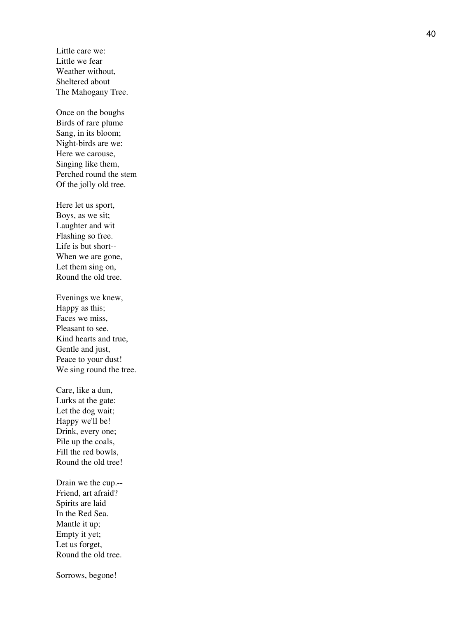Little care we: Little we fear Weather without, Sheltered about The Mahogany Tree.

Once on the boughs Birds of rare plume Sang, in its bloom; Night-birds are we: Here we carouse, Singing like them, Perched round the stem Of the jolly old tree.

Here let us sport, Boys, as we sit; Laughter and wit Flashing so free. Life is but short-- When we are gone, Let them sing on, Round the old tree.

Evenings we knew, Happy as this; Faces we miss, Pleasant to see. Kind hearts and true, Gentle and just, Peace to your dust! We sing round the tree.

Care, like a dun, Lurks at the gate: Let the dog wait; Happy we'll be! Drink, every one; Pile up the coals, Fill the red bowls, Round the old tree!

Drain we the cup.-- Friend, art afraid? Spirits are laid In the Red Sea. Mantle it up; Empty it yet; Let us forget, Round the old tree.

Sorrows, begone!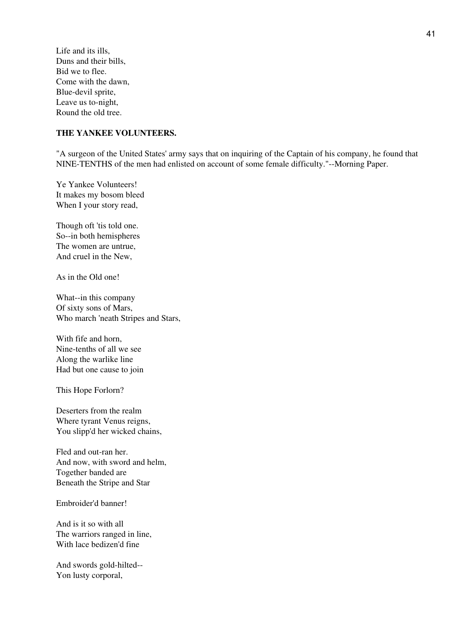Life and its ills, Duns and their bills, Bid we to flee. Come with the dawn, Blue-devil sprite, Leave us to-night, Round the old tree.

## **THE YANKEE VOLUNTEERS.**

"A surgeon of the United States' army says that on inquiring of the Captain of his company, he found that NINE-TENTHS of the men had enlisted on account of some female difficulty."--Morning Paper.

Ye Yankee Volunteers! It makes my bosom bleed When I your story read,

Though oft 'tis told one. So--in both hemispheres The women are untrue, And cruel in the New,

As in the Old one!

What--in this company Of sixty sons of Mars, Who march 'neath Stripes and Stars,

With fife and horn, Nine-tenths of all we see Along the warlike line Had but one cause to join

This Hope Forlorn?

Deserters from the realm Where tyrant Venus reigns, You slipp'd her wicked chains,

Fled and out-ran her. And now, with sword and helm, Together banded are Beneath the Stripe and Star

Embroider'd banner!

And is it so with all The warriors ranged in line, With lace bedizen'd fine

And swords gold-hilted-- Yon lusty corporal,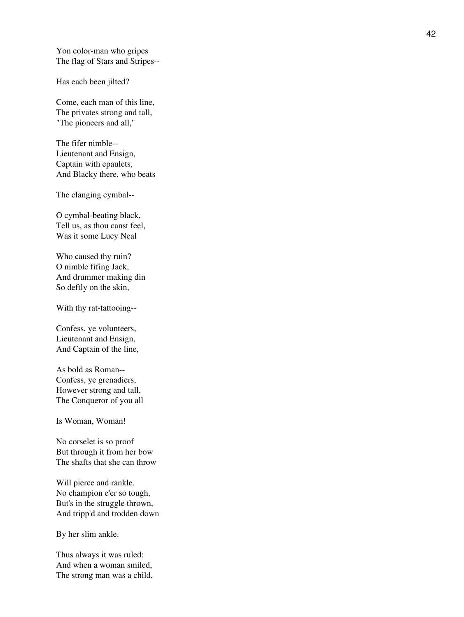Yon color-man who gripes The flag of Stars and Stripes--

Has each been jilted?

Come, each man of this line, The privates strong and tall, "The pioneers and all,"

The fifer nimble-- Lieutenant and Ensign, Captain with epaulets, And Blacky there, who beats

The clanging cymbal--

O cymbal-beating black, Tell us, as thou canst feel, Was it some Lucy Neal

Who caused thy ruin? O nimble fifing Jack, And drummer making din So deftly on the skin,

With thy rat-tattooing--

Confess, ye volunteers, Lieutenant and Ensign, And Captain of the line,

As bold as Roman-- Confess, ye grenadiers, However strong and tall, The Conqueror of you all

Is Woman, Woman!

No corselet is so proof But through it from her bow The shafts that she can throw

Will pierce and rankle. No champion e'er so tough, But's in the struggle thrown, And tripp'd and trodden down

By her slim ankle.

Thus always it was ruled: And when a woman smiled, The strong man was a child,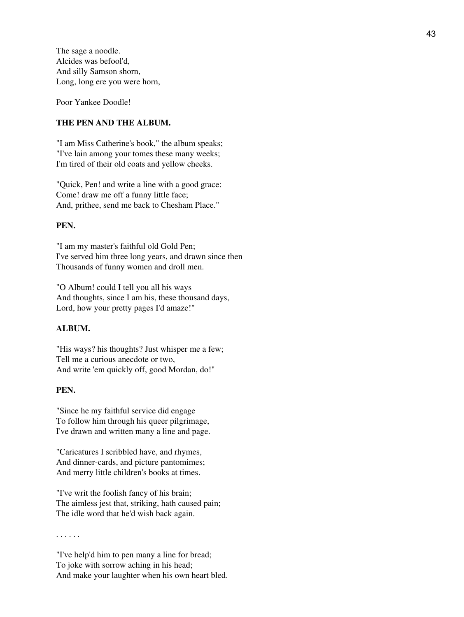The sage a noodle. Alcides was befool'd, And silly Samson shorn, Long, long ere you were horn,

Poor Yankee Doodle!

#### **THE PEN AND THE ALBUM.**

"I am Miss Catherine's book," the album speaks; "I've lain among your tomes these many weeks; I'm tired of their old coats and yellow cheeks.

"Quick, Pen! and write a line with a good grace: Come! draw me off a funny little face; And, prithee, send me back to Chesham Place."

## **PEN.**

"I am my master's faithful old Gold Pen; I've served him three long years, and drawn since then Thousands of funny women and droll men.

"O Album! could I tell you all his ways And thoughts, since I am his, these thousand days, Lord, how your pretty pages I'd amaze!"

#### **ALBUM.**

"His ways? his thoughts? Just whisper me a few; Tell me a curious anecdote or two, And write 'em quickly off, good Mordan, do!"

## **PEN.**

"Since he my faithful service did engage To follow him through his queer pilgrimage, I've drawn and written many a line and page.

"Caricatures I scribbled have, and rhymes, And dinner-cards, and picture pantomimes; And merry little children's books at times.

"I've writ the foolish fancy of his brain; The aimless jest that, striking, hath caused pain; The idle word that he'd wish back again.

. . . . . .

"I've help'd him to pen many a line for bread; To joke with sorrow aching in his head; And make your laughter when his own heart bled.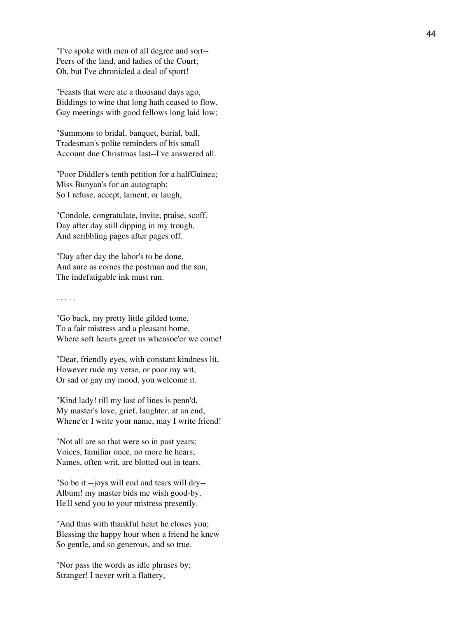"I've spoke with men of all degree and sort-- Peers of the land, and ladies of the Court; Oh, but I've chronicled a deal of sport!

"Feasts that were ate a thousand days ago, Biddings to wine that long hath ceased to flow, Gay meetings with good fellows long laid low;

"Summons to bridal, banquet, burial, ball, Tradesman's polite reminders of his small Account due Christmas last--I've answered all.

"Poor Diddler's tenth petition for a halfGuinea; Miss Bunyan's for an autograph; So I refuse, accept, lament, or laugh,

"Condole, congratulate, invite, praise, scoff. Day after day still dipping in my trough, And scribbling pages after pages off.

"Day after day the labor's to be done, And sure as comes the postman and the sun, The indefatigable ink must run.

. . . . .

"Go back, my pretty little gilded tome, To a fair mistress and a pleasant home, Where soft hearts greet us whensoe'er we come!

"Dear, friendly eyes, with constant kindness lit, However rude my verse, or poor my wit, Or sad or gay my mood, you welcome it.

"Kind lady! till my last of lines is penn'd, My master's love, grief, laughter, at an end, Whene'er I write your name, may I write friend!

"Not all are so that were so in past years; Voices, familiar once, no more he hears; Names, often writ, are blotted out in tears.

"So be it:--joys will end and tears will dry-- Album! my master bids me wish good-by, He'll send you to your mistress presently.

"And thus with thankful heart he closes you; Blessing the happy hour when a friend he knew So gentle, and so generous, and so true.

"Nor pass the words as idle phrases by; Stranger! I never writ a flattery,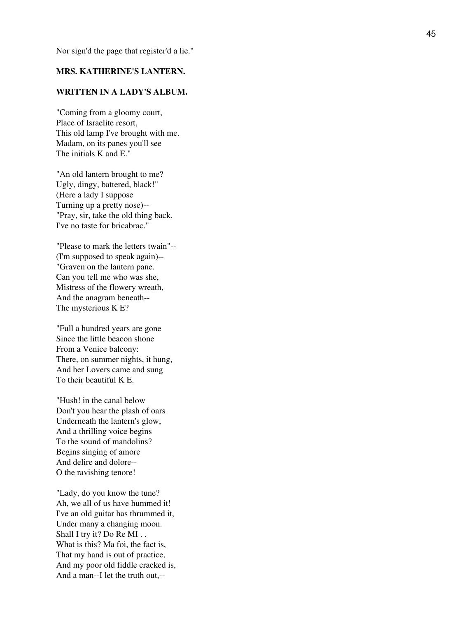Nor sign'd the page that register'd a lie."

## **MRS. KATHERINE'S LANTERN.**

## **WRITTEN IN A LADY'S ALBUM.**

"Coming from a gloomy court, Place of Israelite resort, This old lamp I've brought with me. Madam, on its panes you'll see The initials K and E."

"An old lantern brought to me? Ugly, dingy, battered, black!" (Here a lady I suppose Turning up a pretty nose)-- "Pray, sir, take the old thing back. I've no taste for bricabrac."

"Please to mark the letters twain"-- (I'm supposed to speak again)-- "Graven on the lantern pane. Can you tell me who was she, Mistress of the flowery wreath, And the anagram beneath-- The mysterious K E?

"Full a hundred years are gone Since the little beacon shone From a Venice balcony: There, on summer nights, it hung, And her Lovers came and sung To their beautiful K E.

"Hush! in the canal below Don't you hear the plash of oars Underneath the lantern's glow, And a thrilling voice begins To the sound of mandolins? Begins singing of amore And delire and dolore-- O the ravishing tenore!

"Lady, do you know the tune? Ah, we all of us have hummed it! I've an old guitar has thrummed it, Under many a changing moon. Shall I try it? Do Re MI... What is this? Ma foi, the fact is, That my hand is out of practice, And my poor old fiddle cracked is, And a man--I let the truth out,--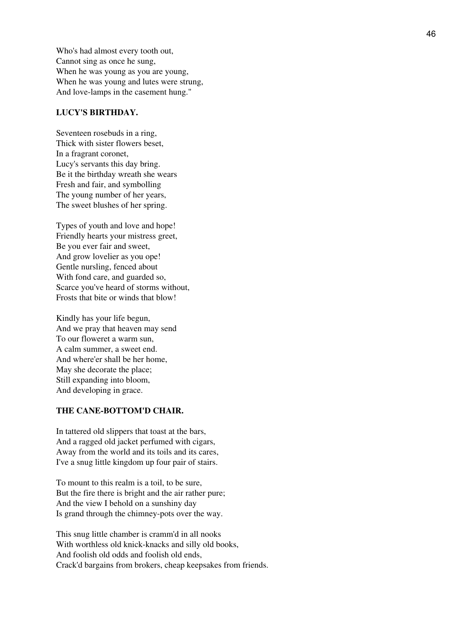Who's had almost every tooth out, Cannot sing as once he sung, When he was young as you are young, When he was young and lutes were strung, And love-lamps in the casement hung."

#### **LUCY'S BIRTHDAY.**

Seventeen rosebuds in a ring, Thick with sister flowers beset, In a fragrant coronet, Lucy's servants this day bring. Be it the birthday wreath she wears Fresh and fair, and symbolling The young number of her years, The sweet blushes of her spring.

Types of youth and love and hope! Friendly hearts your mistress greet, Be you ever fair and sweet, And grow lovelier as you ope! Gentle nursling, fenced about With fond care, and guarded so, Scarce you've heard of storms without, Frosts that bite or winds that blow!

Kindly has your life begun, And we pray that heaven may send To our floweret a warm sun, A calm summer, a sweet end. And where'er shall be her home, May she decorate the place; Still expanding into bloom, And developing in grace.

## **THE CANE-BOTTOM'D CHAIR.**

In tattered old slippers that toast at the bars, And a ragged old jacket perfumed with cigars, Away from the world and its toils and its cares, I've a snug little kingdom up four pair of stairs.

To mount to this realm is a toil, to be sure, But the fire there is bright and the air rather pure; And the view I behold on a sunshiny day Is grand through the chimney-pots over the way.

This snug little chamber is cramm'd in all nooks With worthless old knick-knacks and silly old books, And foolish old odds and foolish old ends, Crack'd bargains from brokers, cheap keepsakes from friends.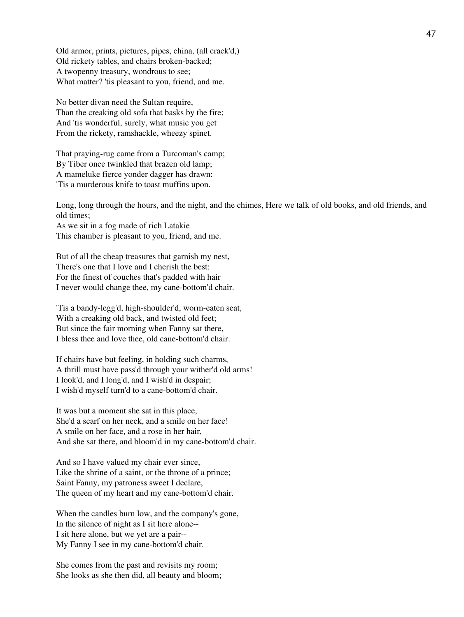Old armor, prints, pictures, pipes, china, (all crack'd,) Old rickety tables, and chairs broken-backed; A twopenny treasury, wondrous to see; What matter? 'tis pleasant to you, friend, and me.

No better divan need the Sultan require, Than the creaking old sofa that basks by the fire; And 'tis wonderful, surely, what music you get From the rickety, ramshackle, wheezy spinet.

That praying-rug came from a Turcoman's camp; By Tiber once twinkled that brazen old lamp; A mameluke fierce yonder dagger has drawn: 'Tis a murderous knife to toast muffins upon.

Long, long through the hours, and the night, and the chimes, Here we talk of old books, and old friends, and old times; As we sit in a fog made of rich Latakie

This chamber is pleasant to you, friend, and me.

But of all the cheap treasures that garnish my nest, There's one that I love and I cherish the best: For the finest of couches that's padded with hair I never would change thee, my cane-bottom'd chair.

'Tis a bandy-legg'd, high-shoulder'd, worm-eaten seat, With a creaking old back, and twisted old feet; But since the fair morning when Fanny sat there, I bless thee and love thee, old cane-bottom'd chair.

If chairs have but feeling, in holding such charms, A thrill must have pass'd through your wither'd old arms! I look'd, and I long'd, and I wish'd in despair; I wish'd myself turn'd to a cane-bottom'd chair.

It was but a moment she sat in this place, She'd a scarf on her neck, and a smile on her face! A smile on her face, and a rose in her hair, And she sat there, and bloom'd in my cane-bottom'd chair.

And so I have valued my chair ever since, Like the shrine of a saint, or the throne of a prince; Saint Fanny, my patroness sweet I declare, The queen of my heart and my cane-bottom'd chair.

When the candles burn low, and the company's gone, In the silence of night as I sit here alone-- I sit here alone, but we yet are a pair-- My Fanny I see in my cane-bottom'd chair.

She comes from the past and revisits my room; She looks as she then did, all beauty and bloom;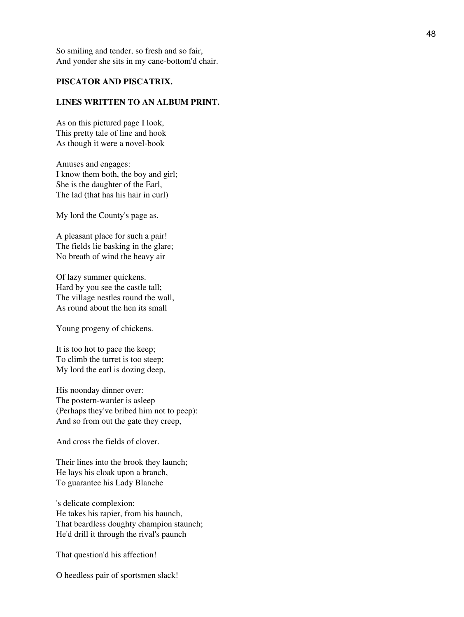So smiling and tender, so fresh and so fair, And yonder she sits in my cane-bottom'd chair.

## **PISCATOR AND PISCATRIX.**

### **LINES WRITTEN TO AN ALBUM PRINT.**

As on this pictured page I look, This pretty tale of line and hook As though it were a novel-book

Amuses and engages: I know them both, the boy and girl; She is the daughter of the Earl, The lad (that has his hair in curl)

My lord the County's page as.

A pleasant place for such a pair! The fields lie basking in the glare; No breath of wind the heavy air

Of lazy summer quickens. Hard by you see the castle tall; The village nestles round the wall, As round about the hen its small

Young progeny of chickens.

It is too hot to pace the keep; To climb the turret is too steep; My lord the earl is dozing deep,

His noonday dinner over: The postern-warder is asleep (Perhaps they've bribed him not to peep): And so from out the gate they creep,

And cross the fields of clover.

Their lines into the brook they launch; He lays his cloak upon a branch, To guarantee his Lady Blanche

's delicate complexion: He takes his rapier, from his haunch, That beardless doughty champion staunch; He'd drill it through the rival's paunch

That question'd his affection!

O heedless pair of sportsmen slack!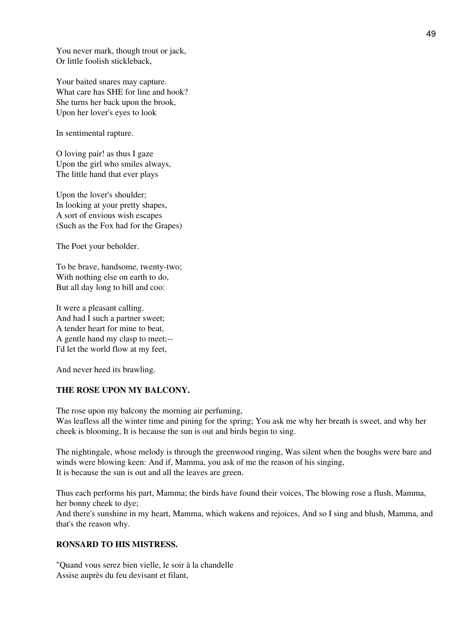You never mark, though trout or jack, Or little foolish stickleback,

Your baited snares may capture. What care has SHE for line and hook? She turns her back upon the brook, Upon her lover's eyes to look

In sentimental rapture.

O loving pair! as thus I gaze Upon the girl who smiles always, The little hand that ever plays

Upon the lover's shoulder; In looking at your pretty shapes, A sort of envious wish escapes (Such as the Fox had for the Grapes)

The Poet your beholder.

To be brave, handsome, twenty-two; With nothing else on earth to do, But all day long to bill and coo:

It were a pleasant calling. And had I such a partner sweet; A tender heart for mine to beat, A gentle hand my clasp to meet;-- I'd let the world flow at my feet,

And never heed its brawling.

## **THE ROSE UPON MY BALCONY.**

The rose upon my balcony the morning air perfuming, Was leafless all the winter time and pining for the spring; You ask me why her breath is sweet, and why her cheek is blooming, It is because the sun is out and birds begin to sing.

The nightingale, whose melody is through the greenwood ringing, Was silent when the boughs were bare and winds were blowing keen: And if, Mamma, you ask of me the reason of his singing, It is because the sun is out and all the leaves are green.

Thus each performs his part, Mamma; the birds have found their voices, The blowing rose a flush, Mamma, her bonny cheek to dye;

And there's sunshine in my heart, Mamma, which wakens and rejoices, And so I sing and blush, Mamma, and that's the reason why.

## **RONSARD TO HIS MISTRESS.**

"Quand vous serez bien vielle, le soir à la chandelle Assise auprès du feu devisant et filant,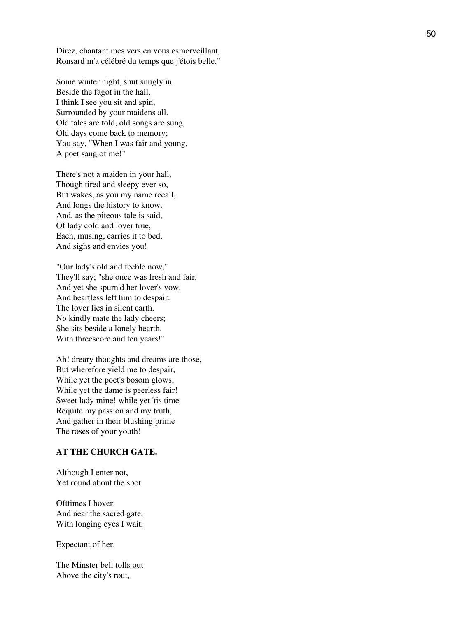Direz, chantant mes vers en vous esmerveillant, Ronsard m'a célébré du temps que j'étois belle."

Some winter night, shut snugly in Beside the fagot in the hall, I think I see you sit and spin, Surrounded by your maidens all. Old tales are told, old songs are sung, Old days come back to memory; You say, "When I was fair and young, A poet sang of me!"

There's not a maiden in your hall, Though tired and sleepy ever so, But wakes, as you my name recall, And longs the history to know. And, as the piteous tale is said, Of lady cold and lover true, Each, musing, carries it to bed, And sighs and envies you!

"Our lady's old and feeble now," They'll say; "she once was fresh and fair, And yet she spurn'd her lover's vow, And heartless left him to despair: The lover lies in silent earth, No kindly mate the lady cheers; She sits beside a lonely hearth, With threescore and ten years!"

Ah! dreary thoughts and dreams are those, But wherefore yield me to despair, While yet the poet's bosom glows, While yet the dame is peerless fair! Sweet lady mine! while yet 'tis time Requite my passion and my truth, And gather in their blushing prime The roses of your youth!

#### **AT THE CHURCH GATE.**

Although I enter not, Yet round about the spot

Ofttimes I hover: And near the sacred gate, With longing eyes I wait,

Expectant of her.

The Minster bell tolls out Above the city's rout,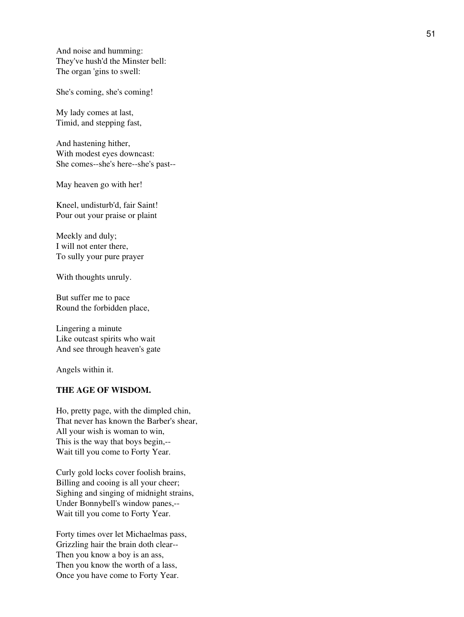And noise and humming: They've hush'd the Minster bell: The organ 'gins to swell:

She's coming, she's coming!

My lady comes at last, Timid, and stepping fast,

And hastening hither, With modest eyes downcast: She comes--she's here--she's past--

May heaven go with her!

Kneel, undisturb'd, fair Saint! Pour out your praise or plaint

Meekly and duly; I will not enter there, To sully your pure prayer

With thoughts unruly.

But suffer me to pace Round the forbidden place,

Lingering a minute Like outcast spirits who wait And see through heaven's gate

Angels within it.

## **THE AGE OF WISDOM.**

Ho, pretty page, with the dimpled chin, That never has known the Barber's shear, All your wish is woman to win, This is the way that boys begin,-- Wait till you come to Forty Year.

Curly gold locks cover foolish brains, Billing and cooing is all your cheer; Sighing and singing of midnight strains, Under Bonnybell's window panes,-- Wait till you come to Forty Year.

Forty times over let Michaelmas pass, Grizzling hair the brain doth clear-- Then you know a boy is an ass, Then you know the worth of a lass, Once you have come to Forty Year.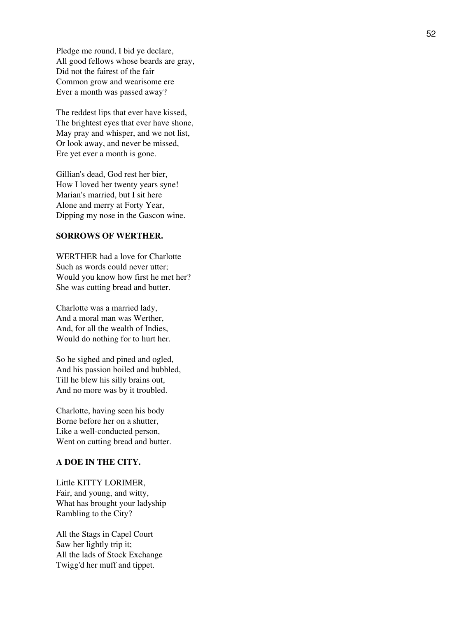Pledge me round, I bid ye declare, All good fellows whose beards are gray, Did not the fairest of the fair Common grow and wearisome ere Ever a month was passed away?

The reddest lips that ever have kissed, The brightest eyes that ever have shone, May pray and whisper, and we not list, Or look away, and never be missed, Ere yet ever a month is gone.

Gillian's dead, God rest her bier, How I loved her twenty years syne! Marian's married, but I sit here Alone and merry at Forty Year, Dipping my nose in the Gascon wine.

## **SORROWS OF WERTHER.**

WERTHER had a love for Charlotte Such as words could never utter; Would you know how first he met her? She was cutting bread and butter.

Charlotte was a married lady, And a moral man was Werther, And, for all the wealth of Indies, Would do nothing for to hurt her.

So he sighed and pined and ogled, And his passion boiled and bubbled, Till he blew his silly brains out, And no more was by it troubled.

Charlotte, having seen his body Borne before her on a shutter, Like a well-conducted person, Went on cutting bread and butter.

## **A DOE IN THE CITY.**

Little KITTY LORIMER, Fair, and young, and witty, What has brought your ladyship Rambling to the City?

All the Stags in Capel Court Saw her lightly trip it; All the lads of Stock Exchange Twigg'd her muff and tippet.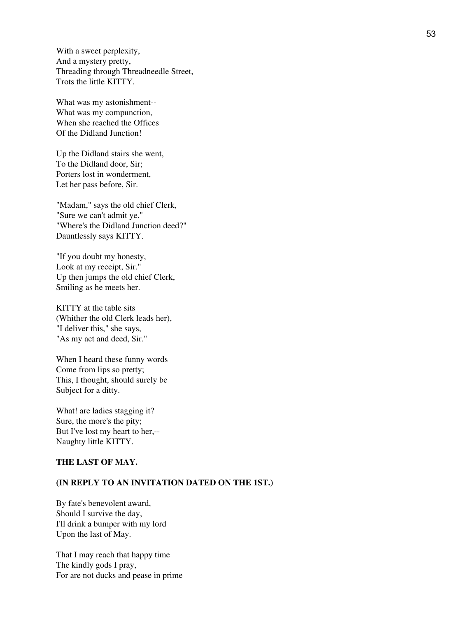With a sweet perplexity, And a mystery pretty, Threading through Threadneedle Street, Trots the little KITTY.

What was my astonishment-- What was my compunction, When she reached the Offices Of the Didland Junction!

Up the Didland stairs she went, To the Didland door, Sir; Porters lost in wonderment, Let her pass before, Sir.

"Madam," says the old chief Clerk, "Sure we can't admit ye." "Where's the Didland Junction deed?" Dauntlessly says KITTY.

"If you doubt my honesty, Look at my receipt, Sir." Up then jumps the old chief Clerk, Smiling as he meets her.

KITTY at the table sits (Whither the old Clerk leads her), "I deliver this," she says, "As my act and deed, Sir."

When I heard these funny words Come from lips so pretty; This, I thought, should surely be Subject for a ditty.

What! are ladies stagging it? Sure, the more's the pity; But I've lost my heart to her,-- Naughty little KITTY.

## **THE LAST OF MAY.**

#### **(IN REPLY TO AN INVITATION DATED ON THE 1ST.)**

By fate's benevolent award, Should I survive the day, I'll drink a bumper with my lord Upon the last of May.

That I may reach that happy time The kindly gods I pray, For are not ducks and pease in prime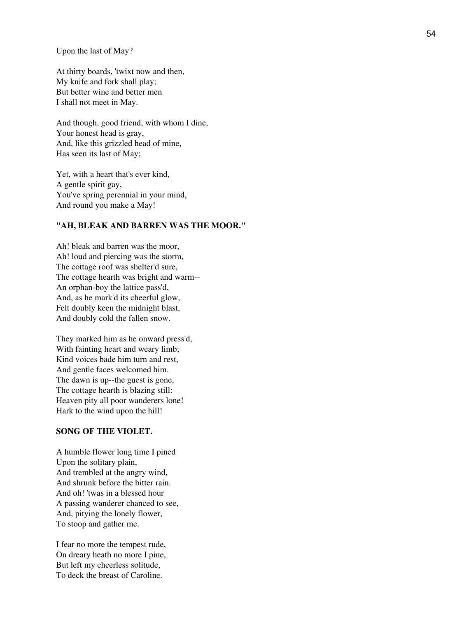Upon the last of May?

At thirty boards, 'twixt now and then, My knife and fork shall play; But better wine and better men I shall not meet in May.

And though, good friend, with whom I dine, Your honest head is gray, And, like this grizzled head of mine, Has seen its last of May;

Yet, with a heart that's ever kind, A gentle spirit gay, You've spring perennial in your mind, And round you make a May!

#### **"AH, BLEAK AND BARREN WAS THE MOOR."**

Ah! bleak and barren was the moor, Ah! loud and piercing was the storm, The cottage roof was shelter'd sure, The cottage hearth was bright and warm-- An orphan-boy the lattice pass'd, And, as he mark'd its cheerful glow, Felt doubly keen the midnight blast, And doubly cold the fallen snow.

They marked him as he onward press'd, With fainting heart and weary limb; Kind voices bade him turn and rest, And gentle faces welcomed him. The dawn is up--the guest is gone, The cottage hearth is blazing still: Heaven pity all poor wanderers lone! Hark to the wind upon the hill!

#### **SONG OF THE VIOLET.**

A humble flower long time I pined Upon the solitary plain, And trembled at the angry wind, And shrunk before the bitter rain. And oh! 'twas in a blessed hour A passing wanderer chanced to see, And, pitying the lonely flower, To stoop and gather me.

I fear no more the tempest rude, On dreary heath no more I pine, But left my cheerless solitude, To deck the breast of Caroline.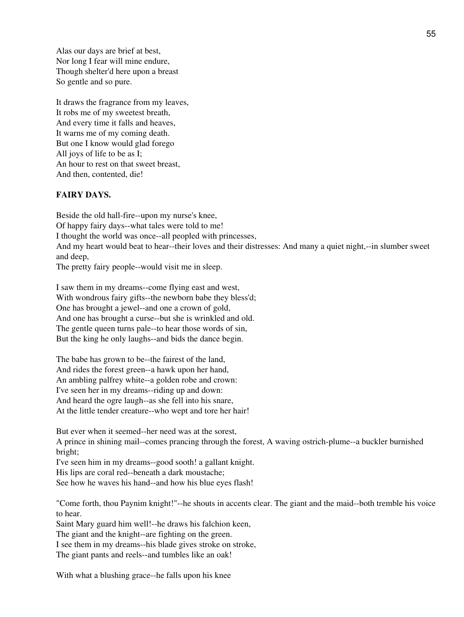Alas our days are brief at best, Nor long I fear will mine endure, Though shelter'd here upon a breast So gentle and so pure.

It draws the fragrance from my leaves, It robs me of my sweetest breath, And every time it falls and heaves, It warns me of my coming death. But one I know would glad forego All joys of life to be as I; An hour to rest on that sweet breast, And then, contented, die!

## **FAIRY DAYS.**

Beside the old hall-fire--upon my nurse's knee, Of happy fairy days--what tales were told to me! I thought the world was once--all peopled with princesses, And my heart would beat to hear--their loves and their distresses: And many a quiet night,--in slumber sweet and deep,

The pretty fairy people--would visit me in sleep.

I saw them in my dreams--come flying east and west, With wondrous fairy gifts--the newborn babe they bless'd; One has brought a jewel--and one a crown of gold, And one has brought a curse--but she is wrinkled and old. The gentle queen turns pale--to hear those words of sin, But the king he only laughs--and bids the dance begin.

The babe has grown to be--the fairest of the land, And rides the forest green--a hawk upon her hand, An ambling palfrey white--a golden robe and crown: I've seen her in my dreams--riding up and down: And heard the ogre laugh--as she fell into his snare, At the little tender creature--who wept and tore her hair!

But ever when it seemed--her need was at the sorest, A prince in shining mail--comes prancing through the forest, A waving ostrich-plume--a buckler burnished bright;

I've seen him in my dreams--good sooth! a gallant knight.

His lips are coral red--beneath a dark moustache;

See how he waves his hand--and how his blue eyes flash!

"Come forth, thou Paynim knight!"--he shouts in accents clear. The giant and the maid--both tremble his voice to hear.

Saint Mary guard him well!--he draws his falchion keen, The giant and the knight--are fighting on the green. I see them in my dreams--his blade gives stroke on stroke, The giant pants and reels--and tumbles like an oak!

With what a blushing grace--he falls upon his knee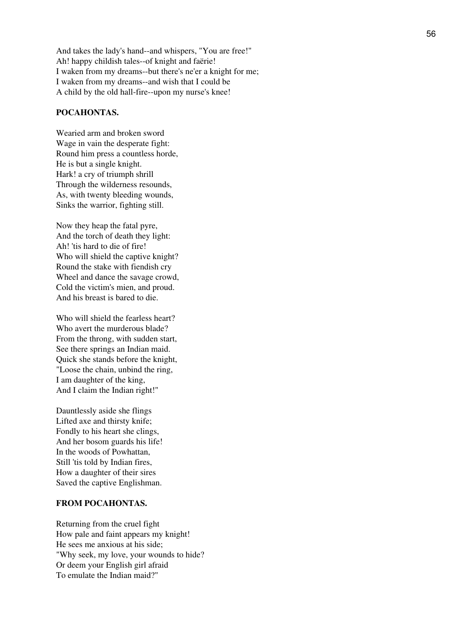And takes the lady's hand--and whispers, "You are free!" Ah! happy childish tales--of knight and faërie! I waken from my dreams--but there's ne'er a knight for me; I waken from my dreams--and wish that I could be A child by the old hall-fire--upon my nurse's knee!

#### **POCAHONTAS.**

Wearied arm and broken sword Wage in vain the desperate fight: Round him press a countless horde, He is but a single knight. Hark! a cry of triumph shrill Through the wilderness resounds, As, with twenty bleeding wounds, Sinks the warrior, fighting still.

Now they heap the fatal pyre, And the torch of death they light: Ah! 'tis hard to die of fire! Who will shield the captive knight? Round the stake with fiendish cry Wheel and dance the savage crowd, Cold the victim's mien, and proud. And his breast is bared to die.

Who will shield the fearless heart? Who avert the murderous blade? From the throng, with sudden start, See there springs an Indian maid. Quick she stands before the knight, "Loose the chain, unbind the ring, I am daughter of the king, And I claim the Indian right!"

Dauntlessly aside she flings Lifted axe and thirsty knife; Fondly to his heart she clings, And her bosom guards his life! In the woods of Powhattan, Still 'tis told by Indian fires, How a daughter of their sires Saved the captive Englishman.

## **FROM POCAHONTAS.**

Returning from the cruel fight How pale and faint appears my knight! He sees me anxious at his side; "Why seek, my love, your wounds to hide? Or deem your English girl afraid To emulate the Indian maid?"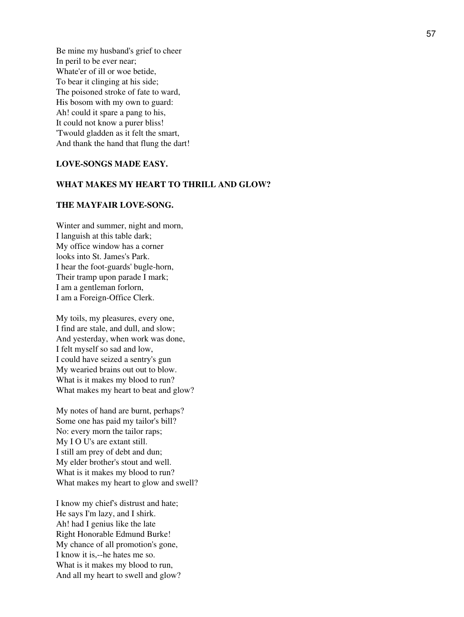Be mine my husband's grief to cheer In peril to be ever near; Whate'er of ill or woe betide, To bear it clinging at his side; The poisoned stroke of fate to ward, His bosom with my own to guard: Ah! could it spare a pang to his, It could not know a purer bliss! 'Twould gladden as it felt the smart, And thank the hand that flung the dart!

## **LOVE-SONGS MADE EASY.**

#### **WHAT MAKES MY HEART TO THRILL AND GLOW?**

## **THE MAYFAIR LOVE-SONG.**

Winter and summer, night and morn, I languish at this table dark; My office window has a corner looks into St. James's Park. I hear the foot-guards' bugle-horn, Their tramp upon parade I mark; I am a gentleman forlorn, I am a Foreign-Office Clerk.

My toils, my pleasures, every one, I find are stale, and dull, and slow; And yesterday, when work was done, I felt myself so sad and low, I could have seized a sentry's gun My wearied brains out out to blow. What is it makes my blood to run? What makes my heart to beat and glow?

My notes of hand are burnt, perhaps? Some one has paid my tailor's bill? No: every morn the tailor raps; My I O U's are extant still. I still am prey of debt and dun; My elder brother's stout and well. What is it makes my blood to run? What makes my heart to glow and swell?

I know my chief's distrust and hate; He says I'm lazy, and I shirk. Ah! had I genius like the late Right Honorable Edmund Burke! My chance of all promotion's gone, I know it is,--he hates me so. What is it makes my blood to run, And all my heart to swell and glow?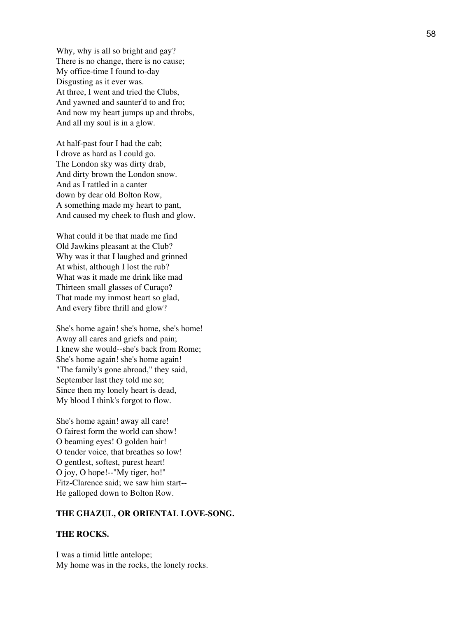Why, why is all so bright and gay? There is no change, there is no cause; My office-time I found to-day Disgusting as it ever was. At three, I went and tried the Clubs, And yawned and saunter'd to and fro; And now my heart jumps up and throbs, And all my soul is in a glow.

At half-past four I had the cab; I drove as hard as I could go. The London sky was dirty drab, And dirty brown the London snow. And as I rattled in a canter down by dear old Bolton Row, A something made my heart to pant, And caused my cheek to flush and glow.

What could it be that made me find Old Jawkins pleasant at the Club? Why was it that I laughed and grinned At whist, although I lost the rub? What was it made me drink like mad Thirteen small glasses of Curaço? That made my inmost heart so glad, And every fibre thrill and glow?

She's home again! she's home, she's home! Away all cares and griefs and pain; I knew she would--she's back from Rome; She's home again! she's home again! "The family's gone abroad," they said, September last they told me so; Since then my lonely heart is dead, My blood I think's forgot to flow.

She's home again! away all care! O fairest form the world can show! O beaming eyes! O golden hair! O tender voice, that breathes so low! O gentlest, softest, purest heart! O joy, O hope!--"My tiger, ho!" Fitz-Clarence said; we saw him start-- He galloped down to Bolton Row.

### **THE GHAZUL, OR ORIENTAL LOVE-SONG.**

#### **THE ROCKS.**

I was a timid little antelope; My home was in the rocks, the lonely rocks.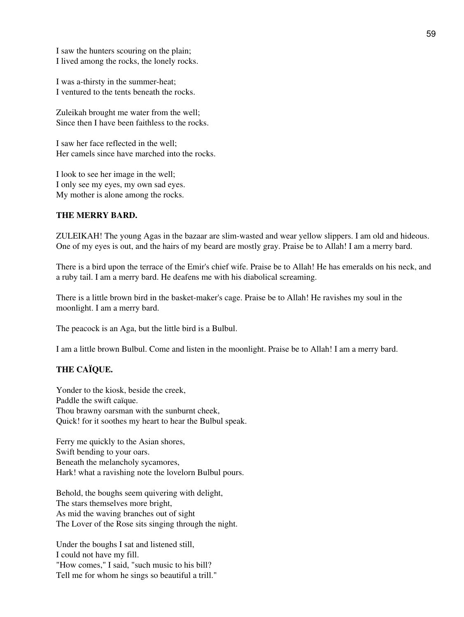I saw the hunters scouring on the plain; I lived among the rocks, the lonely rocks.

I was a-thirsty in the summer-heat; I ventured to the tents beneath the rocks.

Zuleikah brought me water from the well; Since then I have been faithless to the rocks.

I saw her face reflected in the well; Her camels since have marched into the rocks.

I look to see her image in the well; I only see my eyes, my own sad eyes. My mother is alone among the rocks.

#### **THE MERRY BARD.**

ZULEIKAH! The young Agas in the bazaar are slim-wasted and wear yellow slippers. I am old and hideous. One of my eyes is out, and the hairs of my beard are mostly gray. Praise be to Allah! I am a merry bard.

There is a bird upon the terrace of the Emir's chief wife. Praise be to Allah! He has emeralds on his neck, and a ruby tail. I am a merry bard. He deafens me with his diabolical screaming.

There is a little brown bird in the basket-maker's cage. Praise be to Allah! He ravishes my soul in the moonlight. I am a merry bard.

The peacock is an Aga, but the little bird is a Bulbul.

I am a little brown Bulbul. Come and listen in the moonlight. Praise be to Allah! I am a merry bard.

## **THE CAÏQUE.**

Yonder to the kiosk, beside the creek, Paddle the swift caïque. Thou brawny oarsman with the sunburnt cheek, Quick! for it soothes my heart to hear the Bulbul speak.

Ferry me quickly to the Asian shores, Swift bending to your oars. Beneath the melancholy sycamores, Hark! what a ravishing note the lovelorn Bulbul pours.

Behold, the boughs seem quivering with delight, The stars themselves more bright, As mid the waving branches out of sight The Lover of the Rose sits singing through the night.

Under the boughs I sat and listened still, I could not have my fill. "How comes," I said, "such music to his bill? Tell me for whom he sings so beautiful a trill."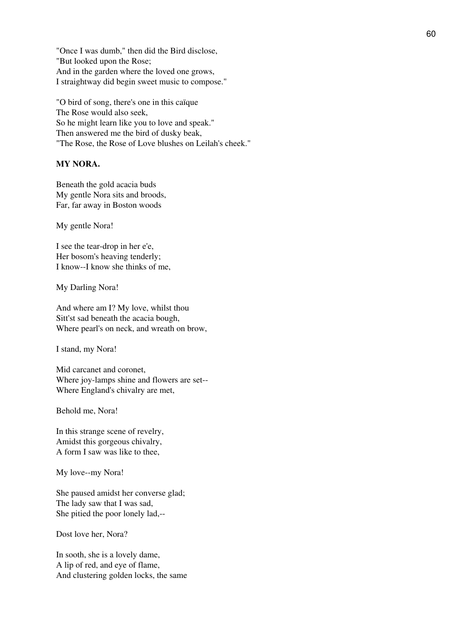"Once I was dumb," then did the Bird disclose, "But looked upon the Rose; And in the garden where the loved one grows, I straightway did begin sweet music to compose."

"O bird of song, there's one in this caïque The Rose would also seek, So he might learn like you to love and speak." Then answered me the bird of dusky beak, "The Rose, the Rose of Love blushes on Leilah's cheek."

#### **MY NORA.**

Beneath the gold acacia buds My gentle Nora sits and broods, Far, far away in Boston woods

My gentle Nora!

I see the tear-drop in her e'e, Her bosom's heaving tenderly; I know--I know she thinks of me,

My Darling Nora!

And where am I? My love, whilst thou Sitt'st sad beneath the acacia bough, Where pearl's on neck, and wreath on brow,

I stand, my Nora!

Mid carcanet and coronet, Where joy-lamps shine and flowers are set-- Where England's chivalry are met,

Behold me, Nora!

In this strange scene of revelry, Amidst this gorgeous chivalry, A form I saw was like to thee,

My love--my Nora!

She paused amidst her converse glad; The lady saw that I was sad, She pitied the poor lonely lad,--

Dost love her, Nora?

In sooth, she is a lovely dame, A lip of red, and eye of flame, And clustering golden locks, the same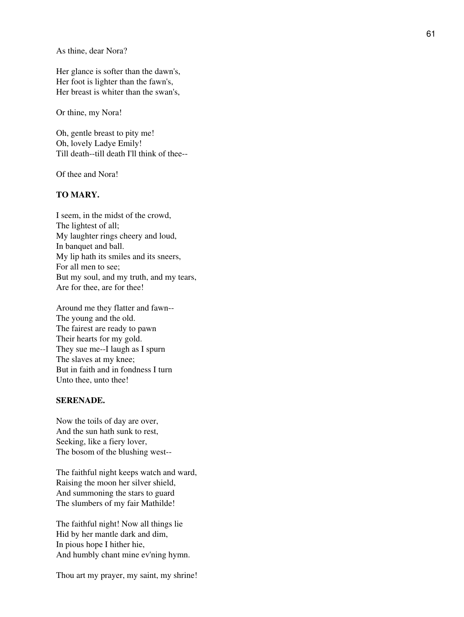As thine, dear Nora?

Her glance is softer than the dawn's, Her foot is lighter than the fawn's, Her breast is whiter than the swan's,

Or thine, my Nora!

Oh, gentle breast to pity me! Oh, lovely Ladye Emily! Till death--till death I'll think of thee--

Of thee and Nora!

## **TO MARY.**

I seem, in the midst of the crowd, The lightest of all; My laughter rings cheery and loud, In banquet and ball. My lip hath its smiles and its sneers, For all men to see; But my soul, and my truth, and my tears, Are for thee, are for thee!

Around me they flatter and fawn-- The young and the old. The fairest are ready to pawn Their hearts for my gold. They sue me--I laugh as I spurn The slaves at my knee; But in faith and in fondness I turn Unto thee, unto thee!

## **SERENADE.**

Now the toils of day are over, And the sun hath sunk to rest, Seeking, like a fiery lover, The bosom of the blushing west--

The faithful night keeps watch and ward, Raising the moon her silver shield, And summoning the stars to guard The slumbers of my fair Mathilde!

The faithful night! Now all things lie Hid by her mantle dark and dim, In pious hope I hither hie, And humbly chant mine ev'ning hymn.

Thou art my prayer, my saint, my shrine!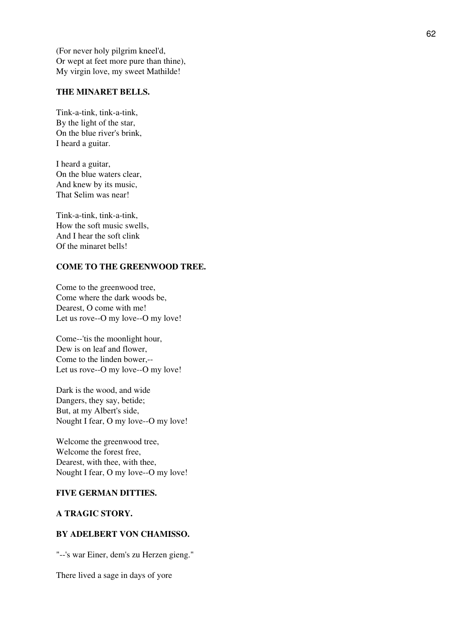(For never holy pilgrim kneel'd, Or wept at feet more pure than thine), My virgin love, my sweet Mathilde!

## **THE MINARET BELLS.**

Tink-a-tink, tink-a-tink, By the light of the star, On the blue river's brink, I heard a guitar.

I heard a guitar, On the blue waters clear, And knew by its music, That Selim was near!

Tink-a-tink, tink-a-tink, How the soft music swells, And I hear the soft clink Of the minaret bells!

## **COME TO THE GREENWOOD TREE.**

Come to the greenwood tree, Come where the dark woods be, Dearest, O come with me! Let us rove--O my love--O my love!

Come--'tis the moonlight hour, Dew is on leaf and flower, Come to the linden bower,-- Let us rove--O my love--O my love!

Dark is the wood, and wide Dangers, they say, betide; But, at my Albert's side, Nought I fear, O my love--O my love!

Welcome the greenwood tree, Welcome the forest free, Dearest, with thee, with thee, Nought I fear, O my love--O my love!

## **FIVE GERMAN DITTIES.**

## **A TRAGIC STORY.**

## **BY ADELBERT VON CHAMISSO.**

"--'s war Einer, dem's zu Herzen gieng."

There lived a sage in days of yore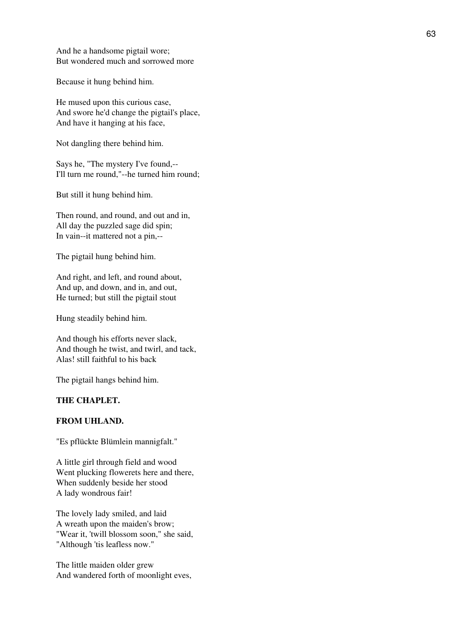And he a handsome pigtail wore; But wondered much and sorrowed more

Because it hung behind him.

He mused upon this curious case, And swore he'd change the pigtail's place, And have it hanging at his face,

Not dangling there behind him.

Says he, "The mystery I've found,-- I'll turn me round,"--he turned him round;

But still it hung behind him.

Then round, and round, and out and in, All day the puzzled sage did spin; In vain--it mattered not a pin,--

The pigtail hung behind him.

And right, and left, and round about, And up, and down, and in, and out, He turned; but still the pigtail stout

Hung steadily behind him.

And though his efforts never slack, And though he twist, and twirl, and tack, Alas! still faithful to his back

The pigtail hangs behind him.

## **THE CHAPLET.**

## **FROM UHLAND.**

"Es pflückte Blümlein mannigfalt."

A little girl through field and wood Went plucking flowerets here and there, When suddenly beside her stood A lady wondrous fair!

The lovely lady smiled, and laid A wreath upon the maiden's brow; "Wear it, 'twill blossom soon," she said, "Although 'tis leafless now."

The little maiden older grew And wandered forth of moonlight eves,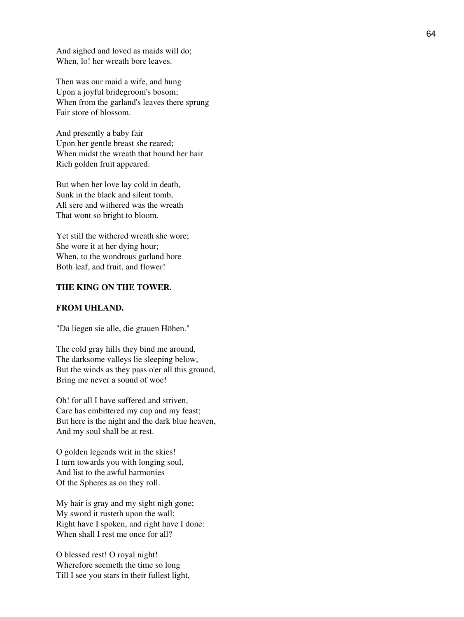And sighed and loved as maids will do; When, lo! her wreath bore leaves.

Then was our maid a wife, and hung Upon a joyful bridegroom's bosom; When from the garland's leaves there sprung Fair store of blossom.

And presently a baby fair Upon her gentle breast she reared; When midst the wreath that bound her hair Rich golden fruit appeared.

But when her love lay cold in death, Sunk in the black and silent tomb, All sere and withered was the wreath That wont so bright to bloom.

Yet still the withered wreath she wore; She wore it at her dying hour; When, to the wondrous garland bore Both leaf, and fruit, and flower!

## **THE KING ON THE TOWER.**

## **FROM UHLAND.**

"Da liegen sie alle, die grauen Höhen."

The cold gray hills they bind me around, The darksome valleys lie sleeping below, But the winds as they pass o'er all this ground, Bring me never a sound of woe!

Oh! for all I have suffered and striven, Care has embittered my cup and my feast; But here is the night and the dark blue heaven, And my soul shall be at rest.

O golden legends writ in the skies! I turn towards you with longing soul, And list to the awful harmonies Of the Spheres as on they roll.

My hair is gray and my sight nigh gone; My sword it rusteth upon the wall; Right have I spoken, and right have I done: When shall I rest me once for all?

O blessed rest! O royal night! Wherefore seemeth the time so long Till I see you stars in their fullest light,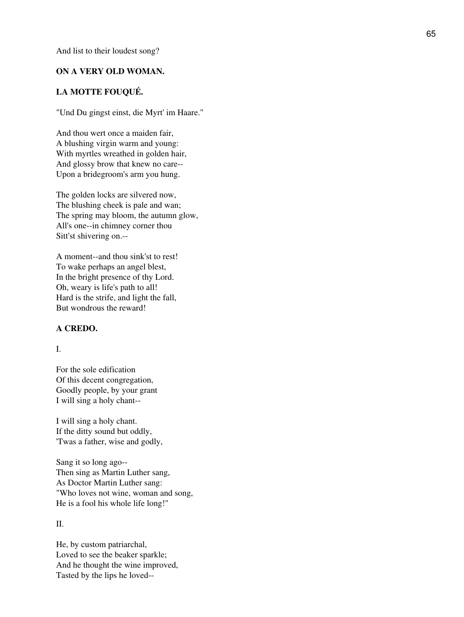And list to their loudest song?

#### **ON A VERY OLD WOMAN.**

## **LA MOTTE FOUQUÉ.**

"Und Du gingst einst, die Myrt' im Haare."

And thou wert once a maiden fair, A blushing virgin warm and young: With myrtles wreathed in golden hair, And glossy brow that knew no care-- Upon a bridegroom's arm you hung.

The golden locks are silvered now, The blushing cheek is pale and wan; The spring may bloom, the autumn glow, All's one--in chimney corner thou Sitt'st shivering on.--

A moment--and thou sink'st to rest! To wake perhaps an angel blest, In the bright presence of thy Lord. Oh, weary is life's path to all! Hard is the strife, and light the fall, But wondrous the reward!

#### **A CREDO.**

## I.

For the sole edification Of this decent congregation, Goodly people, by your grant I will sing a holy chant--

I will sing a holy chant. If the ditty sound but oddly, 'Twas a father, wise and godly,

Sang it so long ago-- Then sing as Martin Luther sang, As Doctor Martin Luther sang: "Who loves not wine, woman and song, He is a fool his whole life long!"

## II.

He, by custom patriarchal, Loved to see the beaker sparkle; And he thought the wine improved, Tasted by the lips he loved--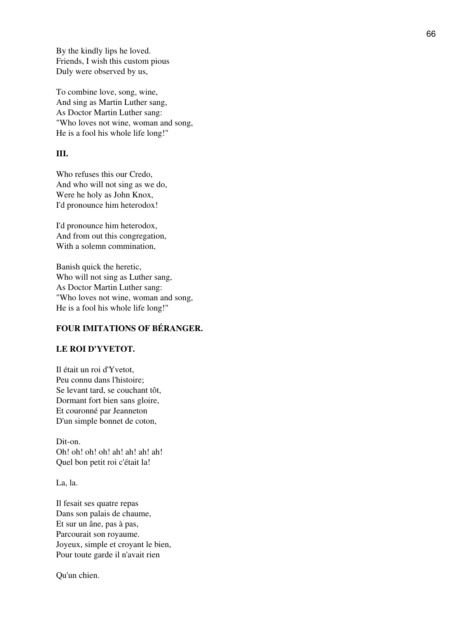By the kindly lips he loved. Friends, I wish this custom pious Duly were observed by us,

To combine love, song, wine, And sing as Martin Luther sang, As Doctor Martin Luther sang: "Who loves not wine, woman and song, He is a fool his whole life long!"

## **III.**

Who refuses this our Credo, And who will not sing as we do, Were he holy as John Knox, I'd pronounce him heterodox!

I'd pronounce him heterodox, And from out this congregation, With a solemn commination,

Banish quick the heretic, Who will not sing as Luther sang, As Doctor Martin Luther sang: "Who loves not wine, woman and song, He is a fool his whole life long!"

## **FOUR IMITATIONS OF BÉRANGER.**

## **LE ROI D'YVETOT.**

Il était un roi d'Yvetot, Peu connu dans l'histoire; Se levant tard, se couchant tôt, Dormant fort bien sans gloire, Et couronné par Jeanneton D'un simple bonnet de coton,

Dit-on. Oh! oh! oh! oh! ah! ah! ah! ah! Quel bon petit roi c'était la!

La, la.

Il fesait ses quatre repas Dans son palais de chaume, Et sur un âne, pas à pas, Parcourait son royaume. Joyeux, simple et croyant le bien, Pour toute garde il n'avait rien

Qu'un chien.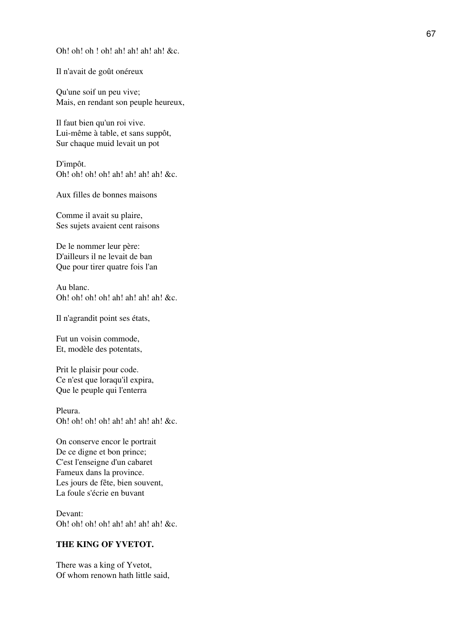Oh! oh! oh ! oh! ah! ah! ah! ah! &c.

Il n'avait de goût onéreux

Qu'une soif un peu vive; Mais, en rendant son peuple heureux,

Il faut bien qu'un roi vive. Lui-même à table, et sans suppôt, Sur chaque muid levait un pot

D'impôt. Oh! oh! oh! oh! ah! ah! ah! ah! &c.

Aux filles de bonnes maisons

Comme il avait su plaire, Ses sujets avaient cent raisons

De le nommer leur père: D'ailleurs il ne levait de ban Que pour tirer quatre fois l'an

Au blanc. Oh! oh! oh! oh! ah! ah! ah! ah! &c.

Il n'agrandit point ses états,

Fut un voisin commode, Et, modèle des potentats,

Prit le plaisir pour code. Ce n'est que loraqu'il expira, Que le peuple qui l'enterra

Pleura. Oh! oh! oh! oh! ah! ah! ah! ah! &c.

On conserve encor le portrait De ce digne et bon prince; C'est l'enseigne d'un cabaret Fameux dans la province. Les jours de fête, bien souvent, La foule s'écrie en buvant

Devant: Oh! oh! oh! oh! ah! ah! ah! ah! &c.

## **THE KING OF YVETOT.**

There was a king of Yvetot, Of whom renown hath little said,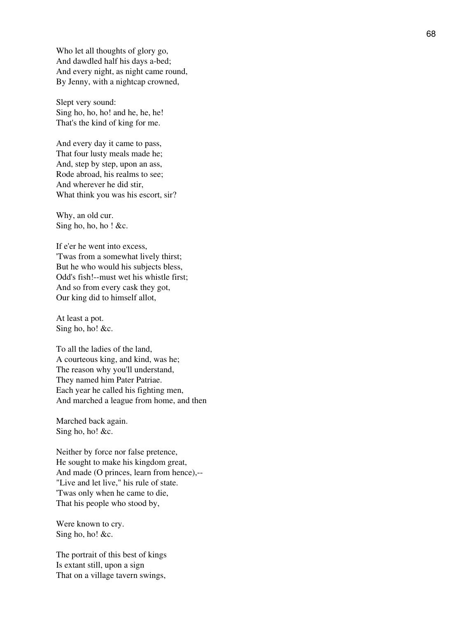Who let all thoughts of glory go, And dawdled half his days a-bed; And every night, as night came round, By Jenny, with a nightcap crowned,

Slept very sound: Sing ho, ho, ho! and he, he, he! That's the kind of king for me.

And every day it came to pass, That four lusty meals made he; And, step by step, upon an ass, Rode abroad, his realms to see; And wherever he did stir, What think you was his escort, sir?

Why, an old cur. Sing ho, ho, ho! &c.

If e'er he went into excess, 'Twas from a somewhat lively thirst; But he who would his subjects bless, Odd's fish!--must wet his whistle first; And so from every cask they got, Our king did to himself allot,

At least a pot. Sing ho, ho! &c.

To all the ladies of the land, A courteous king, and kind, was he; The reason why you'll understand, They named him Pater Patriae. Each year he called his fighting men, And marched a league from home, and then

Marched back again. Sing ho, ho! &c.

Neither by force nor false pretence, He sought to make his kingdom great, And made (O princes, learn from hence),-- "Live and let live," his rule of state. 'Twas only when he came to die, That his people who stood by,

Were known to cry. Sing ho, ho! &c.

The portrait of this best of kings Is extant still, upon a sign That on a village tavern swings,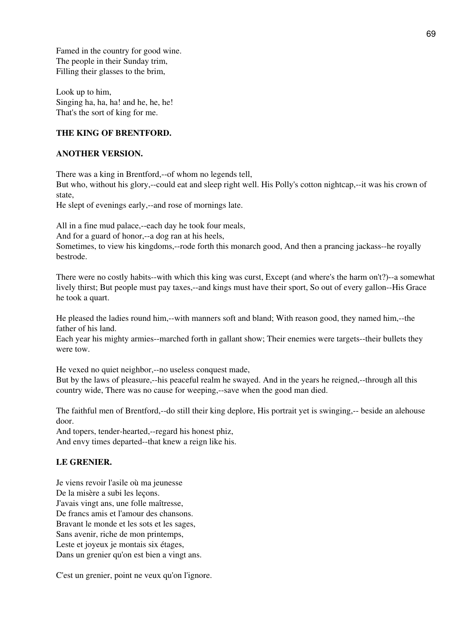Famed in the country for good wine. The people in their Sunday trim, Filling their glasses to the brim,

Look up to him, Singing ha, ha, ha! and he, he, he! That's the sort of king for me.

## **THE KING OF BRENTFORD.**

## **ANOTHER VERSION.**

There was a king in Brentford,--of whom no legends tell,

But who, without his glory,--could eat and sleep right well. His Polly's cotton nightcap,--it was his crown of state,

He slept of evenings early,--and rose of mornings late.

All in a fine mud palace,--each day he took four meals,

And for a guard of honor,--a dog ran at his heels,

Sometimes, to view his kingdoms,--rode forth this monarch good, And then a prancing jackass--he royally bestrode.

There were no costly habits--with which this king was curst, Except (and where's the harm on't?)--a somewhat lively thirst; But people must pay taxes,--and kings must have their sport, So out of every gallon--His Grace he took a quart.

He pleased the ladies round him,--with manners soft and bland; With reason good, they named him,--the father of his land.

Each year his mighty armies--marched forth in gallant show; Their enemies were targets--their bullets they were tow.

He vexed no quiet neighbor,--no useless conquest made,

But by the laws of pleasure,--his peaceful realm he swayed. And in the years he reigned,--through all this country wide, There was no cause for weeping,--save when the good man died.

The faithful men of Brentford,--do still their king deplore, His portrait yet is swinging,-- beside an alehouse door.

And topers, tender-hearted,--regard his honest phiz, And envy times departed--that knew a reign like his.

# **LE GRENIER.**

Je viens revoir l'asile où ma jeunesse De la misère a subi les leçons. J'avais vingt ans, une folle maîtresse, De francs amis et l'amour des chansons. Bravant le monde et les sots et les sages, Sans avenir, riche de mon printemps, Leste et joyeux je montais six étages, Dans un grenier qu'on est bien a vingt ans.

C'est un grenier, point ne veux qu'on l'ignore.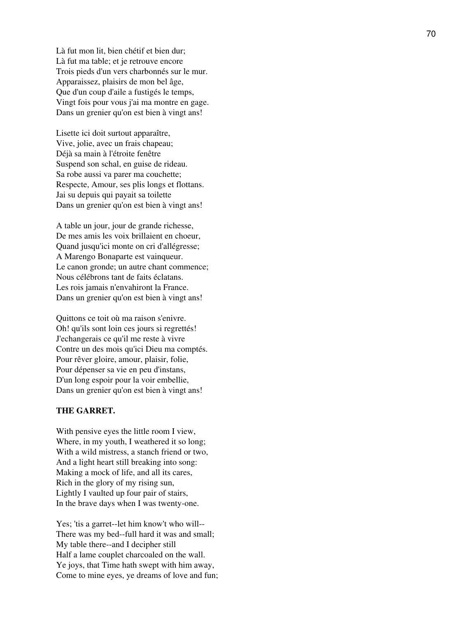Là fut mon lit, bien chétif et bien dur; Là fut ma table; et je retrouve encore Trois pieds d'un vers charbonnés sur le mur. Apparaissez, plaisirs de mon bel âge, Que d'un coup d'aile a fustigés le temps, Vingt fois pour vous j'ai ma montre en gage. Dans un grenier qu'on est bien à vingt ans!

Lisette ici doit surtout apparaître, Vive, jolie, avec un frais chapeau; Déjà sa main à l'étroite fenêtre Suspend son schal, en guise de rideau. Sa robe aussi va parer ma couchette; Respecte, Amour, ses plis longs et flottans. Jai su depuis qui payait sa toilette Dans un grenier qu'on est bien à vingt ans!

A table un jour, jour de grande richesse, De mes amis les voix brillaient en choeur, Quand jusqu'ici monte on cri d'allégresse; A Marengo Bonaparte est vainqueur. Le canon gronde; un autre chant commence; Nous célébrons tant de faits éclatans. Les rois jamais n'envahiront la France. Dans un grenier qu'on est bien à vingt ans!

Quittons ce toit où ma raison s'enivre. Oh! qu'ils sont loin ces jours si regrettés! J'echangerais ce qu'il me reste à vivre Contre un des mois qu'ici Dieu ma comptés. Pour rêver gloire, amour, plaisir, folie, Pour dépenser sa vie en peu d'instans, D'un long espoir pour la voir embellie, Dans un grenier qu'on est bien à vingt ans!

## **THE GARRET.**

With pensive eyes the little room I view, Where, in my youth, I weathered it so long; With a wild mistress, a stanch friend or two, And a light heart still breaking into song: Making a mock of life, and all its cares, Rich in the glory of my rising sun, Lightly I vaulted up four pair of stairs, In the brave days when I was twenty-one.

Yes; 'tis a garret--let him know't who will-- There was my bed--full hard it was and small; My table there--and I decipher still Half a lame couplet charcoaled on the wall. Ye joys, that Time hath swept with him away, Come to mine eyes, ye dreams of love and fun;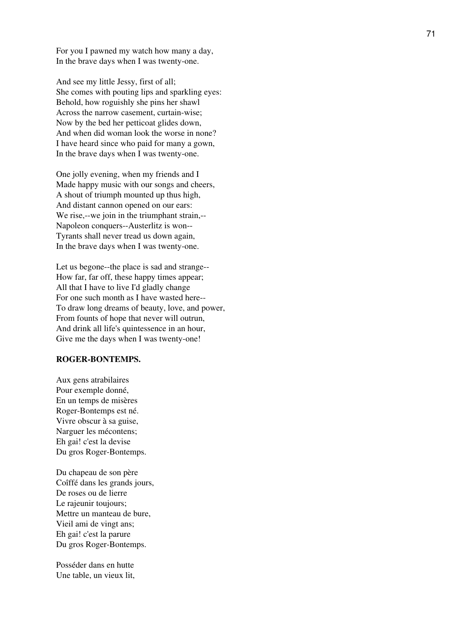For you I pawned my watch how many a day, In the brave days when I was twenty-one.

And see my little Jessy, first of all; She comes with pouting lips and sparkling eyes: Behold, how roguishly she pins her shawl Across the narrow casement, curtain-wise; Now by the bed her petticoat glides down, And when did woman look the worse in none? I have heard since who paid for many a gown, In the brave days when I was twenty-one.

One jolly evening, when my friends and I Made happy music with our songs and cheers, A shout of triumph mounted up thus high, And distant cannon opened on our ears: We rise,--we join in the triumphant strain,--Napoleon conquers--Austerlitz is won-- Tyrants shall never tread us down again, In the brave days when I was twenty-one.

Let us begone--the place is sad and strange-- How far, far off, these happy times appear; All that I have to live I'd gladly change For one such month as I have wasted here-- To draw long dreams of beauty, love, and power, From founts of hope that never will outrun, And drink all life's quintessence in an hour, Give me the days when I was twenty-one!

## **ROGER-BONTEMPS.**

Aux gens atrabilaires Pour exemple donné, En un temps de misères Roger-Bontemps est né. Vivre obscur à sa guise, Narguer les mécontens; Eh gai! c'est la devise Du gros Roger-Bontemps.

Du chapeau de son père Coîffé dans les grands jours, De roses ou de lierre Le rajeunir toujours; Mettre un manteau de bure, Vieil ami de vingt ans; Eh gai! c'est la parure Du gros Roger-Bontemps.

Posséder dans en hutte Une table, un vieux lit,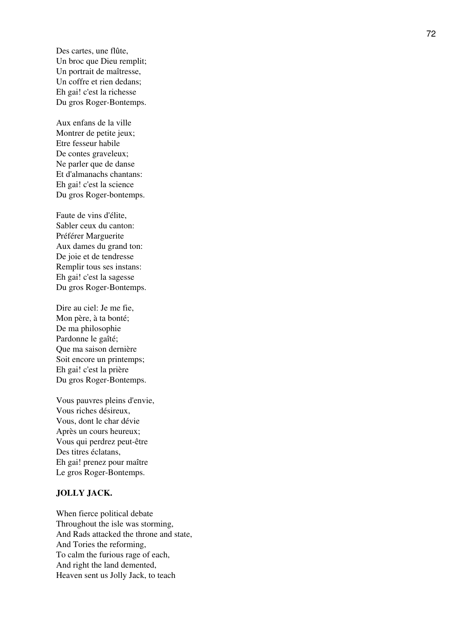Des cartes, une flûte, Un broc que Dieu remplit; Un portrait de maîtresse, Un coffre et rien dedans; Eh gai! c'est la richesse Du gros Roger-Bontemps.

Aux enfans de la ville Montrer de petite jeux; Etre fesseur habile De contes graveleux; Ne parler que de danse Et d'almanachs chantans: Eh gai! c'est la science Du gros Roger-bontemps.

Faute de vins d'élite, Sabler ceux du canton: Préférer Marguerite Aux dames du grand ton: De joie et de tendresse Remplir tous ses instans: Eh gai! c'est la sagesse Du gros Roger-Bontemps.

Dire au ciel: Je me fie, Mon père, à ta bonté; De ma philosophie Pardonne le gaîté; Que ma saison dernière Soit encore un printemps; Eh gai! c'est la prière Du gros Roger-Bontemps.

Vous pauvres pleins d'envie, Vous riches désireux, Vous, dont le char dévie Après un cours heureux; Vous qui perdrez peut-être Des titres éclatans, Eh gai! prenez pour maître Le gros Roger-Bontemps.

## **JOLLY JACK.**

When fierce political debate Throughout the isle was storming, And Rads attacked the throne and state, And Tories the reforming, To calm the furious rage of each, And right the land demented, Heaven sent us Jolly Jack, to teach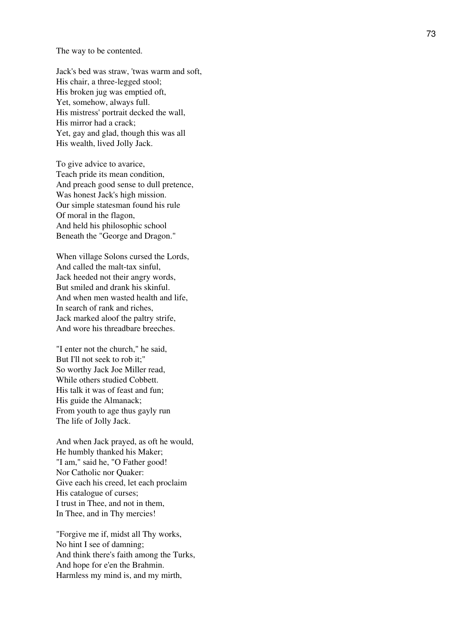The way to be contented.

Jack's bed was straw, 'twas warm and soft, His chair, a three-legged stool; His broken jug was emptied oft, Yet, somehow, always full. His mistress' portrait decked the wall, His mirror had a crack; Yet, gay and glad, though this was all His wealth, lived Jolly Jack.

To give advice to avarice, Teach pride its mean condition, And preach good sense to dull pretence, Was honest Jack's high mission. Our simple statesman found his rule Of moral in the flagon, And held his philosophic school Beneath the "George and Dragon."

When village Solons cursed the Lords, And called the malt-tax sinful, Jack heeded not their angry words, But smiled and drank his skinful. And when men wasted health and life, In search of rank and riches, Jack marked aloof the paltry strife, And wore his threadbare breeches.

"I enter not the church," he said, But I'll not seek to rob it;" So worthy Jack Joe Miller read, While others studied Cobbett. His talk it was of feast and fun; His guide the Almanack; From youth to age thus gayly run The life of Jolly Jack.

And when Jack prayed, as oft he would, He humbly thanked his Maker; "I am," said he, "O Father good! Nor Catholic nor Quaker: Give each his creed, let each proclaim His catalogue of curses; I trust in Thee, and not in them, In Thee, and in Thy mercies!

"Forgive me if, midst all Thy works, No hint I see of damning; And think there's faith among the Turks, And hope for e'en the Brahmin. Harmless my mind is, and my mirth,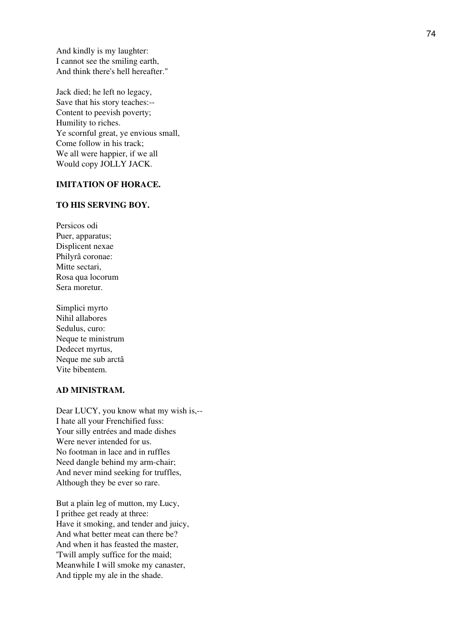And kindly is my laughter: I cannot see the smiling earth, And think there's hell hereafter."

Jack died; he left no legacy, Save that his story teaches:-- Content to peevish poverty; Humility to riches. Ye scornful great, ye envious small, Come follow in his track; We all were happier, if we all Would copy JOLLY JACK.

# **IMITATION OF HORACE.**

### **TO HIS SERVING BOY.**

Persicos odi Puer, apparatus; Displicent nexae Philyrâ coronae: Mitte sectari, Rosa qua locorum Sera moretur.

Simplici myrto Nihil allabores Sedulus, curo: Neque te ministrum Dedecet myrtus, Neque me sub arctâ Vite bibentem.

# **AD MINISTRAM.**

Dear LUCY, you know what my wish is,-- I hate all your Frenchified fuss: Your silly entrées and made dishes Were never intended for us. No footman in lace and in ruffles Need dangle behind my arm-chair; And never mind seeking for truffles, Although they be ever so rare.

But a plain leg of mutton, my Lucy, I prithee get ready at three: Have it smoking, and tender and juicy, And what better meat can there be? And when it has feasted the master, 'Twill amply suffice for the maid; Meanwhile I will smoke my canaster, And tipple my ale in the shade.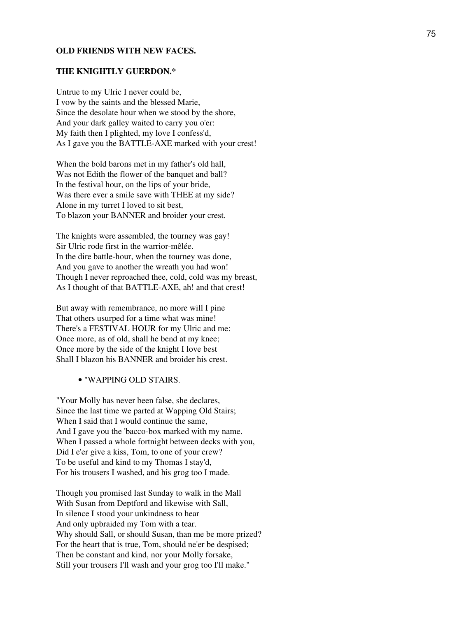#### **OLD FRIENDS WITH NEW FACES.**

#### **THE KNIGHTLY GUERDON.\***

Untrue to my Ulric I never could be, I vow by the saints and the blessed Marie, Since the desolate hour when we stood by the shore, And your dark galley waited to carry you o'er: My faith then I plighted, my love I confess'd, As I gave you the BATTLE-AXE marked with your crest!

When the bold barons met in my father's old hall, Was not Edith the flower of the banquet and ball? In the festival hour, on the lips of your bride, Was there ever a smile save with THEE at my side? Alone in my turret I loved to sit best, To blazon your BANNER and broider your crest.

The knights were assembled, the tourney was gay! Sir Ulric rode first in the warrior-mêlée. In the dire battle-hour, when the tourney was done, And you gave to another the wreath you had won! Though I never reproached thee, cold, cold was my breast, As I thought of that BATTLE-AXE, ah! and that crest!

But away with remembrance, no more will I pine That others usurped for a time what was mine! There's a FESTIVAL HOUR for my Ulric and me: Once more, as of old, shall he bend at my knee; Once more by the side of the knight I love best Shall I blazon his BANNER and broider his crest.

#### • "WAPPING OLD STAIRS.

"Your Molly has never been false, she declares, Since the last time we parted at Wapping Old Stairs; When I said that I would continue the same, And I gave you the 'bacco-box marked with my name. When I passed a whole fortnight between decks with you, Did I e'er give a kiss, Tom, to one of your crew? To be useful and kind to my Thomas I stay'd, For his trousers I washed, and his grog too I made.

Though you promised last Sunday to walk in the Mall With Susan from Deptford and likewise with Sall, In silence I stood your unkindness to hear And only upbraided my Tom with a tear. Why should Sall, or should Susan, than me be more prized? For the heart that is true, Tom, should ne'er be despised; Then be constant and kind, nor your Molly forsake, Still your trousers I'll wash and your grog too I'll make."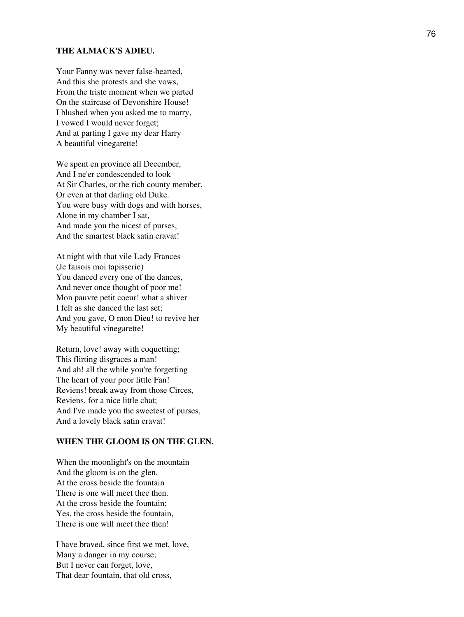### **THE ALMACK'S ADIEU.**

Your Fanny was never false-hearted, And this she protests and she vows, From the triste moment when we parted On the staircase of Devonshire House! I blushed when you asked me to marry, I vowed I would never forget; And at parting I gave my dear Harry A beautiful vinegarette!

We spent en province all December, And I ne'er condescended to look At Sir Charles, or the rich county member, Or even at that darling old Duke. You were busy with dogs and with horses, Alone in my chamber I sat, And made you the nicest of purses, And the smartest black satin cravat!

At night with that vile Lady Frances (Je faisois moi tapisserie) You danced every one of the dances, And never once thought of poor me! Mon pauvre petit coeur! what a shiver I felt as she danced the last set; And you gave, O mon Dieu! to revive her My beautiful vinegarette!

Return, love! away with coquetting; This flirting disgraces a man! And ah! all the while you're forgetting The heart of your poor little Fan! Reviens! break away from those Circes, Reviens, for a nice little chat; And I've made you the sweetest of purses, And a lovely black satin cravat!

### **WHEN THE GLOOM IS ON THE GLEN.**

When the moonlight's on the mountain And the gloom is on the glen, At the cross beside the fountain There is one will meet thee then. At the cross beside the fountain; Yes, the cross beside the fountain, There is one will meet thee then!

I have braved, since first we met, love, Many a danger in my course; But I never can forget, love, That dear fountain, that old cross,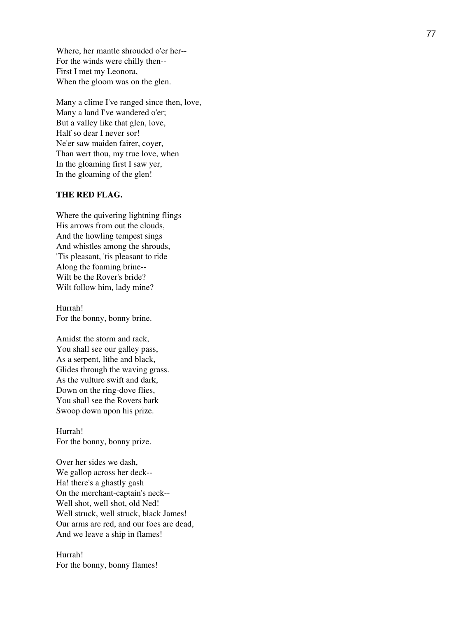Where, her mantle shrouded o'er her-- For the winds were chilly then-- First I met my Leonora, When the gloom was on the glen.

Many a clime I've ranged since then, love, Many a land I've wandered o'er; But a valley like that glen, love, Half so dear I never sor! Ne'er saw maiden fairer, coyer, Than wert thou, my true love, when In the gloaming first I saw yer, In the gloaming of the glen!

### **THE RED FLAG.**

Where the quivering lightning flings His arrows from out the clouds, And the howling tempest sings And whistles among the shrouds, 'Tis pleasant, 'tis pleasant to ride Along the foaming brine-- Wilt be the Rover's bride? Wilt follow him, lady mine?

Hurrah! For the bonny, bonny brine.

Amidst the storm and rack, You shall see our galley pass, As a serpent, lithe and black, Glides through the waving grass. As the vulture swift and dark, Down on the ring-dove flies, You shall see the Rovers bark Swoop down upon his prize.

Hurrah! For the bonny, bonny prize.

Over her sides we dash, We gallop across her deck-- Ha! there's a ghastly gash On the merchant-captain's neck-- Well shot, well shot, old Ned! Well struck, well struck, black James! Our arms are red, and our foes are dead, And we leave a ship in flames!

Hurrah! For the bonny, bonny flames!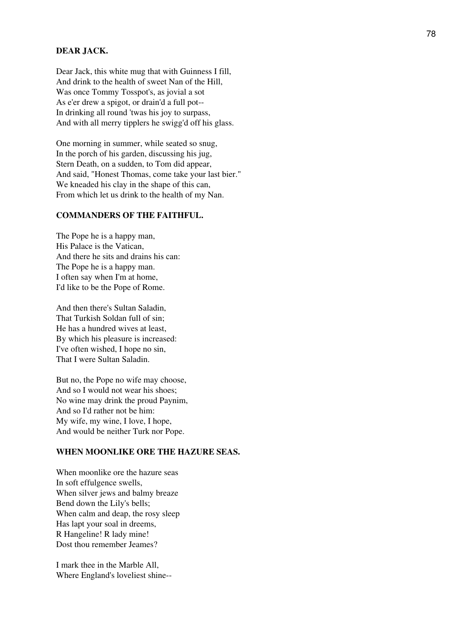### **DEAR JACK.**

Dear Jack, this white mug that with Guinness I fill, And drink to the health of sweet Nan of the Hill, Was once Tommy Tosspot's, as jovial a sot As e'er drew a spigot, or drain'd a full pot-- In drinking all round 'twas his joy to surpass, And with all merry tipplers he swigg'd off his glass.

One morning in summer, while seated so snug, In the porch of his garden, discussing his jug, Stern Death, on a sudden, to Tom did appear, And said, "Honest Thomas, come take your last bier." We kneaded his clay in the shape of this can, From which let us drink to the health of my Nan.

### **COMMANDERS OF THE FAITHFUL.**

The Pope he is a happy man, His Palace is the Vatican, And there he sits and drains his can: The Pope he is a happy man. I often say when I'm at home, I'd like to be the Pope of Rome.

And then there's Sultan Saladin, That Turkish Soldan full of sin; He has a hundred wives at least, By which his pleasure is increased: I've often wished, I hope no sin, That I were Sultan Saladin.

But no, the Pope no wife may choose, And so I would not wear his shoes; No wine may drink the proud Paynim, And so I'd rather not be him: My wife, my wine, I love, I hope, And would be neither Turk nor Pope.

## **WHEN MOONLIKE ORE THE HAZURE SEAS.**

When moonlike ore the hazure seas In soft effulgence swells, When silver jews and balmy breaze Bend down the Lily's bells; When calm and deap, the rosy sleep Has lapt your soal in dreems, R Hangeline! R lady mine! Dost thou remember Jeames?

I mark thee in the Marble All, Where England's loveliest shine--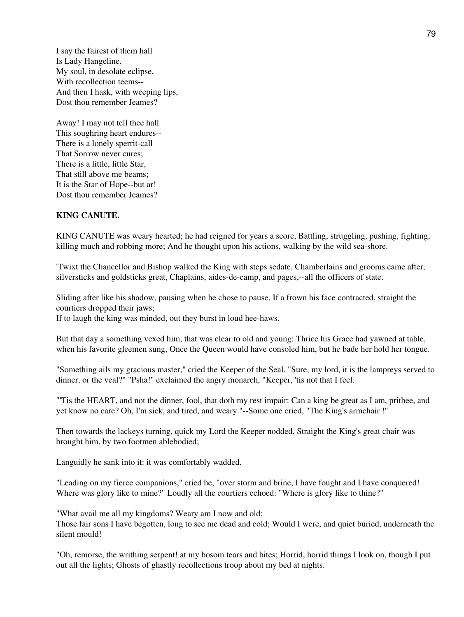I say the fairest of them hall Is Lady Hangeline. My soul, in desolate eclipse, With recollection teems-- And then I hask, with weeping lips, Dost thou remember Jeames?

Away! I may not tell thee hall This soughring heart endures-- There is a lonely sperrit-call That Sorrow never cures; There is a little, little Star, That still above me beams; It is the Star of Hope--but ar! Dost thou remember Jeames?

### **KING CANUTE.**

KING CANUTE was weary hearted; he had reigned for years a score, Battling, struggling, pushing, fighting, killing much and robbing more; And he thought upon his actions, walking by the wild sea-shore.

'Twixt the Chancellor and Bishop walked the King with steps sedate, Chamberlains and grooms came after, silversticks and goldsticks great, Chaplains, aides-de-camp, and pages,--all the officers of state.

Sliding after like his shadow, pausing when he chose to pause, If a frown his face contracted, straight the courtiers dropped their jaws;

If to laugh the king was minded, out they burst in loud hee-haws.

But that day a something vexed him, that was clear to old and young: Thrice his Grace had yawned at table, when his favorite gleemen sung, Once the Queen would have consoled him, but he bade her hold her tongue.

"Something ails my gracious master," cried the Keeper of the Seal. "Sure, my lord, it is the lampreys served to dinner, or the veal?" "Psha!" exclaimed the angry monarch, "Keeper, 'tis not that I feel.

"'Tis the HEART, and not the dinner, fool, that doth my rest impair: Can a king be great as I am, prithee, and yet know no care? Oh, I'm sick, and tired, and weary."--Some one cried, "The King's armchair !"

Then towards the lackeys turning, quick my Lord the Keeper nodded, Straight the King's great chair was brought him, by two footmen ablebodied;

Languidly he sank into it: it was comfortably wadded.

"Leading on my fierce companions," cried he, "over storm and brine, I have fought and I have conquered! Where was glory like to mine?" Loudly all the courtiers echoed: "Where is glory like to thine?"

"What avail me all my kingdoms? Weary am I now and old;

Those fair sons I have begotten, long to see me dead and cold; Would I were, and quiet buried, underneath the silent mould!

"Oh, remorse, the writhing serpent! at my bosom tears and bites; Horrid, horrid things I look on, though I put out all the lights; Ghosts of ghastly recollections troop about my bed at nights.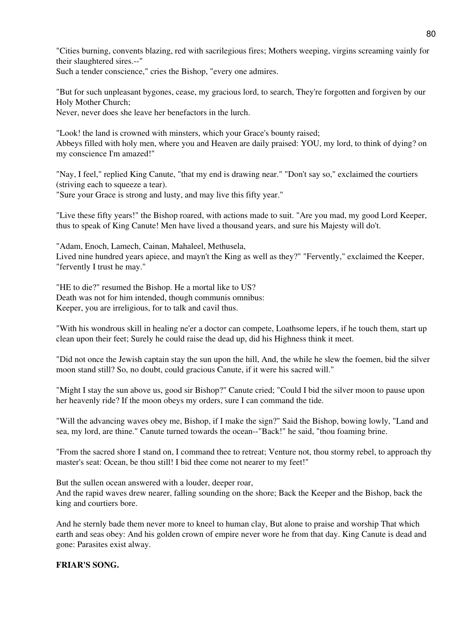"Cities burning, convents blazing, red with sacrilegious fires; Mothers weeping, virgins screaming vainly for their slaughtered sires.--"

Such a tender conscience," cries the Bishop, "every one admires.

"But for such unpleasant bygones, cease, my gracious lord, to search, They're forgotten and forgiven by our Holy Mother Church;

Never, never does she leave her benefactors in the lurch.

"Look! the land is crowned with minsters, which your Grace's bounty raised; Abbeys filled with holy men, where you and Heaven are daily praised: YOU, my lord, to think of dying? on my conscience I'm amazed!"

"Nay, I feel," replied King Canute, "that my end is drawing near." "Don't say so," exclaimed the courtiers (striving each to squeeze a tear).

"Sure your Grace is strong and lusty, and may live this fifty year."

"Live these fifty years!" the Bishop roared, with actions made to suit. "Are you mad, my good Lord Keeper, thus to speak of King Canute! Men have lived a thousand years, and sure his Majesty will do't.

"Adam, Enoch, Lamech, Cainan, Mahaleel, Methusela, Lived nine hundred years apiece, and mayn't the King as well as they?" "Fervently," exclaimed the Keeper, "fervently I trust he may."

"HE to die?" resumed the Bishop. He a mortal like to US? Death was not for him intended, though communis omnibus: Keeper, you are irreligious, for to talk and cavil thus.

"With his wondrous skill in healing ne'er a doctor can compete, Loathsome lepers, if he touch them, start up clean upon their feet; Surely he could raise the dead up, did his Highness think it meet.

"Did not once the Jewish captain stay the sun upon the hill, And, the while he slew the foemen, bid the silver moon stand still? So, no doubt, could gracious Canute, if it were his sacred will."

"Might I stay the sun above us, good sir Bishop?" Canute cried; "Could I bid the silver moon to pause upon her heavenly ride? If the moon obeys my orders, sure I can command the tide.

"Will the advancing waves obey me, Bishop, if I make the sign?" Said the Bishop, bowing lowly, "Land and sea, my lord, are thine." Canute turned towards the ocean--"Back!" he said, "thou foaming brine.

"From the sacred shore I stand on, I command thee to retreat; Venture not, thou stormy rebel, to approach thy master's seat: Ocean, be thou still! I bid thee come not nearer to my feet!"

But the sullen ocean answered with a louder, deeper roar,

And the rapid waves drew nearer, falling sounding on the shore; Back the Keeper and the Bishop, back the king and courtiers bore.

And he sternly bade them never more to kneel to human clay, But alone to praise and worship That which earth and seas obey: And his golden crown of empire never wore he from that day. King Canute is dead and gone: Parasites exist alway.

### **FRIAR'S SONG.**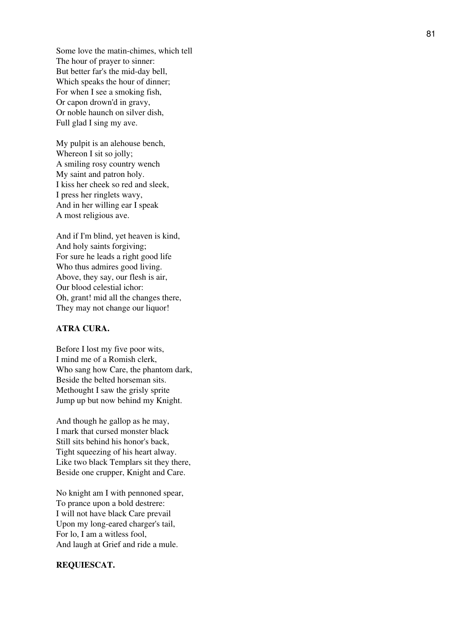Some love the matin-chimes, which tell The hour of prayer to sinner: But better far's the mid-day bell, Which speaks the hour of dinner; For when I see a smoking fish, Or capon drown'd in gravy, Or noble haunch on silver dish, Full glad I sing my ave.

My pulpit is an alehouse bench, Whereon I sit so jolly; A smiling rosy country wench My saint and patron holy. I kiss her cheek so red and sleek, I press her ringlets wavy, And in her willing ear I speak A most religious ave.

And if I'm blind, yet heaven is kind, And holy saints forgiving; For sure he leads a right good life Who thus admires good living. Above, they say, our flesh is air, Our blood celestial ichor: Oh, grant! mid all the changes there, They may not change our liquor!

### **ATRA CURA.**

Before I lost my five poor wits, I mind me of a Romish clerk, Who sang how Care, the phantom dark, Beside the belted horseman sits. Methought I saw the grisly sprite Jump up but now behind my Knight.

And though he gallop as he may, I mark that cursed monster black Still sits behind his honor's back, Tight squeezing of his heart alway. Like two black Templars sit they there, Beside one crupper, Knight and Care.

No knight am I with pennoned spear, To prance upon a bold destrere: I will not have black Care prevail Upon my long-eared charger's tail, For lo, I am a witless fool, And laugh at Grief and ride a mule.

#### **REQUIESCAT.**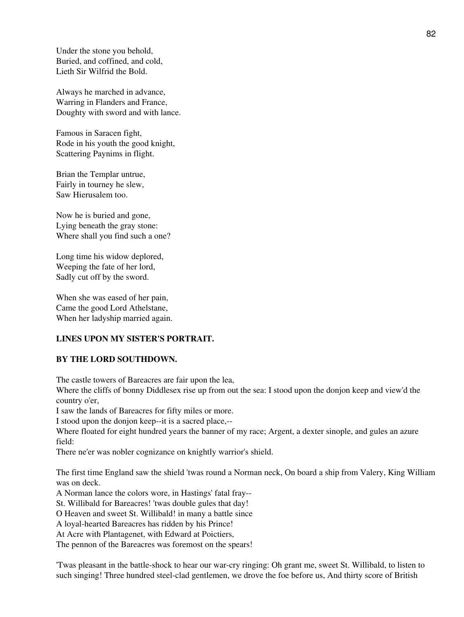Under the stone you behold, Buried, and coffined, and cold, Lieth Sir Wilfrid the Bold.

Always he marched in advance, Warring in Flanders and France, Doughty with sword and with lance.

Famous in Saracen fight, Rode in his youth the good knight, Scattering Paynims in flight.

Brian the Templar untrue, Fairly in tourney he slew, Saw Hierusalem too.

Now he is buried and gone, Lying beneath the gray stone: Where shall you find such a one?

Long time his widow deplored, Weeping the fate of her lord, Sadly cut off by the sword.

When she was eased of her pain, Came the good Lord Athelstane, When her ladyship married again.

## **LINES UPON MY SISTER'S PORTRAIT.**

## **BY THE LORD SOUTHDOWN.**

The castle towers of Bareacres are fair upon the lea,

Where the cliffs of bonny Diddlesex rise up from out the sea: I stood upon the donjon keep and view'd the country o'er,

I saw the lands of Bareacres for fifty miles or more.

I stood upon the donjon keep--it is a sacred place,--

Where floated for eight hundred years the banner of my race; Argent, a dexter sinople, and gules an azure field:

There ne'er was nobler cognizance on knightly warrior's shield.

The first time England saw the shield 'twas round a Norman neck, On board a ship from Valery, King William was on deck.

A Norman lance the colors wore, in Hastings' fatal fray--

St. Willibald for Bareacres! 'twas double gules that day!

O Heaven and sweet St. Willibald! in many a battle since

A loyal-hearted Bareacres has ridden by his Prince!

At Acre with Plantagenet, with Edward at Poictiers,

The pennon of the Bareacres was foremost on the spears!

'Twas pleasant in the battle-shock to hear our war-cry ringing: Oh grant me, sweet St. Willibald, to listen to such singing! Three hundred steel-clad gentlemen, we drove the foe before us, And thirty score of British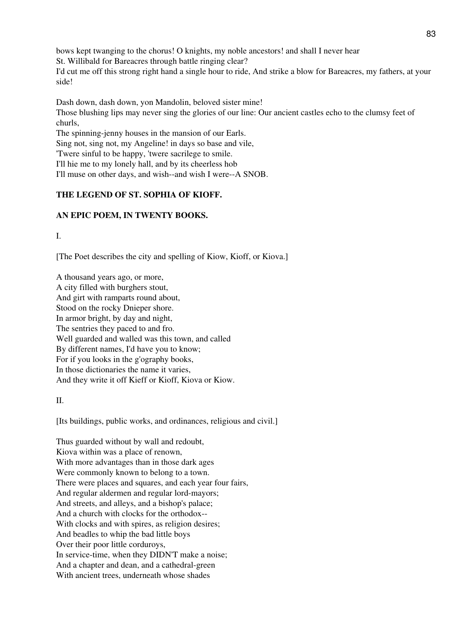bows kept twanging to the chorus! O knights, my noble ancestors! and shall I never hear

St. Willibald for Bareacres through battle ringing clear?

I'd cut me off this strong right hand a single hour to ride, And strike a blow for Bareacres, my fathers, at your side!

Dash down, dash down, yon Mandolin, beloved sister mine! Those blushing lips may never sing the glories of our line: Our ancient castles echo to the clumsy feet of churls, The spinning-jenny houses in the mansion of our Earls. Sing not, sing not, my Angeline! in days so base and vile, 'Twere sinful to be happy, 'twere sacrilege to smile. I'll hie me to my lonely hall, and by its cheerless hob

I'll muse on other days, and wish--and wish I were--A SNOB.

# **THE LEGEND OF ST. SOPHIA OF KIOFF.**

# **AN EPIC POEM, IN TWENTY BOOKS.**

I.

[The Poet describes the city and spelling of Kiow, Kioff, or Kiova.]

A thousand years ago, or more, A city filled with burghers stout, And girt with ramparts round about, Stood on the rocky Dnieper shore. In armor bright, by day and night, The sentries they paced to and fro. Well guarded and walled was this town, and called By different names, I'd have you to know; For if you looks in the g'ography books, In those dictionaries the name it varies, And they write it off Kieff or Kioff, Kiova or Kiow.

II.

[Its buildings, public works, and ordinances, religious and civil.]

Thus guarded without by wall and redoubt, Kiova within was a place of renown, With more advantages than in those dark ages Were commonly known to belong to a town. There were places and squares, and each year four fairs, And regular aldermen and regular lord-mayors; And streets, and alleys, and a bishop's palace; And a church with clocks for the orthodox-- With clocks and with spires, as religion desires; And beadles to whip the bad little boys Over their poor little corduroys, In service-time, when they DIDN'T make a noise; And a chapter and dean, and a cathedral-green With ancient trees, underneath whose shades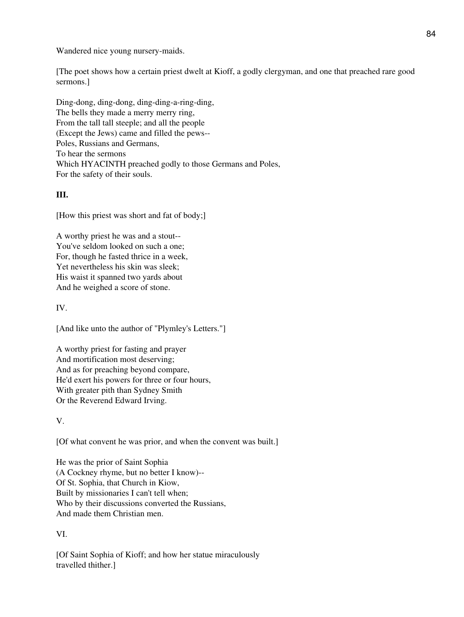Wandered nice young nursery-maids.

[The poet shows how a certain priest dwelt at Kioff, a godly clergyman, and one that preached rare good sermons.]

Ding-dong, ding-dong, ding-ding-a-ring-ding, The bells they made a merry merry ring, From the tall tall steeple; and all the people (Except the Jews) came and filled the pews-- Poles, Russians and Germans, To hear the sermons Which HYACINTH preached godly to those Germans and Poles, For the safety of their souls.

# **III.**

[How this priest was short and fat of body;]

A worthy priest he was and a stout-- You've seldom looked on such a one; For, though he fasted thrice in a week, Yet nevertheless his skin was sleek; His waist it spanned two yards about And he weighed a score of stone.

# IV.

[And like unto the author of "Plymley's Letters."]

A worthy priest for fasting and prayer And mortification most deserving; And as for preaching beyond compare, He'd exert his powers for three or four hours, With greater pith than Sydney Smith Or the Reverend Edward Irving.

### V.

[Of what convent he was prior, and when the convent was built.]

He was the prior of Saint Sophia (A Cockney rhyme, but no better I know)-- Of St. Sophia, that Church in Kiow, Built by missionaries I can't tell when; Who by their discussions converted the Russians, And made them Christian men.

# VI.

[Of Saint Sophia of Kioff; and how her statue miraculously travelled thither.]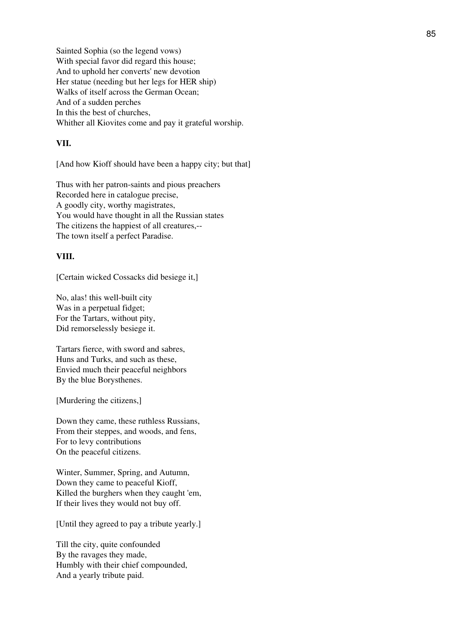Sainted Sophia (so the legend vows) With special favor did regard this house; And to uphold her converts' new devotion Her statue (needing but her legs for HER ship) Walks of itself across the German Ocean; And of a sudden perches In this the best of churches, Whither all Kiovites come and pay it grateful worship.

### **VII.**

[And how Kioff should have been a happy city; but that]

Thus with her patron-saints and pious preachers Recorded here in catalogue precise, A goodly city, worthy magistrates, You would have thought in all the Russian states The citizens the happiest of all creatures,-- The town itself a perfect Paradise.

### **VIII.**

[Certain wicked Cossacks did besiege it,]

No, alas! this well-built city Was in a perpetual fidget; For the Tartars, without pity, Did remorselessly besiege it.

Tartars fierce, with sword and sabres, Huns and Turks, and such as these, Envied much their peaceful neighbors By the blue Borysthenes.

[Murdering the citizens,]

Down they came, these ruthless Russians, From their steppes, and woods, and fens, For to levy contributions On the peaceful citizens.

Winter, Summer, Spring, and Autumn, Down they came to peaceful Kioff, Killed the burghers when they caught 'em, If their lives they would not buy off.

[Until they agreed to pay a tribute yearly.]

Till the city, quite confounded By the ravages they made, Humbly with their chief compounded, And a yearly tribute paid.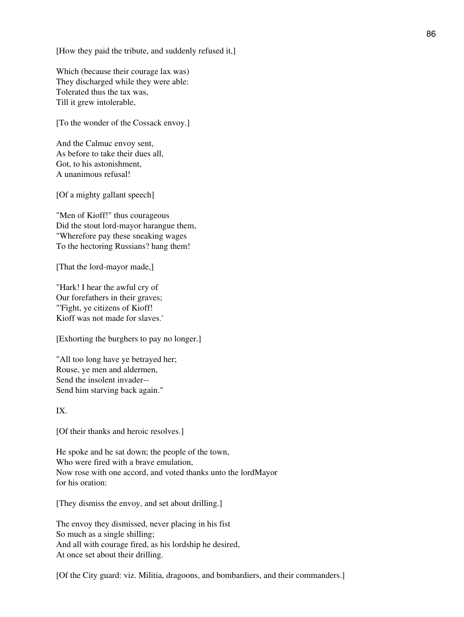[How they paid the tribute, and suddenly refused it,]

Which (because their courage lax was) They discharged while they were able: Tolerated thus the tax was, Till it grew intolerable,

[To the wonder of the Cossack envoy.]

And the Calmuc envoy sent, As before to take their dues all, Got, to his astonishment, A unanimous refusal!

[Of a mighty gallant speech]

"Men of Kioff!" thus courageous Did the stout lord-mayor harangue them, "Wherefore pay these sneaking wages To the hectoring Russians? hang them!

[That the lord-mayor made,]

"Hark! I hear the awful cry of Our forefathers in their graves; "'Fight, ye citizens of Kioff! Kioff was not made for slaves.'

[Exhorting the burghers to pay no longer.]

"All too long have ye betrayed her; Rouse, ye men and aldermen, Send the insolent invader-- Send him starving back again."

IX.

[Of their thanks and heroic resolves.]

He spoke and he sat down; the people of the town, Who were fired with a brave emulation, Now rose with one accord, and voted thanks unto the lordMayor for his oration:

[They dismiss the envoy, and set about drilling.]

The envoy they dismissed, never placing in his fist So much as a single shilling; And all with courage fired, as his lordship he desired, At once set about their drilling.

[Of the City guard: viz. Militia, dragoons, and bombardiers, and their commanders.]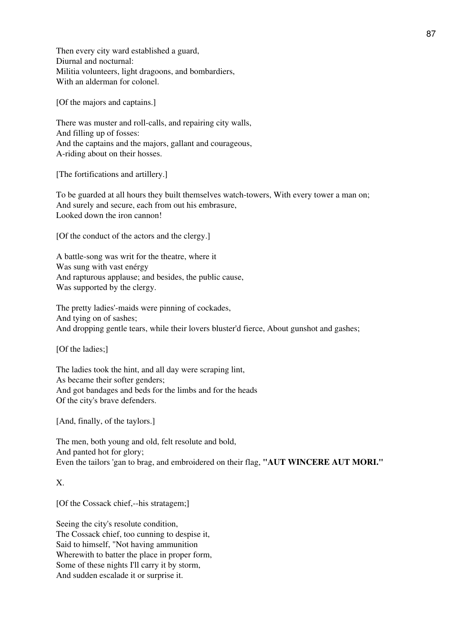Then every city ward established a guard, Diurnal and nocturnal: Militia volunteers, light dragoons, and bombardiers, With an alderman for colonel.

[Of the majors and captains.]

There was muster and roll-calls, and repairing city walls, And filling up of fosses: And the captains and the majors, gallant and courageous, A-riding about on their hosses.

[The fortifications and artillery.]

To be guarded at all hours they built themselves watch-towers, With every tower a man on; And surely and secure, each from out his embrasure, Looked down the iron cannon!

[Of the conduct of the actors and the clergy.]

A battle-song was writ for the theatre, where it Was sung with vast enérgy And rapturous applause; and besides, the public cause, Was supported by the clergy.

The pretty ladies'-maids were pinning of cockades, And tying on of sashes; And dropping gentle tears, while their lovers bluster'd fierce, About gunshot and gashes;

[Of the ladies;]

The ladies took the hint, and all day were scraping lint, As became their softer genders; And got bandages and beds for the limbs and for the heads Of the city's brave defenders.

[And, finally, of the taylors.]

The men, both young and old, felt resolute and bold, And panted hot for glory; Even the tailors 'gan to brag, and embroidered on their flag, **"AUT WINCERE AUT MORI."**

### X.

[Of the Cossack chief,--his stratagem;]

Seeing the city's resolute condition, The Cossack chief, too cunning to despise it, Said to himself, "Not having ammunition Wherewith to batter the place in proper form, Some of these nights I'll carry it by storm, And sudden escalade it or surprise it.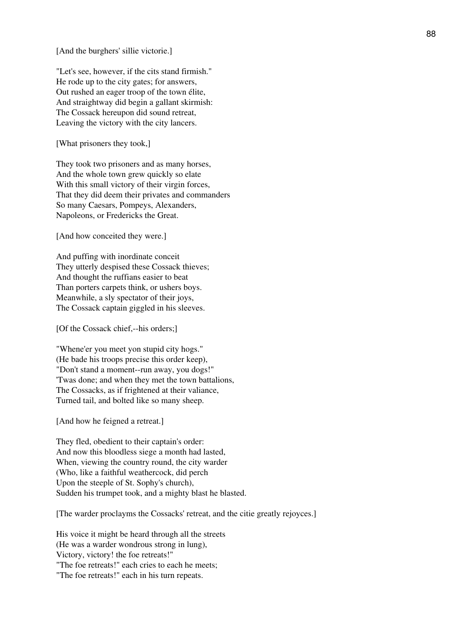[And the burghers' sillie victorie.]

"Let's see, however, if the cits stand firmish." He rode up to the city gates; for answers, Out rushed an eager troop of the town élite, And straightway did begin a gallant skirmish: The Cossack hereupon did sound retreat, Leaving the victory with the city lancers.

[What prisoners they took,]

They took two prisoners and as many horses, And the whole town grew quickly so elate With this small victory of their virgin forces, That they did deem their privates and commanders So many Caesars, Pompeys, Alexanders, Napoleons, or Fredericks the Great.

[And how conceited they were.]

And puffing with inordinate conceit They utterly despised these Cossack thieves; And thought the ruffians easier to beat Than porters carpets think, or ushers boys. Meanwhile, a sly spectator of their joys, The Cossack captain giggled in his sleeves.

[Of the Cossack chief,--his orders;]

"Whene'er you meet yon stupid city hogs." (He bade his troops precise this order keep), "Don't stand a moment--run away, you dogs!" 'Twas done; and when they met the town battalions, The Cossacks, as if frightened at their valiance, Turned tail, and bolted like so many sheep.

[And how he feigned a retreat.]

They fled, obedient to their captain's order: And now this bloodless siege a month had lasted, When, viewing the country round, the city warder (Who, like a faithful weathercock, did perch Upon the steeple of St. Sophy's church), Sudden his trumpet took, and a mighty blast he blasted.

[The warder proclayms the Cossacks' retreat, and the citie greatly rejoyces.]

His voice it might be heard through all the streets (He was a warder wondrous strong in lung), Victory, victory! the foe retreats!" "The foe retreats!" each cries to each he meets; "The foe retreats!" each in his turn repeats.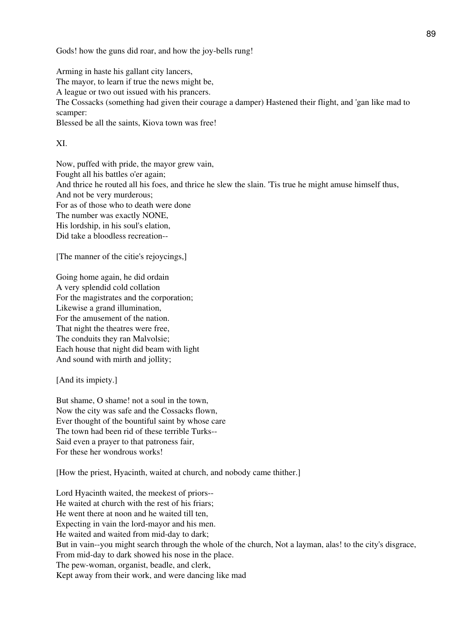Gods! how the guns did roar, and how the joy-bells rung!

Arming in haste his gallant city lancers, The mayor, to learn if true the news might be, A league or two out issued with his prancers. The Cossacks (something had given their courage a damper) Hastened their flight, and 'gan like mad to scamper: Blessed be all the saints, Kiova town was free!

XI.

Now, puffed with pride, the mayor grew vain, Fought all his battles o'er again; And thrice he routed all his foes, and thrice he slew the slain. 'Tis true he might amuse himself thus, And not be very murderous; For as of those who to death were done The number was exactly NONE, His lordship, in his soul's elation, Did take a bloodless recreation--

[The manner of the citie's rejoycings,]

Going home again, he did ordain A very splendid cold collation For the magistrates and the corporation; Likewise a grand illumination, For the amusement of the nation. That night the theatres were free, The conduits they ran Malvolsie; Each house that night did beam with light And sound with mirth and jollity;

[And its impiety.]

But shame, O shame! not a soul in the town, Now the city was safe and the Cossacks flown, Ever thought of the bountiful saint by whose care The town had been rid of these terrible Turks-- Said even a prayer to that patroness fair, For these her wondrous works!

[How the priest, Hyacinth, waited at church, and nobody came thither.]

Lord Hyacinth waited, the meekest of priors-- He waited at church with the rest of his friars; He went there at noon and he waited till ten, Expecting in vain the lord-mayor and his men. He waited and waited from mid-day to dark; But in vain--you might search through the whole of the church, Not a layman, alas! to the city's disgrace, From mid-day to dark showed his nose in the place. The pew-woman, organist, beadle, and clerk, Kept away from their work, and were dancing like mad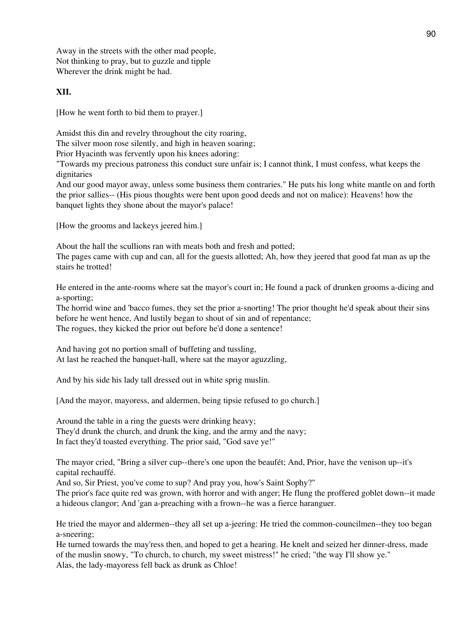Away in the streets with the other mad people, Not thinking to pray, but to guzzle and tipple Wherever the drink might be had.

## **XII.**

[How he went forth to bid them to prayer.]

Amidst this din and revelry throughout the city roaring,

The silver moon rose silently, and high in heaven soaring;

Prior Hyacinth was fervently upon his knees adoring:

"Towards my precious patroness this conduct sure unfair is; I cannot think, I must confess, what keeps the dignitaries

And our good mayor away, unless some business them contraries." He puts his long white mantle on and forth the prior sallies-- (His pious thoughts were bent upon good deeds and not on malice): Heavens! how the banquet lights they shone about the mayor's palace!

[How the grooms and lackeys jeered him.]

About the hall the scullions ran with meats both and fresh and potted;

The pages came with cup and can, all for the guests allotted; Ah, how they jeered that good fat man as up the stairs he trotted!

He entered in the ante-rooms where sat the mayor's court in; He found a pack of drunken grooms a-dicing and a-sporting;

The horrid wine and 'bacco fumes, they set the prior a-snorting! The prior thought he'd speak about their sins before he went hence, And lustily began to shout of sin and of repentance; The rogues, they kicked the prior out before he'd done a sentence!

And having got no portion small of buffeting and tussling, At last he reached the banquet-hall, where sat the mayor aguzzling,

And by his side his lady tall dressed out in white sprig muslin.

[And the mayor, mayoress, and aldermen, being tipsie refused to go church.]

Around the table in a ring the guests were drinking heavy; They'd drunk the church, and drunk the king, and the army and the navy; In fact they'd toasted everything. The prior said, "God save ye!"

The mayor cried, "Bring a silver cup--there's one upon the beaufét; And, Prior, have the venison up--it's capital rechauffé.

And so, Sir Priest, you've come to sup? And pray you, how's Saint Sophy?"

The prior's face quite red was grown, with horror and with anger; He flung the proffered goblet down--it made a hideous clangor; And 'gan a-preaching with a frown--he was a fierce haranguer.

He tried the mayor and aldermen--they all set up a-jeering: He tried the common-councilmen--they too began a-sneering;

He turned towards the may'ress then, and hoped to get a hearing. He knelt and seized her dinner-dress, made of the muslin snowy, "To church, to church, my sweet mistress!" he cried; "the way I'll show ye." Alas, the lady-mayoress fell back as drunk as Chloe!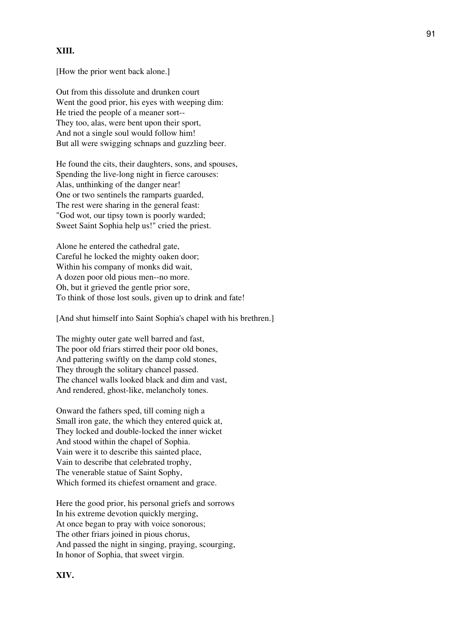## **XIII.**

[How the prior went back alone.]

Out from this dissolute and drunken court Went the good prior, his eyes with weeping dim: He tried the people of a meaner sort-- They too, alas, were bent upon their sport, And not a single soul would follow him! But all were swigging schnaps and guzzling beer.

He found the cits, their daughters, sons, and spouses, Spending the live-long night in fierce carouses: Alas, unthinking of the danger near! One or two sentinels the ramparts guarded, The rest were sharing in the general feast: "God wot, our tipsy town is poorly warded; Sweet Saint Sophia help us!" cried the priest.

Alone he entered the cathedral gate, Careful he locked the mighty oaken door; Within his company of monks did wait, A dozen poor old pious men--no more. Oh, but it grieved the gentle prior sore, To think of those lost souls, given up to drink and fate!

[And shut himself into Saint Sophia's chapel with his brethren.]

The mighty outer gate well barred and fast, The poor old friars stirred their poor old bones, And pattering swiftly on the damp cold stones, They through the solitary chancel passed. The chancel walls looked black and dim and vast, And rendered, ghost-like, melancholy tones.

Onward the fathers sped, till coming nigh a Small iron gate, the which they entered quick at, They locked and double-locked the inner wicket And stood within the chapel of Sophia. Vain were it to describe this sainted place, Vain to describe that celebrated trophy, The venerable statue of Saint Sophy, Which formed its chiefest ornament and grace.

Here the good prior, his personal griefs and sorrows In his extreme devotion quickly merging, At once began to pray with voice sonorous; The other friars joined in pious chorus, And passed the night in singing, praying, scourging, In honor of Sophia, that sweet virgin.

**XIV.**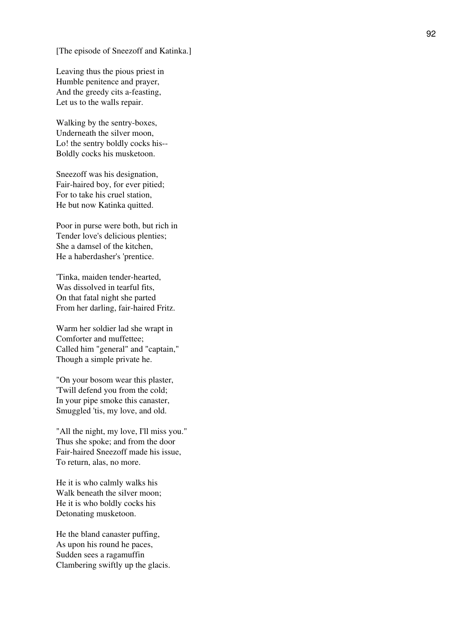[The episode of Sneezoff and Katinka.]

Leaving thus the pious priest in Humble penitence and prayer, And the greedy cits a-feasting, Let us to the walls repair.

Walking by the sentry-boxes, Underneath the silver moon, Lo! the sentry boldly cocks his-- Boldly cocks his musketoon.

Sneezoff was his designation, Fair-haired boy, for ever pitied; For to take his cruel station, He but now Katinka quitted.

Poor in purse were both, but rich in Tender love's delicious plenties; She a damsel of the kitchen, He a haberdasher's 'prentice.

'Tinka, maiden tender-hearted, Was dissolved in tearful fits, On that fatal night she parted From her darling, fair-haired Fritz.

Warm her soldier lad she wrapt in Comforter and muffettee; Called him "general" and "captain," Though a simple private he.

"On your bosom wear this plaster, 'Twill defend you from the cold; In your pipe smoke this canaster, Smuggled 'tis, my love, and old.

"All the night, my love, I'll miss you." Thus she spoke; and from the door Fair-haired Sneezoff made his issue, To return, alas, no more.

He it is who calmly walks his Walk beneath the silver moon; He it is who boldly cocks his Detonating musketoon.

He the bland canaster puffing, As upon his round he paces, Sudden sees a ragamuffin Clambering swiftly up the glacis.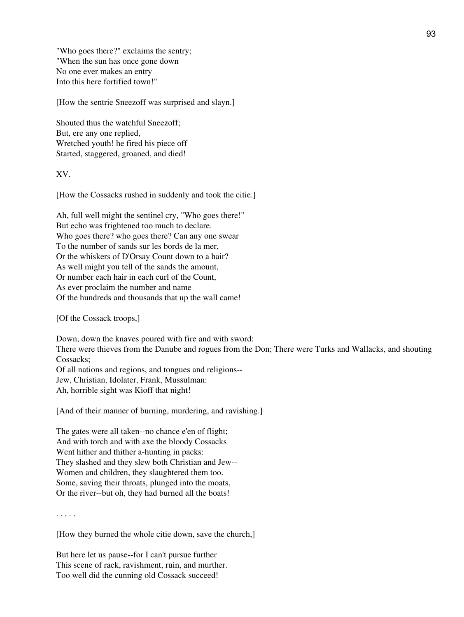"Who goes there?" exclaims the sentry; "When the sun has once gone down No one ever makes an entry Into this here fortified town!"

[How the sentrie Sneezoff was surprised and slayn.]

Shouted thus the watchful Sneezoff; But, ere any one replied, Wretched youth! he fired his piece off Started, staggered, groaned, and died!

XV.

[How the Cossacks rushed in suddenly and took the citie.]

Ah, full well might the sentinel cry, "Who goes there!" But echo was frightened too much to declare. Who goes there? who goes there? Can any one swear To the number of sands sur les bords de la mer, Or the whiskers of D'Orsay Count down to a hair? As well might you tell of the sands the amount, Or number each hair in each curl of the Count, As ever proclaim the number and name Of the hundreds and thousands that up the wall came!

[Of the Cossack troops,]

Down, down the knaves poured with fire and with sword: There were thieves from the Danube and rogues from the Don; There were Turks and Wallacks, and shouting Cossacks; Of all nations and regions, and tongues and religions-- Jew, Christian, Idolater, Frank, Mussulman:

Ah, horrible sight was Kioff that night!

[And of their manner of burning, murdering, and ravishing.]

The gates were all taken--no chance e'en of flight; And with torch and with axe the bloody Cossacks Went hither and thither a-hunting in packs: They slashed and they slew both Christian and Jew-- Women and children, they slaughtered them too. Some, saving their throats, plunged into the moats, Or the river--but oh, they had burned all the boats!

. . . . .

[How they burned the whole citie down, save the church,]

But here let us pause--for I can't pursue further This scene of rack, ravishment, ruin, and murther. Too well did the cunning old Cossack succeed!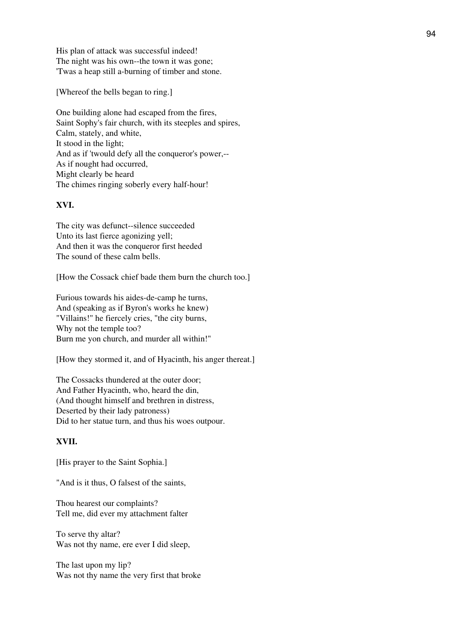His plan of attack was successful indeed! The night was his own--the town it was gone; 'Twas a heap still a-burning of timber and stone.

[Whereof the bells began to ring.]

One building alone had escaped from the fires, Saint Sophy's fair church, with its steeples and spires, Calm, stately, and white, It stood in the light; And as if 'twould defy all the conqueror's power,-- As if nought had occurred, Might clearly be heard The chimes ringing soberly every half-hour!

### **XVI.**

The city was defunct--silence succeeded Unto its last fierce agonizing yell; And then it was the conqueror first heeded The sound of these calm bells.

[How the Cossack chief bade them burn the church too.]

Furious towards his aides-de-camp he turns, And (speaking as if Byron's works he knew) "Villains!" he fiercely cries, "the city burns, Why not the temple too? Burn me yon church, and murder all within!"

[How they stormed it, and of Hyacinth, his anger thereat.]

The Cossacks thundered at the outer door; And Father Hyacinth, who, heard the din, (And thought himself and brethren in distress, Deserted by their lady patroness) Did to her statue turn, and thus his woes outpour.

# **XVII.**

[His prayer to the Saint Sophia.]

"And is it thus, O falsest of the saints,

Thou hearest our complaints? Tell me, did ever my attachment falter

To serve thy altar? Was not thy name, ere ever I did sleep,

The last upon my lip? Was not thy name the very first that broke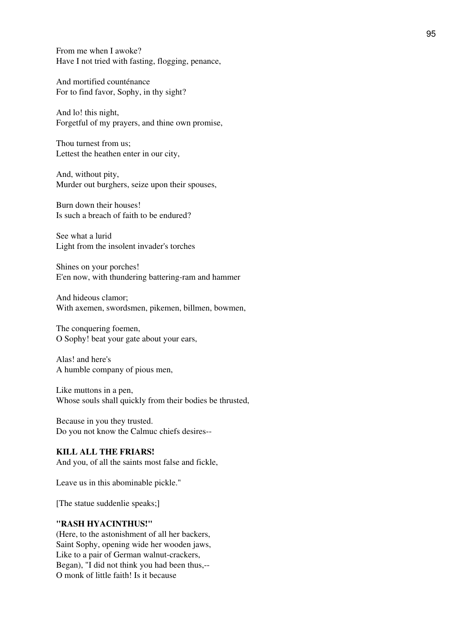From me when I awoke? Have I not tried with fasting, flogging, penance,

And mortified counténance For to find favor, Sophy, in thy sight?

And lo! this night, Forgetful of my prayers, and thine own promise,

Thou turnest from us; Lettest the heathen enter in our city,

And, without pity, Murder out burghers, seize upon their spouses,

Burn down their houses! Is such a breach of faith to be endured?

See what a lurid Light from the insolent invader's torches

Shines on your porches! E'en now, with thundering battering-ram and hammer

And hideous clamor; With axemen, swordsmen, pikemen, billmen, bowmen,

The conquering foemen, O Sophy! beat your gate about your ears,

Alas! and here's A humble company of pious men,

Like muttons in a pen, Whose souls shall quickly from their bodies be thrusted,

Because in you they trusted. Do you not know the Calmuc chiefs desires--

# **KILL ALL THE FRIARS!**

And you, of all the saints most false and fickle,

Leave us in this abominable pickle."

[The statue suddenlie speaks;]

#### **"RASH HYACINTHUS!"**

(Here, to the astonishment of all her backers, Saint Sophy, opening wide her wooden jaws, Like to a pair of German walnut-crackers, Began), "I did not think you had been thus,-- O monk of little faith! Is it because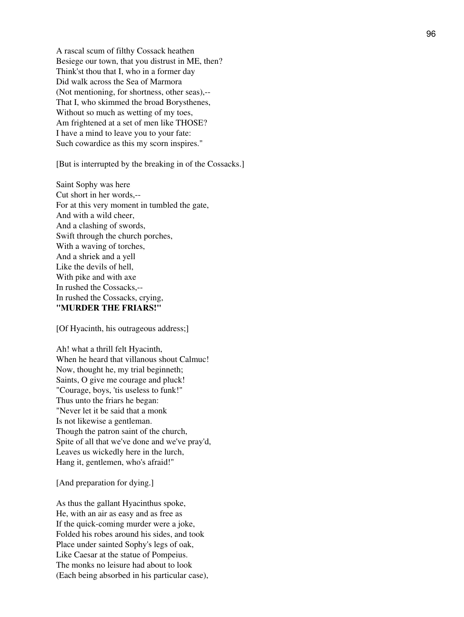A rascal scum of filthy Cossack heathen Besiege our town, that you distrust in ME, then? Think'st thou that I, who in a former day Did walk across the Sea of Marmora (Not mentioning, for shortness, other seas),-- That I, who skimmed the broad Borysthenes, Without so much as wetting of my toes, Am frightened at a set of men like THOSE? I have a mind to leave you to your fate: Such cowardice as this my scorn inspires."

[But is interrupted by the breaking in of the Cossacks.]

Saint Sophy was here Cut short in her words,-- For at this very moment in tumbled the gate, And with a wild cheer, And a clashing of swords, Swift through the church porches, With a waving of torches, And a shriek and a yell Like the devils of hell, With pike and with axe In rushed the Cossacks,-- In rushed the Cossacks, crying, **"MURDER THE FRIARS!"**

[Of Hyacinth, his outrageous address;]

Ah! what a thrill felt Hyacinth, When he heard that villanous shout Calmuc! Now, thought he, my trial beginneth; Saints, O give me courage and pluck! "Courage, boys, 'tis useless to funk!" Thus unto the friars he began: "Never let it be said that a monk Is not likewise a gentleman. Though the patron saint of the church, Spite of all that we've done and we've pray'd, Leaves us wickedly here in the lurch, Hang it, gentlemen, who's afraid!"

[And preparation for dying.]

As thus the gallant Hyacinthus spoke, He, with an air as easy and as free as If the quick-coming murder were a joke, Folded his robes around his sides, and took Place under sainted Sophy's legs of oak, Like Caesar at the statue of Pompeius. The monks no leisure had about to look (Each being absorbed in his particular case),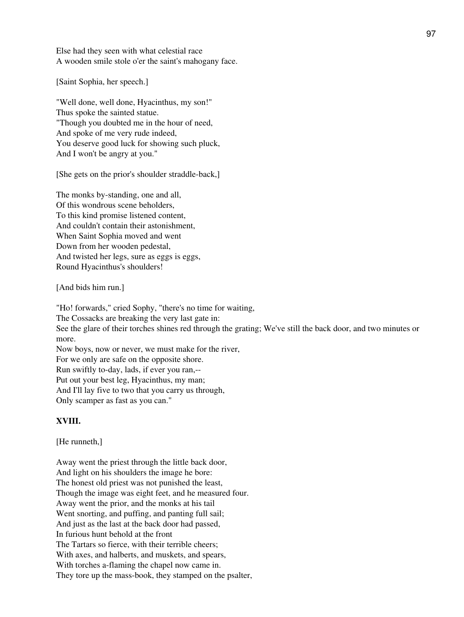Else had they seen with what celestial race A wooden smile stole o'er the saint's mahogany face.

[Saint Sophia, her speech.]

"Well done, well done, Hyacinthus, my son!" Thus spoke the sainted statue. "Though you doubted me in the hour of need, And spoke of me very rude indeed, You deserve good luck for showing such pluck, And I won't be angry at you."

[She gets on the prior's shoulder straddle-back,]

The monks by-standing, one and all, Of this wondrous scene beholders, To this kind promise listened content, And couldn't contain their astonishment, When Saint Sophia moved and went Down from her wooden pedestal, And twisted her legs, sure as eggs is eggs, Round Hyacinthus's shoulders!

[And bids him run.]

"Ho! forwards," cried Sophy, "there's no time for waiting, The Cossacks are breaking the very last gate in: See the glare of their torches shines red through the grating; We've still the back door, and two minutes or more. Now boys, now or never, we must make for the river, For we only are safe on the opposite shore. Run swiftly to-day, lads, if ever you ran,-- Put out your best leg, Hyacinthus, my man; And I'll lay five to two that you carry us through, Only scamper as fast as you can."

### **XVIII.**

[He runneth,]

Away went the priest through the little back door, And light on his shoulders the image he bore: The honest old priest was not punished the least, Though the image was eight feet, and he measured four. Away went the prior, and the monks at his tail Went snorting, and puffing, and panting full sail; And just as the last at the back door had passed, In furious hunt behold at the front The Tartars so fierce, with their terrible cheers; With axes, and halberts, and muskets, and spears, With torches a-flaming the chapel now came in. They tore up the mass-book, they stamped on the psalter,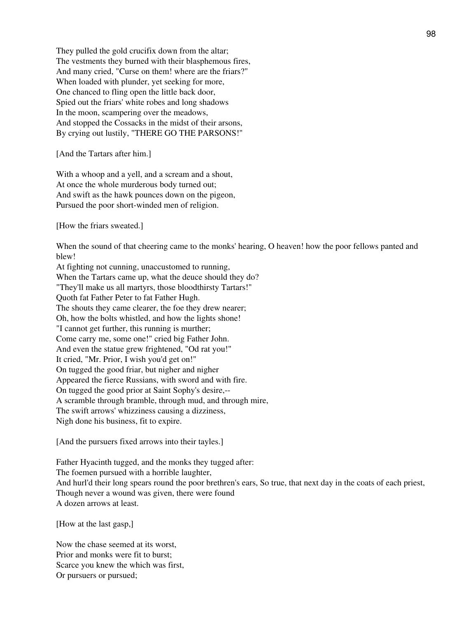They pulled the gold crucifix down from the altar; The vestments they burned with their blasphemous fires, And many cried, "Curse on them! where are the friars?" When loaded with plunder, yet seeking for more, One chanced to fling open the little back door, Spied out the friars' white robes and long shadows In the moon, scampering over the meadows, And stopped the Cossacks in the midst of their arsons, By crying out lustily, "THERE GO THE PARSONS!"

[And the Tartars after him.]

With a whoop and a yell, and a scream and a shout, At once the whole murderous body turned out; And swift as the hawk pounces down on the pigeon, Pursued the poor short-winded men of religion.

[How the friars sweated.]

When the sound of that cheering came to the monks' hearing, O heaven! how the poor fellows panted and blew!

At fighting not cunning, unaccustomed to running, When the Tartars came up, what the deuce should they do? "They'll make us all martyrs, those bloodthirsty Tartars!" Quoth fat Father Peter to fat Father Hugh. The shouts they came clearer, the foe they drew nearer; Oh, how the bolts whistled, and how the lights shone! "I cannot get further, this running is murther; Come carry me, some one!" cried big Father John. And even the statue grew frightened, "Od rat you!" It cried, "Mr. Prior, I wish you'd get on!" On tugged the good friar, but nigher and nigher Appeared the fierce Russians, with sword and with fire. On tugged the good prior at Saint Sophy's desire,-- A scramble through bramble, through mud, and through mire, The swift arrows' whizziness causing a dizziness, Nigh done his business, fit to expire.

[And the pursuers fixed arrows into their tayles.]

Father Hyacinth tugged, and the monks they tugged after: The foemen pursued with a horrible laughter, And hurl'd their long spears round the poor brethren's ears, So true, that next day in the coats of each priest, Though never a wound was given, there were found A dozen arrows at least.

[How at the last gasp,]

Now the chase seemed at its worst, Prior and monks were fit to burst; Scarce you knew the which was first, Or pursuers or pursued;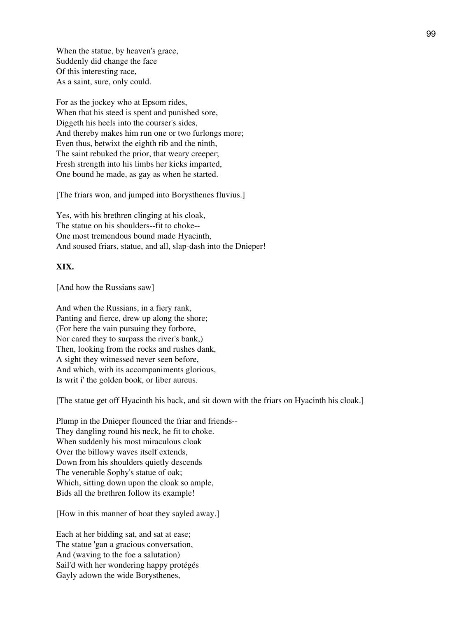When the statue, by heaven's grace, Suddenly did change the face Of this interesting race, As a saint, sure, only could.

For as the jockey who at Epsom rides, When that his steed is spent and punished sore, Diggeth his heels into the courser's sides, And thereby makes him run one or two furlongs more; Even thus, betwixt the eighth rib and the ninth, The saint rebuked the prior, that weary creeper; Fresh strength into his limbs her kicks imparted, One bound he made, as gay as when he started.

[The friars won, and jumped into Borysthenes fluvius.]

Yes, with his brethren clinging at his cloak, The statue on his shoulders--fit to choke-- One most tremendous bound made Hyacinth, And soused friars, statue, and all, slap-dash into the Dnieper!

#### **XIX.**

[And how the Russians saw]

And when the Russians, in a fiery rank, Panting and fierce, drew up along the shore; (For here the vain pursuing they forbore, Nor cared they to surpass the river's bank,) Then, looking from the rocks and rushes dank, A sight they witnessed never seen before, And which, with its accompaniments glorious, Is writ i' the golden book, or liber aureus.

[The statue get off Hyacinth his back, and sit down with the friars on Hyacinth his cloak.]

Plump in the Dnieper flounced the friar and friends-- They dangling round his neck, he fit to choke. When suddenly his most miraculous cloak Over the billowy waves itself extends, Down from his shoulders quietly descends The venerable Sophy's statue of oak; Which, sitting down upon the cloak so ample, Bids all the brethren follow its example!

[How in this manner of boat they sayled away.]

Each at her bidding sat, and sat at ease; The statue 'gan a gracious conversation, And (waving to the foe a salutation) Sail'd with her wondering happy protégés Gayly adown the wide Borysthenes,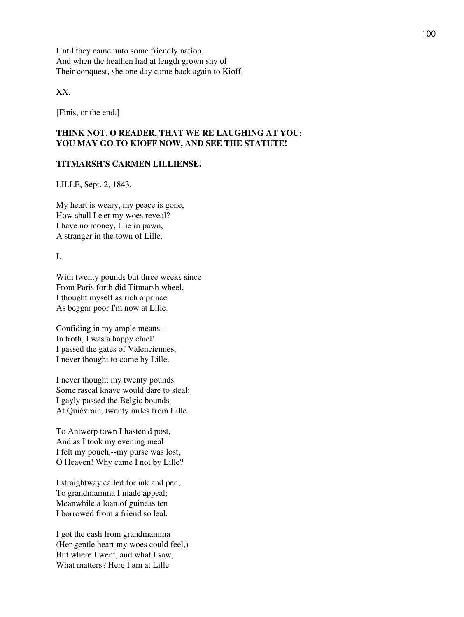Until they came unto some friendly nation. And when the heathen had at length grown shy of Their conquest, she one day came back again to Kioff.

XX.

[Finis, or the end.]

# **THINK NOT, O READER, THAT WE'RE LAUGHING AT YOU; YOU MAY GO TO KIOFF NOW, AND SEE THE STATUTE!**

### **TITMARSH'S CARMEN LILLIENSE.**

LILLE, Sept. 2, 1843.

My heart is weary, my peace is gone, How shall I e'er my woes reveal? I have no money, I lie in pawn, A stranger in the town of Lille.

I.

With twenty pounds but three weeks since From Paris forth did Titmarsh wheel, I thought myself as rich a prince As beggar poor I'm now at Lille.

Confiding in my ample means-- In troth, I was a happy chiel! I passed the gates of Valenciennes, I never thought to come by Lille.

I never thought my twenty pounds Some rascal knave would dare to steal; I gayly passed the Belgic bounds At Quiévrain, twenty miles from Lille.

To Antwerp town I hasten'd post, And as I took my evening meal I felt my pouch,--my purse was lost, O Heaven! Why came I not by Lille?

I straightway called for ink and pen, To grandmamma I made appeal; Meanwhile a loan of guineas ten I borrowed from a friend so leal.

I got the cash from grandmamma (Her gentle heart my woes could feel,) But where I went, and what I saw, What matters? Here I am at Lille.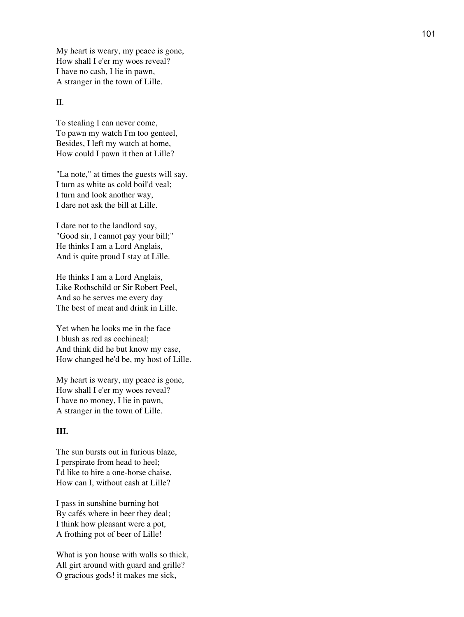My heart is weary, my peace is gone, How shall I e'er my woes reveal? I have no cash, I lie in pawn, A stranger in the town of Lille.

### II.

To stealing I can never come, To pawn my watch I'm too genteel, Besides, I left my watch at home, How could I pawn it then at Lille?

"La note," at times the guests will say. I turn as white as cold boil'd veal; I turn and look another way, I dare not ask the bill at Lille.

I dare not to the landlord say, "Good sir, I cannot pay your bill;" He thinks I am a Lord Anglais, And is quite proud I stay at Lille.

He thinks I am a Lord Anglais, Like Rothschild or Sir Robert Peel, And so he serves me every day The best of meat and drink in Lille.

Yet when he looks me in the face I blush as red as cochineal; And think did he but know my case, How changed he'd be, my host of Lille.

My heart is weary, my peace is gone, How shall I e'er my woes reveal? I have no money, I lie in pawn, A stranger in the town of Lille.

### **III.**

The sun bursts out in furious blaze, I perspirate from head to heel; I'd like to hire a one-horse chaise, How can I, without cash at Lille?

I pass in sunshine burning hot By cafés where in beer they deal; I think how pleasant were a pot, A frothing pot of beer of Lille!

What is yon house with walls so thick, All girt around with guard and grille? O gracious gods! it makes me sick,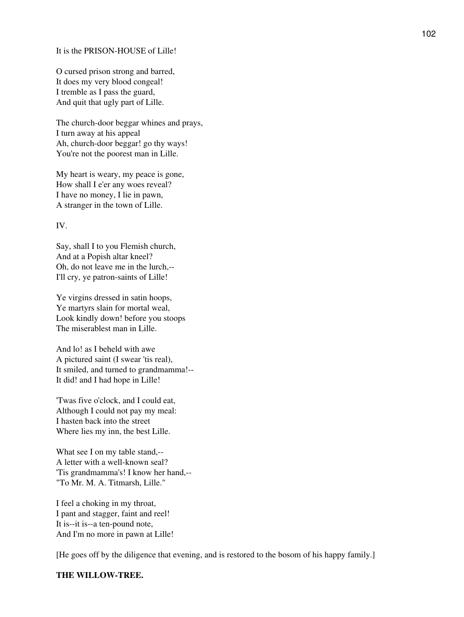#### It is the PRISON-HOUSE of Lille!

O cursed prison strong and barred, It does my very blood congeal! I tremble as I pass the guard, And quit that ugly part of Lille.

The church-door beggar whines and prays, I turn away at his appeal Ah, church-door beggar! go thy ways! You're not the poorest man in Lille.

My heart is weary, my peace is gone, How shall I e'er any woes reveal? I have no money, I lie in pawn, A stranger in the town of Lille.

### IV.

Say, shall I to you Flemish church, And at a Popish altar kneel? Oh, do not leave me in the lurch,-- I'll cry, ye patron-saints of Lille!

Ye virgins dressed in satin hoops, Ye martyrs slain for mortal weal, Look kindly down! before you stoops The miserablest man in Lille.

And lo! as I beheld with awe A pictured saint (I swear 'tis real), It smiled, and turned to grandmamma!-- It did! and I had hope in Lille!

'Twas five o'clock, and I could eat, Although I could not pay my meal: I hasten back into the street Where lies my inn, the best Lille.

What see I on my table stand,-- A letter with a well-known seal? 'Tis grandmamma's! I know her hand,-- "To Mr. M. A. Titmarsh, Lille."

I feel a choking in my throat, I pant and stagger, faint and reel! It is--it is--a ten-pound note, And I'm no more in pawn at Lille!

[He goes off by the diligence that evening, and is restored to the bosom of his happy family.]

#### **THE WILLOW-TREE.**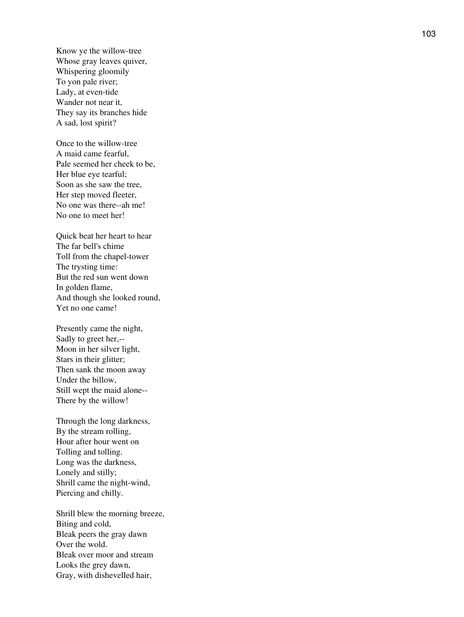Know ye the willow-tree Whose gray leaves quiver, Whispering gloomily To yon pale river; Lady, at even-tide Wander not near it, They say its branches hide A sad, lost spirit?

Once to the willow-tree A maid came fearful, Pale seemed her cheek to be, Her blue eye tearful; Soon as she saw the tree, Her step moved fleeter, No one was there--ah me! No one to meet her!

Quick beat her heart to hear The far bell's chime Toll from the chapel-tower The trysting time: But the red sun went down In golden flame, And though she looked round, Yet no one came!

Presently came the night, Sadly to greet her,-- Moon in her silver light, Stars in their glitter; Then sank the moon away Under the billow, Still wept the maid alone-- There by the willow!

Through the long darkness, By the stream rolling, Hour after hour went on Tolling and tolling. Long was the darkness, Lonely and stilly; Shrill came the night-wind, Piercing and chilly.

Shrill blew the morning breeze, Biting and cold, Bleak peers the gray dawn Over the wold. Bleak over moor and stream Looks the grey dawn, Gray, with dishevelled hair,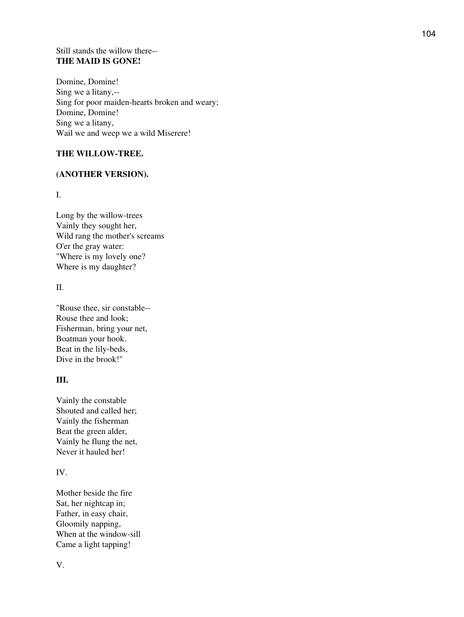### Still stands the willow there-- **THE MAID IS GONE!**

Domine, Domine! Sing we a litany,-- Sing for poor maiden-hearts broken and weary; Domine, Domine! Sing we a litany, Wail we and weep we a wild Miserere!

# **THE WILLOW-TREE.**

# **(ANOTHER VERSION).**

I.

Long by the willow-trees Vainly they sought her, Wild rang the mother's screams O'er the gray water: "Where is my lovely one? Where is my daughter?

II.

"Rouse thee, sir constable-- Rouse thee and look; Fisherman, bring your net, Boatman your hook. Beat in the lily-beds, Dive in the brook!"

# **III.**

Vainly the constable Shouted and called her; Vainly the fisherman Beat the green alder, Vainly he flung the net, Never it hauled her!

# IV.

Mother beside the fire Sat, her nightcap in; Father, in easy chair, Gloomily napping, When at the window-sill Came a light tapping!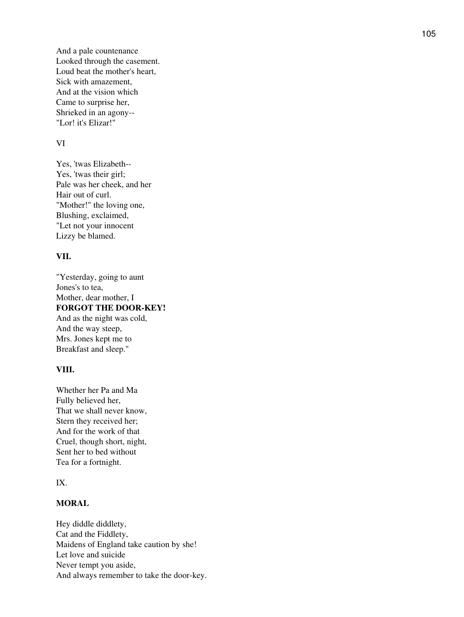And a pale countenance Looked through the casement. Loud beat the mother's heart, Sick with amazement, And at the vision which Came to surprise her, Shrieked in an agony-- "Lor! it's Elizar!"

#### VI

Yes, 'twas Elizabeth-- Yes, 'twas their girl; Pale was her cheek, and her Hair out of curl. "Mother!" the loving one, Blushing, exclaimed, "Let not your innocent Lizzy be blamed.

## **VII.**

"Yesterday, going to aunt Jones's to tea, Mother, dear mother, I **FORGOT THE DOOR-KEY!** And as the night was cold, And the way steep, Mrs. Jones kept me to Breakfast and sleep."

### **VIII.**

Whether her Pa and Ma Fully believed her, That we shall never know, Stern they received her; And for the work of that Cruel, though short, night, Sent her to bed without Tea for a fortnight.

### IX.

## **MORAL**

Hey diddle diddlety, Cat and the Fiddlety, Maidens of England take caution by she! Let love and suicide Never tempt you aside, And always remember to take the door-key.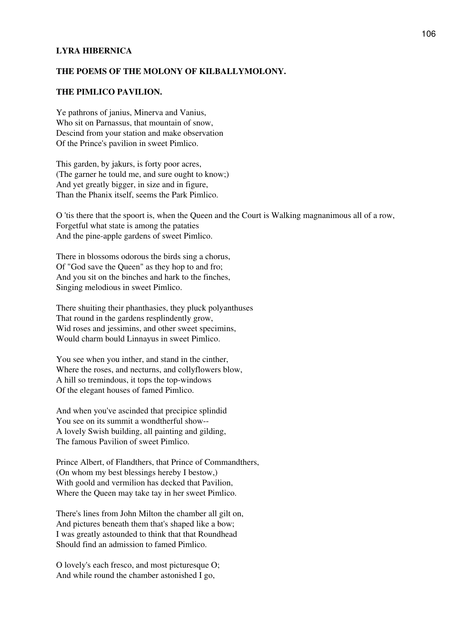### **LYRA HIBERNICA**

#### **THE POEMS OF THE MOLONY OF KILBALLYMOLONY.**

### **THE PIMLICO PAVILION.**

Ye pathrons of janius, Minerva and Vanius, Who sit on Parnassus, that mountain of snow, Descind from your station and make observation Of the Prince's pavilion in sweet Pimlico.

This garden, by jakurs, is forty poor acres, (The garner he tould me, and sure ought to know;) And yet greatly bigger, in size and in figure, Than the Phanix itself, seems the Park Pimlico.

O 'tis there that the spoort is, when the Queen and the Court is Walking magnanimous all of a row, Forgetful what state is among the pataties And the pine-apple gardens of sweet Pimlico.

There in blossoms odorous the birds sing a chorus, Of "God save the Queen" as they hop to and fro; And you sit on the binches and hark to the finches, Singing melodious in sweet Pimlico.

There shuiting their phanthasies, they pluck polyanthuses That round in the gardens resplindently grow, Wid roses and jessimins, and other sweet specimins, Would charm bould Linnayus in sweet Pimlico.

You see when you inther, and stand in the cinther, Where the roses, and necturns, and collyflowers blow, A hill so tremindous, it tops the top-windows Of the elegant houses of famed Pimlico.

And when you've ascinded that precipice splindid You see on its summit a wondtherful show-- A lovely Swish building, all painting and gilding, The famous Pavilion of sweet Pimlico.

Prince Albert, of Flandthers, that Prince of Commandthers, (On whom my best blessings hereby I bestow,) With goold and vermilion has decked that Pavilion, Where the Queen may take tay in her sweet Pimlico.

There's lines from John Milton the chamber all gilt on, And pictures beneath them that's shaped like a bow; I was greatly astounded to think that that Roundhead Should find an admission to famed Pimlico.

O lovely's each fresco, and most picturesque O; And while round the chamber astonished I go,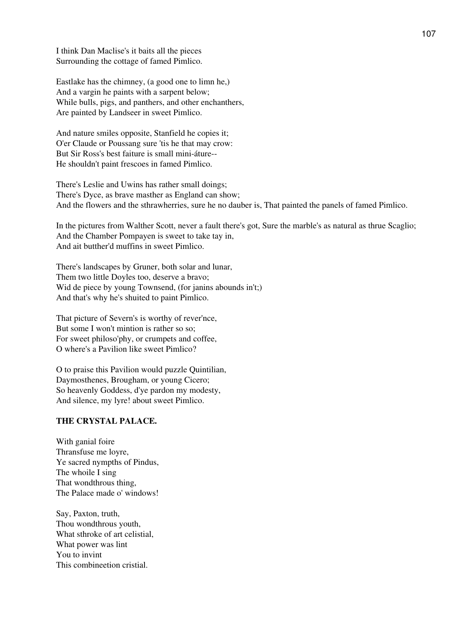I think Dan Maclise's it baits all the pieces Surrounding the cottage of famed Pimlico.

Eastlake has the chimney, (a good one to limn he,) And a vargin he paints with a sarpent below; While bulls, pigs, and panthers, and other enchanthers, Are painted by Landseer in sweet Pimlico.

And nature smiles opposite, Stanfield he copies it; O'er Claude or Poussang sure 'tis he that may crow: But Sir Ross's best faiture is small mini-áture-- He shouldn't paint frescoes in famed Pimlico.

There's Leslie and Uwins has rather small doings; There's Dyce, as brave masther as England can show; And the flowers and the sthrawherries, sure he no dauber is, That painted the panels of famed Pimlico.

In the pictures from Walther Scott, never a fault there's got, Sure the marble's as natural as thrue Scaglio; And the Chamber Pompayen is sweet to take tay in, And ait butther'd muffins in sweet Pimlico.

There's landscapes by Gruner, both solar and lunar, Them two little Doyles too, deserve a bravo; Wid de piece by young Townsend, (for janins abounds in't;) And that's why he's shuited to paint Pimlico.

That picture of Severn's is worthy of rever'nce, But some I won't mintion is rather so so; For sweet philoso'phy, or crumpets and coffee, O where's a Pavilion like sweet Pimlico?

O to praise this Pavilion would puzzle Quintilian, Daymosthenes, Brougham, or young Cicero; So heavenly Goddess, d'ye pardon my modesty, And silence, my lyre! about sweet Pimlico.

#### **THE CRYSTAL PALACE.**

With ganial foire Thransfuse me loyre, Ye sacred nympths of Pindus, The whoile I sing That wondthrous thing, The Palace made o' windows!

Say, Paxton, truth, Thou wondthrous youth, What sthroke of art celistial, What power was lint You to invint This combineetion cristial.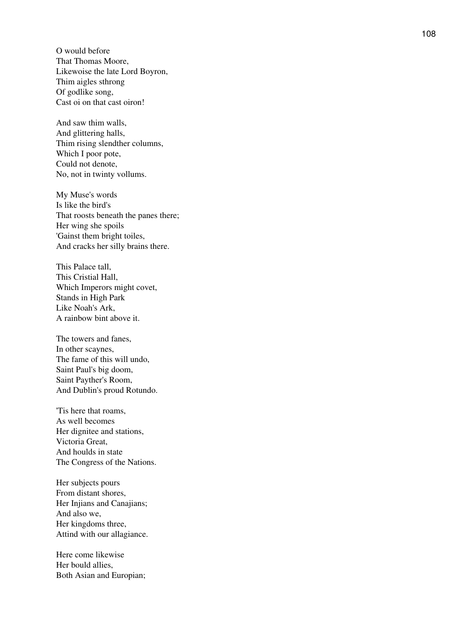O would before That Thomas Moore, Likewoise the late Lord Boyron, Thim aigles sthrong Of godlike song, Cast oi on that cast oiron!

And saw thim walls, And glittering halls, Thim rising slendther columns, Which I poor pote, Could not denote, No, not in twinty vollums.

My Muse's words Is like the bird's That roosts beneath the panes there; Her wing she spoils 'Gainst them bright toiles, And cracks her silly brains there.

This Palace tall, This Cristial Hall, Which Imperors might covet, Stands in High Park Like Noah's Ark, A rainbow bint above it.

The towers and fanes, In other scaynes, The fame of this will undo, Saint Paul's big doom, Saint Payther's Room, And Dublin's proud Rotundo.

'Tis here that roams, As well becomes Her dignitee and stations, Victoria Great, And houlds in state The Congress of the Nations.

Her subjects pours From distant shores, Her Injians and Canajians; And also we, Her kingdoms three, Attind with our allagiance.

Here come likewise Her bould allies, Both Asian and Europian;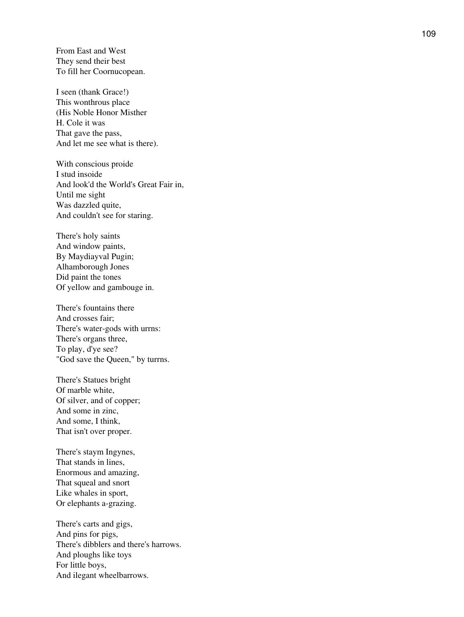From East and West They send their best To fill her Coornucopean.

I seen (thank Grace!) This wonthrous place (His Noble Honor Misther H. Cole it was That gave the pass, And let me see what is there).

With conscious proide I stud insoide And look'd the World's Great Fair in, Until me sight Was dazzled quite, And couldn't see for staring.

There's holy saints And window paints, By Maydiayval Pugin; Alhamborough Jones Did paint the tones Of yellow and gambouge in.

There's fountains there And crosses fair; There's water-gods with urrns: There's organs three, To play, d'ye see? "God save the Queen," by turrns.

There's Statues bright Of marble white, Of silver, and of copper; And some in zinc, And some, I think, That isn't over proper.

There's staym Ingynes, That stands in lines, Enormous and amazing, That squeal and snort Like whales in sport, Or elephants a-grazing.

There's carts and gigs, And pins for pigs, There's dibblers and there's harrows. And ploughs like toys For little boys, And ilegant wheelbarrows.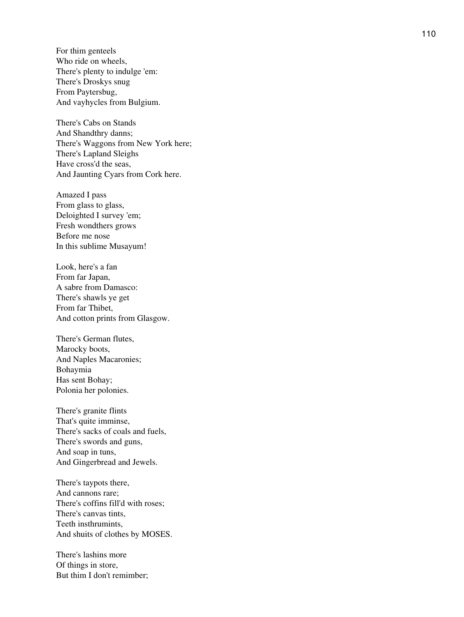For thim genteels Who ride on wheels, There's plenty to indulge 'em: There's Droskys snug From Paytersbug, And vayhycles from Bulgium.

There's Cabs on Stands And Shandthry danns; There's Waggons from New York here; There's Lapland Sleighs Have cross'd the seas, And Jaunting Cyars from Cork here.

Amazed I pass From glass to glass, Deloighted I survey 'em; Fresh wondthers grows Before me nose In this sublime Musayum!

Look, here's a fan From far Japan, A sabre from Damasco: There's shawls ye get From far Thibet, And cotton prints from Glasgow.

There's German flutes, Marocky boots, And Naples Macaronies; Bohaymia Has sent Bohay; Polonia her polonies.

There's granite flints That's quite imminse, There's sacks of coals and fuels, There's swords and guns, And soap in tuns, And Gingerbread and Jewels.

There's taypots there, And cannons rare; There's coffins fill'd with roses; There's canvas tints, Teeth insthrumints, And shuits of clothes by MOSES.

There's lashins more Of things in store, But thim I don't remimber;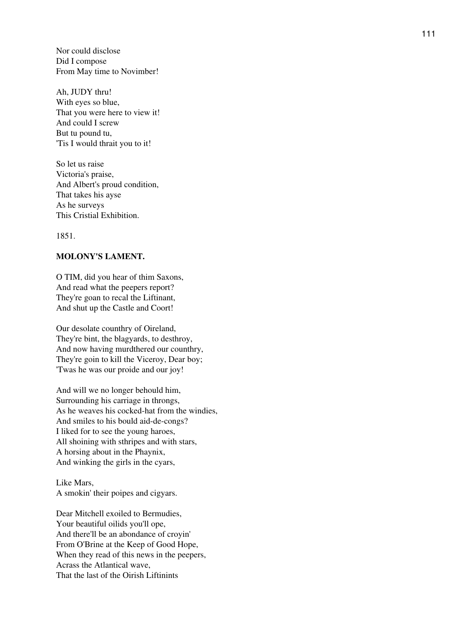Nor could disclose Did I compose From May time to Novimber!

Ah, JUDY thru! With eyes so blue, That you were here to view it! And could I screw But tu pound tu, 'Tis I would thrait you to it!

So let us raise Victoria's praise, And Albert's proud condition, That takes his ayse As he surveys This Cristial Exhibition.

1851.

## **MOLONY'S LAMENT.**

O TIM, did you hear of thim Saxons, And read what the peepers report? They're goan to recal the Liftinant, And shut up the Castle and Coort!

Our desolate counthry of Oireland, They're bint, the blagyards, to desthroy, And now having murdthered our counthry, They're goin to kill the Viceroy, Dear boy; 'Twas he was our proide and our joy!

And will we no longer behould him, Surrounding his carriage in throngs, As he weaves his cocked-hat from the windies, And smiles to his bould aid-de-congs? I liked for to see the young haroes, All shoining with sthripes and with stars, A horsing about in the Phaynix, And winking the girls in the cyars,

Like Mars, A smokin' their poipes and cigyars.

Dear Mitchell exoiled to Bermudies, Your beautiful oilids you'll ope, And there'll be an abondance of croyin' From O'Brine at the Keep of Good Hope, When they read of this news in the peepers, Acrass the Atlantical wave, That the last of the Oirish Liftinints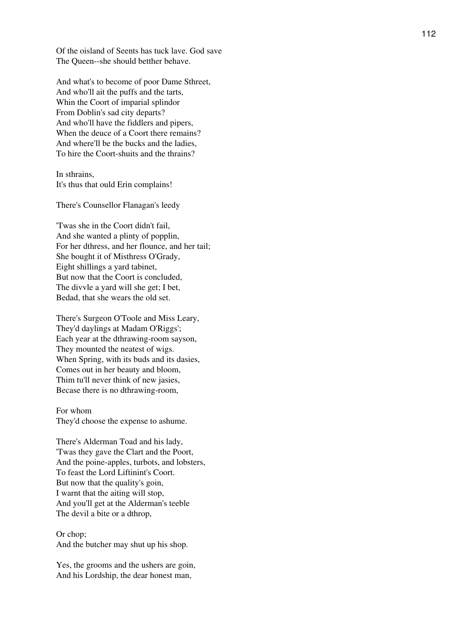Of the oisland of Seents has tuck lave. God save The Queen--she should betther behave.

And what's to become of poor Dame Sthreet, And who'll ait the puffs and the tarts, Whin the Coort of imparial splindor From Doblin's sad city departs? And who'll have the fiddlers and pipers, When the deuce of a Coort there remains? And where'll be the bucks and the ladies, To hire the Coort-shuits and the thrains?

In sthrains, It's thus that ould Erin complains!

There's Counsellor Flanagan's leedy

'Twas she in the Coort didn't fail, And she wanted a plinty of popplin, For her dthress, and her flounce, and her tail; She bought it of Misthress O'Grady, Eight shillings a yard tabinet, But now that the Coort is concluded, The divvle a yard will she get; I bet, Bedad, that she wears the old set.

There's Surgeon O'Toole and Miss Leary, They'd daylings at Madam O'Riggs'; Each year at the dthrawing-room sayson, They mounted the neatest of wigs. When Spring, with its buds and its dasies, Comes out in her beauty and bloom, Thim tu'll never think of new jasies, Becase there is no dthrawing-room,

For whom They'd choose the expense to ashume.

There's Alderman Toad and his lady, 'Twas they gave the Clart and the Poort, And the poine-apples, turbots, and lobsters, To feast the Lord Liftinint's Coort. But now that the quality's goin, I warnt that the aiting will stop, And you'll get at the Alderman's teeble The devil a bite or a dthrop,

Or chop; And the butcher may shut up his shop.

Yes, the grooms and the ushers are goin, And his Lordship, the dear honest man,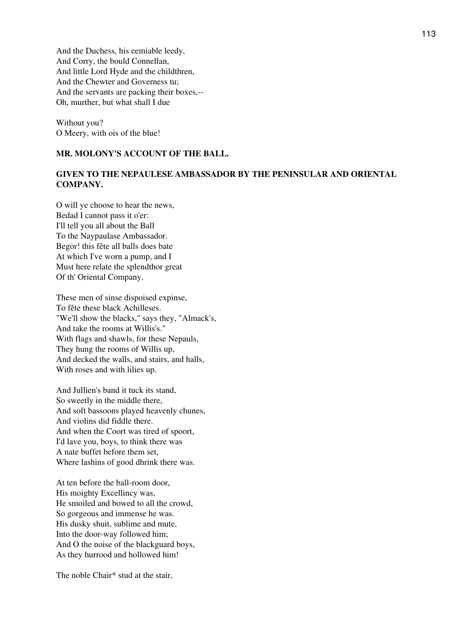And the Duchess, his eemiable leedy, And Corry, the bould Connellan, And little Lord Hyde and the childthren, And the Chewter and Governess tu; And the servants are packing their boxes,-- Oh, murther, but what shall I due

Without you? O Meery, with ois of the blue!

## **MR. MOLONY'S ACCOUNT OF THE BALL.**

# **GIVEN TO THE NEPAULESE AMBASSADOR BY THE PENINSULAR AND ORIENTAL COMPANY.**

O will ye choose to hear the news, Bedad I cannot pass it o'er: I'll tell you all about the Ball To the Naypaulase Ambassador. Begor! this fête all balls does bate At which I've worn a pump, and I Must here relate the splendthor great Of th' Oriental Company.

These men of sinse dispoised expinse, To fête these black Achilleses. "We'll show the blacks," says they, "Almack's, And take the rooms at Willis's." With flags and shawls, for these Nepauls, They hung the rooms of Willis up, And decked the walls, and stairs, and halls, With roses and with lilies up.

And Jullien's band it tuck its stand, So sweetly in the middle there, And soft bassoons played heavenly chunes, And violins did fiddle there. And when the Coort was tired of spoort, I'd lave you, boys, to think there was A nate buffet before them set, Where lashins of good dhrink there was.

At ten before the ball-room door, His moighty Excellincy was, He smoiled and bowed to all the crowd, So gorgeous and immense he was. His dusky shuit, sublime and mute, Into the door-way followed him; And O the noise of the blackguard boys, As they hurrood and hollowed him!

The noble Chair\* stud at the stair,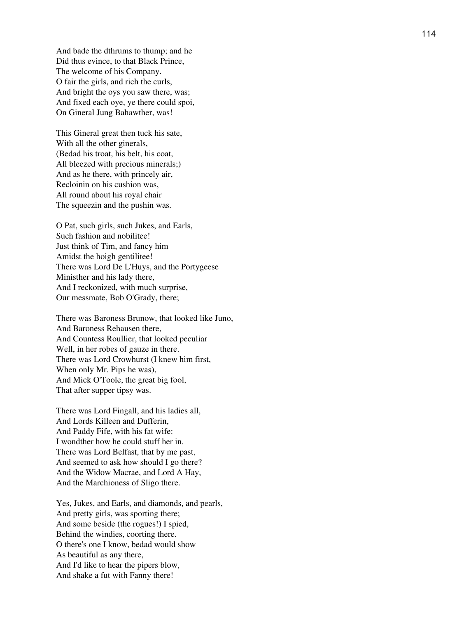And bade the dthrums to thump; and he Did thus evince, to that Black Prince, The welcome of his Company. O fair the girls, and rich the curls, And bright the oys you saw there, was; And fixed each oye, ye there could spoi, On Gineral Jung Bahawther, was!

This Gineral great then tuck his sate, With all the other ginerals, (Bedad his troat, his belt, his coat, All bleezed with precious minerals;) And as he there, with princely air, Recloinin on his cushion was, All round about his royal chair The squeezin and the pushin was.

O Pat, such girls, such Jukes, and Earls, Such fashion and nobilitee! Just think of Tim, and fancy him Amidst the hoigh gentilitee! There was Lord De L'Huys, and the Portygeese Ministher and his lady there, And I reckonized, with much surprise, Our messmate, Bob O'Grady, there;

There was Baroness Brunow, that looked like Juno, And Baroness Rehausen there, And Countess Roullier, that looked peculiar Well, in her robes of gauze in there. There was Lord Crowhurst (I knew him first, When only Mr. Pips he was), And Mick O'Toole, the great big fool, That after supper tipsy was.

There was Lord Fingall, and his ladies all, And Lords Killeen and Dufferin, And Paddy Fife, with his fat wife: I wondther how he could stuff her in. There was Lord Belfast, that by me past, And seemed to ask how should I go there? And the Widow Macrae, and Lord A Hay, And the Marchioness of Sligo there.

Yes, Jukes, and Earls, and diamonds, and pearls, And pretty girls, was sporting there; And some beside (the rogues!) I spied, Behind the windies, coorting there. O there's one I know, bedad would show As beautiful as any there, And I'd like to hear the pipers blow, And shake a fut with Fanny there!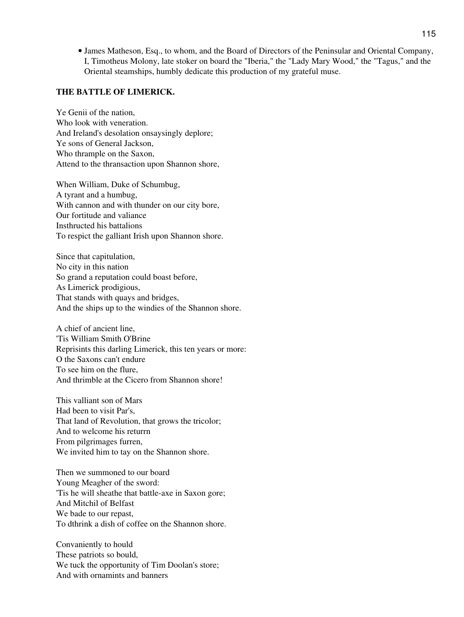James Matheson, Esq., to whom, and the Board of Directors of the Peninsular and Oriental Company, • I, Timotheus Molony, late stoker on board the "Iberia," the "Lady Mary Wood," the "Tagus," and the Oriental steamships, humbly dedicate this production of my grateful muse.

## **THE BATTLE OF LIMERICK.**

Ye Genii of the nation, Who look with veneration. And Ireland's desolation onsaysingly deplore; Ye sons of General Jackson, Who thrample on the Saxon, Attend to the thransaction upon Shannon shore,

When William, Duke of Schumbug, A tyrant and a humbug, With cannon and with thunder on our city bore, Our fortitude and valiance Insthructed his battalions To respict the galliant Irish upon Shannon shore.

Since that capitulation, No city in this nation So grand a reputation could boast before, As Limerick prodigious, That stands with quays and bridges, And the ships up to the windies of the Shannon shore.

A chief of ancient line, 'Tis William Smith O'Brine Reprisints this darling Limerick, this ten years or more: O the Saxons can't endure To see him on the flure, And thrimble at the Cicero from Shannon shore!

This valliant son of Mars Had been to visit Par's, That land of Revolution, that grows the tricolor; And to welcome his returrn From pilgrimages furren, We invited him to tay on the Shannon shore.

Then we summoned to our board Young Meagher of the sword: 'Tis he will sheathe that battle-axe in Saxon gore; And Mitchil of Belfast We bade to our repast, To dthrink a dish of coffee on the Shannon shore.

Convaniently to hould These patriots so bould, We tuck the opportunity of Tim Doolan's store; And with ornamints and banners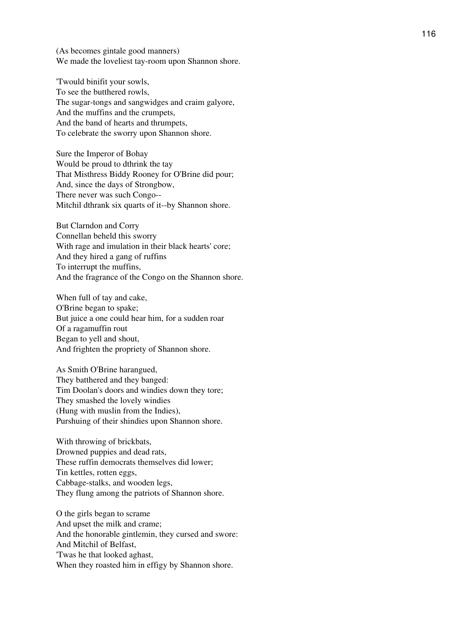(As becomes gintale good manners) We made the loveliest tay-room upon Shannon shore.

'Twould binifit your sowls, To see the butthered rowls, The sugar-tongs and sangwidges and craim galyore, And the muffins and the crumpets, And the band of hearts and thrumpets, To celebrate the sworry upon Shannon shore.

Sure the Imperor of Bohay Would be proud to dthrink the tay That Misthress Biddy Rooney for O'Brine did pour; And, since the days of Strongbow, There never was such Congo-- Mitchil dthrank six quarts of it--by Shannon shore.

But Clarndon and Corry Connellan beheld this sworry With rage and imulation in their black hearts' core; And they hired a gang of ruffins To interrupt the muffins, And the fragrance of the Congo on the Shannon shore.

When full of tay and cake, O'Brine began to spake; But juice a one could hear him, for a sudden roar Of a ragamuffin rout Began to yell and shout, And frighten the propriety of Shannon shore.

As Smith O'Brine harangued, They batthered and they banged: Tim Doolan's doors and windies down they tore; They smashed the lovely windies (Hung with muslin from the Indies), Purshuing of their shindies upon Shannon shore.

With throwing of brickbats, Drowned puppies and dead rats, These ruffin democrats themselves did lower; Tin kettles, rotten eggs, Cabbage-stalks, and wooden legs, They flung among the patriots of Shannon shore.

O the girls began to scrame And upset the milk and crame; And the honorable gintlemin, they cursed and swore: And Mitchil of Belfast, 'Twas he that looked aghast, When they roasted him in effigy by Shannon shore.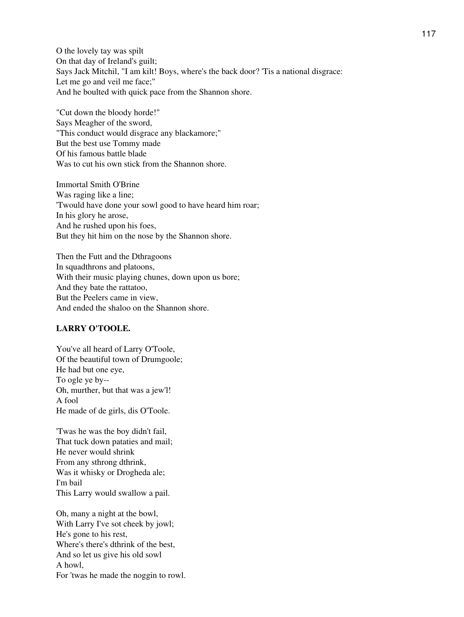O the lovely tay was spilt On that day of Ireland's guilt; Says Jack Mitchil, "I am kilt! Boys, where's the back door? 'Tis a national disgrace: Let me go and veil me face;" And he boulted with quick pace from the Shannon shore.

"Cut down the bloody horde!" Says Meagher of the sword, "This conduct would disgrace any blackamore;" But the best use Tommy made Of his famous battle blade Was to cut his own stick from the Shannon shore.

Immortal Smith O'Brine Was raging like a line; 'Twould have done your sowl good to have heard him roar; In his glory he arose, And he rushed upon his foes, But they hit him on the nose by the Shannon shore.

Then the Futt and the Dthragoons In squadthrons and platoons, With their music playing chunes, down upon us bore; And they bate the rattatoo, But the Peelers came in view, And ended the shaloo on the Shannon shore.

## **LARRY O'TOOLE.**

You've all heard of Larry O'Toole, Of the beautiful town of Drumgoole; He had but one eye, To ogle ye by-- Oh, murther, but that was a jew'l! A fool He made of de girls, dis O'Toole.

'Twas he was the boy didn't fail, That tuck down pataties and mail; He never would shrink From any sthrong dthrink, Was it whisky or Drogheda ale; I'm bail This Larry would swallow a pail.

Oh, many a night at the bowl, With Larry I've sot cheek by jowl; He's gone to his rest, Where's there's dthrink of the best, And so let us give his old sowl A howl, For 'twas he made the noggin to rowl.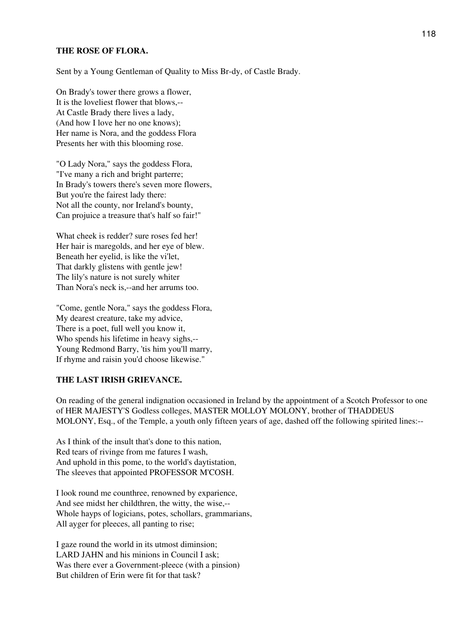## **THE ROSE OF FLORA.**

Sent by a Young Gentleman of Quality to Miss Br-dy, of Castle Brady.

On Brady's tower there grows a flower, It is the loveliest flower that blows,-- At Castle Brady there lives a lady, (And how I love her no one knows); Her name is Nora, and the goddess Flora Presents her with this blooming rose.

"O Lady Nora," says the goddess Flora, "I've many a rich and bright parterre; In Brady's towers there's seven more flowers, But you're the fairest lady there: Not all the county, nor Ireland's bounty, Can projuice a treasure that's half so fair!"

What cheek is redder? sure roses fed her! Her hair is maregolds, and her eye of blew. Beneath her eyelid, is like the vi'let, That darkly glistens with gentle jew! The lily's nature is not surely whiter Than Nora's neck is,--and her arrums too.

"Come, gentle Nora," says the goddess Flora, My dearest creature, take my advice, There is a poet, full well you know it, Who spends his lifetime in heavy sighs,-- Young Redmond Barry, 'tis him you'll marry, If rhyme and raisin you'd choose likewise."

#### **THE LAST IRISH GRIEVANCE.**

On reading of the general indignation occasioned in Ireland by the appointment of a Scotch Professor to one of HER MAJESTY'S Godless colleges, MASTER MOLLOY MOLONY, brother of THADDEUS MOLONY, Esq., of the Temple, a youth only fifteen years of age, dashed off the following spirited lines:--

As I think of the insult that's done to this nation, Red tears of rivinge from me fatures I wash, And uphold in this pome, to the world's daytistation, The sleeves that appointed PROFESSOR M'COSH.

I look round me counthree, renowned by exparience, And see midst her childthren, the witty, the wise,-- Whole hayps of logicians, potes, schollars, grammarians, All ayger for pleeces, all panting to rise;

I gaze round the world in its utmost diminsion; LARD JAHN and his minions in Council I ask; Was there ever a Government-pleece (with a pinsion) But children of Erin were fit for that task?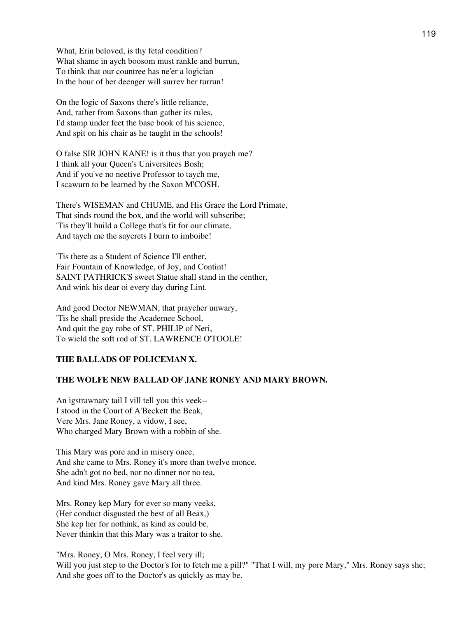What, Erin beloved, is thy fetal condition? What shame in aych boosom must rankle and burrun, To think that our countree has ne'er a logician In the hour of her deenger will surrev her turrun!

On the logic of Saxons there's little reliance, And, rather from Saxons than gather its rules, I'd stamp under feet the base book of his science, And spit on his chair as he taught in the schools!

O false SIR JOHN KANE! is it thus that you praych me? I think all your Queen's Universitees Bosh; And if you've no neetive Professor to taych me, I scawurn to be learned by the Saxon M'COSH.

There's WISEMAN and CHUME, and His Grace the Lord Primate, That sinds round the box, and the world will subscribe; 'Tis they'll build a College that's fit for our climate, And taych me the saycrets I burn to imboibe!

'Tis there as a Student of Science I'll enther, Fair Fountain of Knowledge, of Joy, and Contint! SAINT PATHRICK'S sweet Statue shall stand in the centher, And wink his dear oi every day during Lint.

And good Doctor NEWMAN, that praycher unwary, 'Tis he shall preside the Academee School, And quit the gay robe of ST. PHILIP of Neri, To wield the soft rod of ST. LAWRENCE O'TOOLE!

# **THE BALLADS OF POLICEMAN X.**

#### **THE WOLFE NEW BALLAD OF JANE RONEY AND MARY BROWN.**

An igstrawnary tail I vill tell you this veek-- I stood in the Court of A'Beckett the Beak, Vere Mrs. Jane Roney, a vidow, I see, Who charged Mary Brown with a robbin of she.

This Mary was pore and in misery once, And she came to Mrs. Roney it's more than twelve monce. She adn't got no bed, nor no dinner nor no tea, And kind Mrs. Roney gave Mary all three.

Mrs. Roney kep Mary for ever so many veeks, (Her conduct disgusted the best of all Beax,) She kep her for nothink, as kind as could be, Never thinkin that this Mary was a traitor to she.

"Mrs. Roney, O Mrs. Roney, I feel very ill; Will you just step to the Doctor's for to fetch me a pill?" "That I will, my pore Mary," Mrs. Roney says she; And she goes off to the Doctor's as quickly as may be.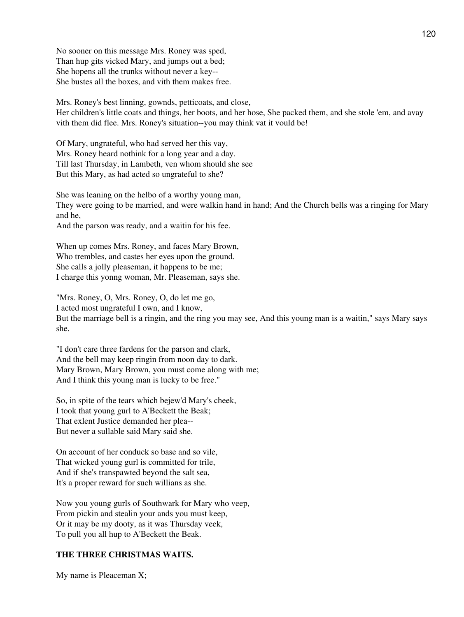No sooner on this message Mrs. Roney was sped, Than hup gits vicked Mary, and jumps out a bed; She hopens all the trunks without never a key-- She bustes all the boxes, and vith them makes free.

Mrs. Roney's best linning, gownds, petticoats, and close, Her children's little coats and things, her boots, and her hose, She packed them, and she stole 'em, and avay vith them did flee. Mrs. Roney's situation--you may think vat it vould be!

Of Mary, ungrateful, who had served her this vay, Mrs. Roney heard nothink for a long year and a day. Till last Thursday, in Lambeth, ven whom should she see But this Mary, as had acted so ungrateful to she?

She was leaning on the helbo of a worthy young man, They were going to be married, and were walkin hand in hand; And the Church bells was a ringing for Mary and he,

And the parson was ready, and a waitin for his fee.

When up comes Mrs. Roney, and faces Mary Brown, Who trembles, and castes her eyes upon the ground. She calls a jolly pleaseman, it happens to be me; I charge this yonng woman, Mr. Pleaseman, says she.

"Mrs. Roney, O, Mrs. Roney, O, do let me go, I acted most ungrateful I own, and I know, But the marriage bell is a ringin, and the ring you may see, And this young man is a waitin," says Mary says she.

"I don't care three fardens for the parson and clark, And the bell may keep ringin from noon day to dark. Mary Brown, Mary Brown, you must come along with me; And I think this young man is lucky to be free."

So, in spite of the tears which bejew'd Mary's cheek, I took that young gurl to A'Beckett the Beak; That exlent Justice demanded her plea-- But never a sullable said Mary said she.

On account of her conduck so base and so vile, That wicked young gurl is committed for trile, And if she's transpawted beyond the salt sea, It's a proper reward for such willians as she.

Now you young gurls of Southwark for Mary who veep, From pickin and stealin your ands you must keep, Or it may be my dooty, as it was Thursday veek, To pull you all hup to A'Beckett the Beak.

# **THE THREE CHRISTMAS WAITS.**

My name is Pleaceman X;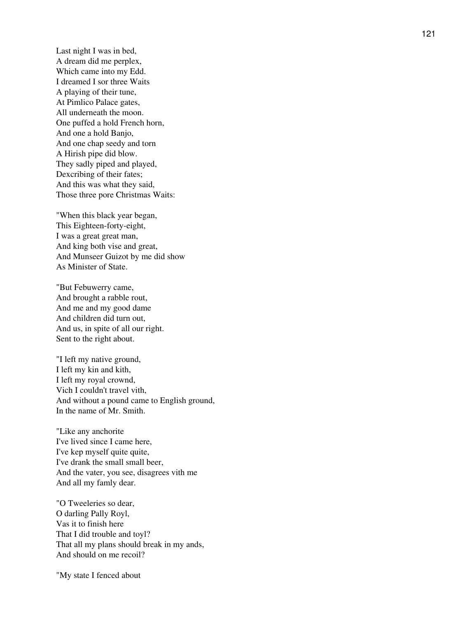Last night I was in bed, A dream did me perplex, Which came into my Edd. I dreamed I sor three Waits A playing of their tune, At Pimlico Palace gates, All underneath the moon. One puffed a hold French horn, And one a hold Banjo, And one chap seedy and torn A Hirish pipe did blow. They sadly piped and played, Dexcribing of their fates; And this was what they said, Those three pore Christmas Waits:

"When this black year began, This Eighteen-forty-eight, I was a great great man, And king both vise and great, And Munseer Guizot by me did show As Minister of State.

"But Febuwerry came, And brought a rabble rout, And me and my good dame And children did turn out, And us, in spite of all our right. Sent to the right about.

"I left my native ground, I left my kin and kith, I left my royal crownd, Vich I couldn't travel vith, And without a pound came to English ground, In the name of Mr. Smith.

"Like any anchorite I've lived since I came here, I've kep myself quite quite, I've drank the small small beer, And the vater, you see, disagrees vith me And all my famly dear.

"O Tweeleries so dear, O darling Pally Royl, Vas it to finish here That I did trouble and toyl? That all my plans should break in my ands, And should on me recoil?

"My state I fenced about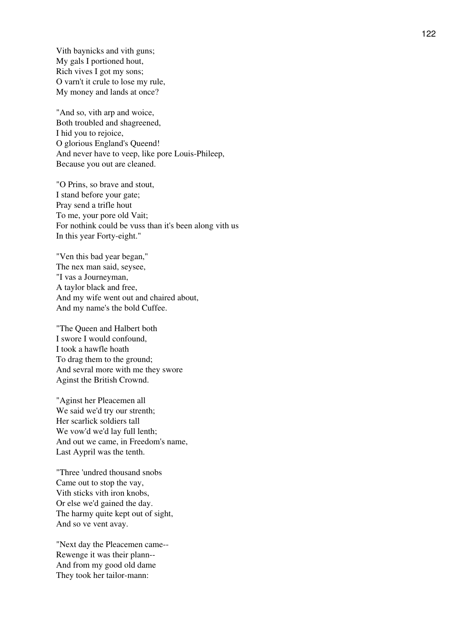Vith baynicks and vith guns; My gals I portioned hout, Rich vives I got my sons; O varn't it crule to lose my rule, My money and lands at once?

"And so, vith arp and woice, Both troubled and shagreened, I hid you to rejoice, O glorious England's Queend! And never have to veep, like pore Louis-Phileep, Because you out are cleaned.

"O Prins, so brave and stout, I stand before your gate; Pray send a trifle hout To me, your pore old Vait; For nothink could be vuss than it's been along vith us In this year Forty-eight."

"Ven this bad year began," The nex man said, seysee, "I vas a Journeyman, A taylor black and free, And my wife went out and chaired about, And my name's the bold Cuffee.

"The Queen and Halbert both I swore I would confound, I took a hawfle hoath To drag them to the ground; And sevral more with me they swore Aginst the British Crownd.

"Aginst her Pleacemen all We said we'd try our strenth; Her scarlick soldiers tall We vow'd we'd lay full lenth; And out we came, in Freedom's name, Last Aypril was the tenth.

"Three 'undred thousand snobs Came out to stop the vay, Vith sticks vith iron knobs, Or else we'd gained the day. The harmy quite kept out of sight, And so ve vent avay.

"Next day the Pleacemen came-- Rewenge it was their plann-- And from my good old dame They took her tailor-mann: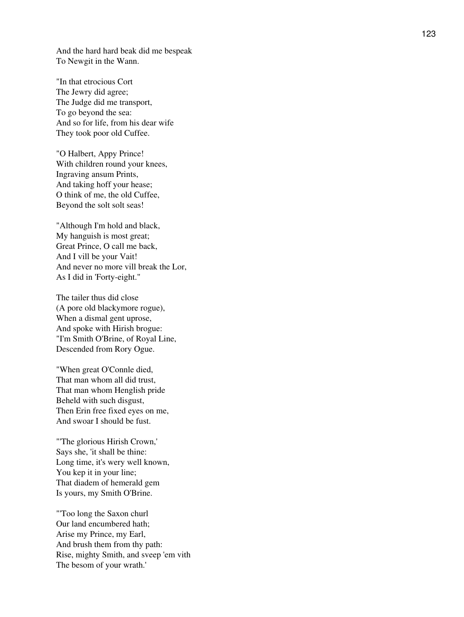And the hard hard beak did me bespeak To Newgit in the Wann.

"In that etrocious Cort The Jewry did agree; The Judge did me transport, To go beyond the sea: And so for life, from his dear wife They took poor old Cuffee.

"O Halbert, Appy Prince! With children round your knees, Ingraving ansum Prints, And taking hoff your hease; O think of me, the old Cuffee, Beyond the solt solt seas!

"Although I'm hold and black, My hanguish is most great; Great Prince, O call me back, And I vill be your Vait! And never no more vill break the Lor, As I did in 'Forty-eight."

The tailer thus did close (A pore old blackymore rogue), When a dismal gent uprose, And spoke with Hirish brogue: "I'm Smith O'Brine, of Royal Line, Descended from Rory Ogue.

"When great O'Connle died, That man whom all did trust, That man whom Henglish pride Beheld with such disgust, Then Erin free fixed eyes on me, And swoar I should be fust.

"'The glorious Hirish Crown,' Says she, 'it shall be thine: Long time, it's wery well known, You kep it in your line; That diadem of hemerald gem Is yours, my Smith O'Brine.

"'Too long the Saxon churl Our land encumbered hath; Arise my Prince, my Earl, And brush them from thy path: Rise, mighty Smith, and sveep 'em vith The besom of your wrath.'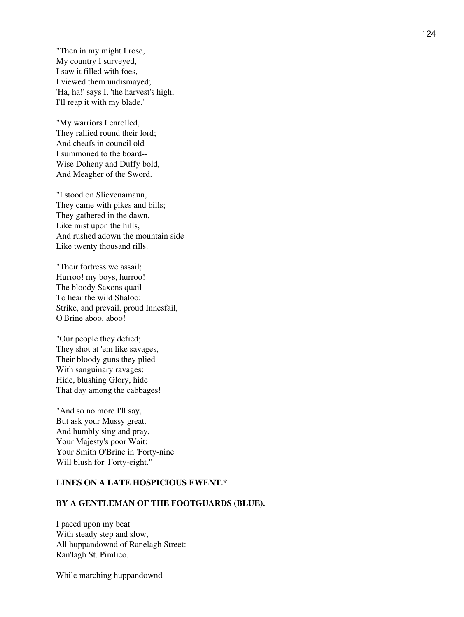"Then in my might I rose, My country I surveyed, I saw it filled with foes, I viewed them undismayed; 'Ha, ha!' says I, 'the harvest's high, I'll reap it with my blade.'

"My warriors I enrolled, They rallied round their lord; And cheafs in council old I summoned to the board-- Wise Doheny and Duffy bold, And Meagher of the Sword.

"I stood on Slievenamaun, They came with pikes and bills; They gathered in the dawn, Like mist upon the hills, And rushed adown the mountain side Like twenty thousand rills.

"Their fortress we assail; Hurroo! my boys, hurroo! The bloody Saxons quail To hear the wild Shaloo: Strike, and prevail, proud Innesfail, O'Brine aboo, aboo!

"Our people they defied; They shot at 'em like savages, Their bloody guns they plied With sanguinary ravages: Hide, blushing Glory, hide That day among the cabbages!

"And so no more I'll say, But ask your Mussy great. And humbly sing and pray, Your Majesty's poor Wait: Your Smith O'Brine in 'Forty-nine Will blush for 'Forty-eight."

#### **LINES ON A LATE HOSPICIOUS EWENT.\***

#### **BY A GENTLEMAN OF THE FOOTGUARDS (BLUE).**

I paced upon my beat With steady step and slow, All huppandownd of Ranelagh Street: Ran'lagh St. Pimlico.

While marching huppandownd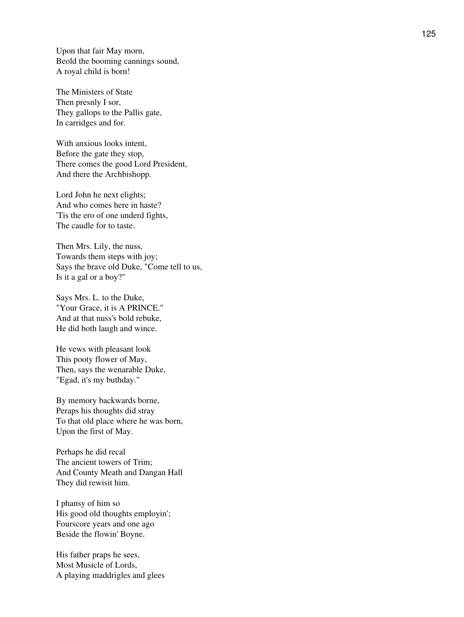Upon that fair May morn, Beold the booming cannings sound, A royal child is born!

The Ministers of State Then presnly I sor, They gallops to the Pallis gate, In carridges and for.

With anxious looks intent, Before the gate they stop, There comes the good Lord President, And there the Archbishopp.

Lord John he next elights; And who comes here in haste? 'Tis the ero of one underd fights, The caudle for to taste.

Then Mrs. Lily, the nuss, Towards them steps with joy; Says the brave old Duke, "Come tell to us, Is it a gal or a boy?"

Says Mrs. L. to the Duke, "Your Grace, it is A PRINCE." And at that nuss's bold rebuke, He did both laugh and wince.

He vews with pleasant look This pooty flower of May, Then, says the wenarable Duke, "Egad, it's my buthday."

By memory backwards borne, Peraps his thoughts did stray To that old place where he was born, Upon the first of May.

Perhaps he did recal The ancient towers of Trim; And County Meath and Dangan Hall They did rewisit him.

I phansy of him so His good old thoughts employin'; Fourscore years and one ago Beside the flowin' Boyne.

His father praps he sees, Most Musicle of Lords, A playing maddrigles and glees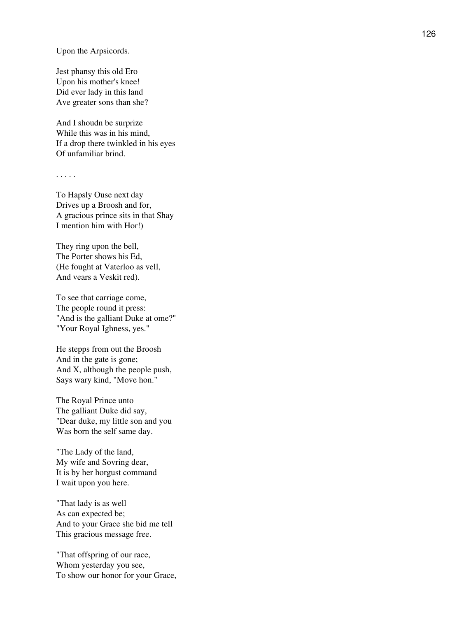Upon the Arpsicords.

Jest phansy this old Ero Upon his mother's knee! Did ever lady in this land Ave greater sons than she?

And I shoudn be surprize While this was in his mind, If a drop there twinkled in his eyes Of unfamiliar brind.

. . . . .

To Hapsly Ouse next day Drives up a Broosh and for, A gracious prince sits in that Shay I mention him with Hor!)

They ring upon the bell, The Porter shows his Ed, (He fought at Vaterloo as vell, And vears a Veskit red).

To see that carriage come, The people round it press: "And is the galliant Duke at ome?" "Your Royal Ighness, yes."

He stepps from out the Broosh And in the gate is gone; And X, although the people push, Says wary kind, "Move hon."

The Royal Prince unto The galliant Duke did say, "Dear duke, my little son and you Was born the self same day.

"The Lady of the land, My wife and Sovring dear, It is by her horgust command I wait upon you here.

"That lady is as well As can expected be; And to your Grace she bid me tell This gracious message free.

"That offspring of our race, Whom yesterday you see, To show our honor for your Grace,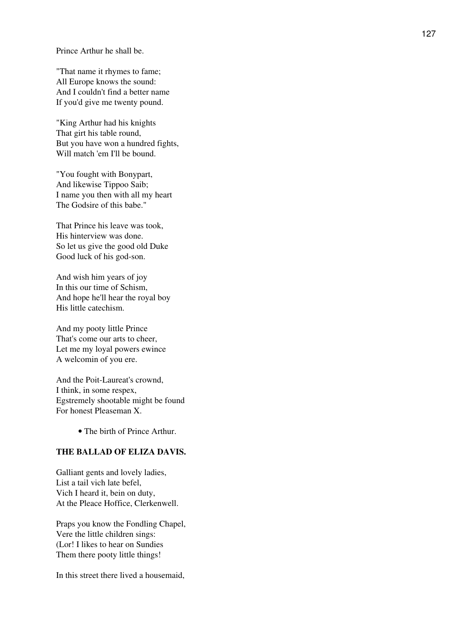Prince Arthur he shall be.

"That name it rhymes to fame; All Europe knows the sound: And I couldn't find a better name If you'd give me twenty pound.

"King Arthur had his knights That girt his table round, But you have won a hundred fights, Will match 'em I'll be bound.

"You fought with Bonypart, And likewise Tippoo Saib; I name you then with all my heart The Godsire of this babe."

That Prince his leave was took, His hinterview was done. So let us give the good old Duke Good luck of his god-son.

And wish him years of joy In this our time of Schism, And hope he'll hear the royal boy His little catechism.

And my pooty little Prince That's come our arts to cheer, Let me my loyal powers ewince A welcomin of you ere.

And the Poit-Laureat's crownd, I think, in some respex, Egstremely shootable might be found For honest Pleaseman X.

• The birth of Prince Arthur.

# **THE BALLAD OF ELIZA DAVIS.**

Galliant gents and lovely ladies, List a tail vich late befel, Vich I heard it, bein on duty, At the Pleace Hoffice, Clerkenwell.

Praps you know the Fondling Chapel, Vere the little children sings: (Lor! I likes to hear on Sundies Them there pooty little things!

In this street there lived a housemaid,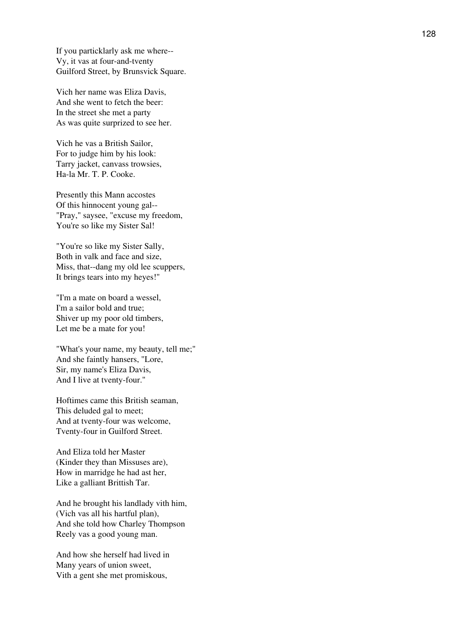If you particklarly ask me where-- Vy, it vas at four-and-tventy Guilford Street, by Brunsvick Square.

Vich her name was Eliza Davis, And she went to fetch the beer: In the street she met a party As was quite surprized to see her.

Vich he vas a British Sailor, For to judge him by his look: Tarry jacket, canvass trowsies, Ha-la Mr. T. P. Cooke.

Presently this Mann accostes Of this hinnocent young gal-- "Pray," saysee, "excuse my freedom, You're so like my Sister Sal!

"You're so like my Sister Sally, Both in valk and face and size, Miss, that--dang my old lee scuppers, It brings tears into my heyes!"

"I'm a mate on board a wessel, I'm a sailor bold and true; Shiver up my poor old timbers, Let me be a mate for you!

"What's your name, my beauty, tell me;" And she faintly hansers, "Lore, Sir, my name's Eliza Davis, And I live at tventy-four."

Hoftimes came this British seaman, This deluded gal to meet; And at tventy-four was welcome, Tventy-four in Guilford Street.

And Eliza told her Master (Kinder they than Missuses are), How in marridge he had ast her, Like a galliant Brittish Tar.

And he brought his landlady vith him, (Vich vas all his hartful plan), And she told how Charley Thompson Reely vas a good young man.

And how she herself had lived in Many years of union sweet, Vith a gent she met promiskous,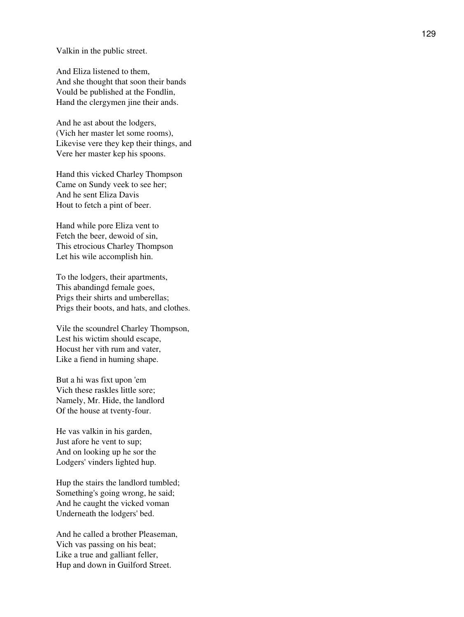Valkin in the public street.

And Eliza listened to them, And she thought that soon their bands Vould be published at the Fondlin, Hand the clergymen jine their ands.

And he ast about the lodgers, (Vich her master let some rooms), Likevise vere they kep their things, and Vere her master kep his spoons.

Hand this vicked Charley Thompson Came on Sundy veek to see her; And he sent Eliza Davis Hout to fetch a pint of beer.

Hand while pore Eliza vent to Fetch the beer, dewoid of sin, This etrocious Charley Thompson Let his wile accomplish hin.

To the lodgers, their apartments, This abandingd female goes, Prigs their shirts and umberellas; Prigs their boots, and hats, and clothes.

Vile the scoundrel Charley Thompson, Lest his wictim should escape, Hocust her vith rum and vater, Like a fiend in huming shape.

But a hi was fixt upon 'em Vich these raskles little sore; Namely, Mr. Hide, the landlord Of the house at tventy-four.

He vas valkin in his garden, Just afore he vent to sup; And on looking up he sor the Lodgers' vinders lighted hup.

Hup the stairs the landlord tumbled; Something's going wrong, he said; And he caught the vicked voman Underneath the lodgers' bed.

And he called a brother Pleaseman, Vich vas passing on his beat; Like a true and galliant feller, Hup and down in Guilford Street.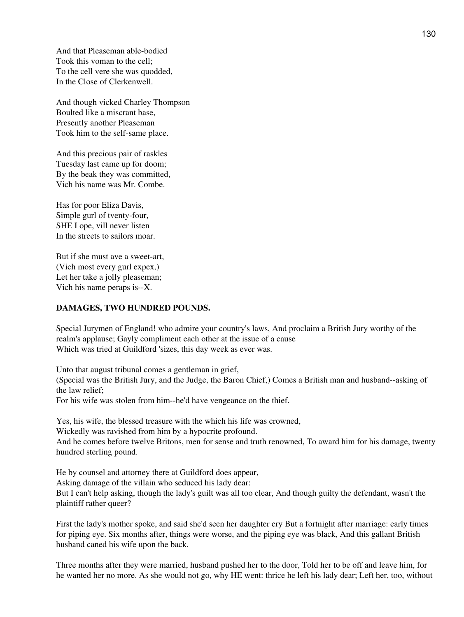And that Pleaseman able-bodied Took this voman to the cell; To the cell vere she was quodded, In the Close of Clerkenwell.

And though vicked Charley Thompson Boulted like a miscrant base, Presently another Pleaseman Took him to the self-same place.

And this precious pair of raskles Tuesday last came up for doom; By the beak they was committed, Vich his name was Mr. Combe.

Has for poor Eliza Davis, Simple gurl of tventy-four, SHE I ope, vill never listen In the streets to sailors moar.

But if she must ave a sweet-art, (Vich most every gurl expex,) Let her take a jolly pleaseman; Vich his name peraps is--X.

## **DAMAGES, TWO HUNDRED POUNDS.**

Special Jurymen of England! who admire your country's laws, And proclaim a British Jury worthy of the realm's applause; Gayly compliment each other at the issue of a cause Which was tried at Guildford 'sizes, this day week as ever was.

Unto that august tribunal comes a gentleman in grief,

(Special was the British Jury, and the Judge, the Baron Chief,) Comes a British man and husband--asking of the law relief;

For his wife was stolen from him--he'd have vengeance on the thief.

Yes, his wife, the blessed treasure with the which his life was crowned,

Wickedly was ravished from him by a hypocrite profound.

And he comes before twelve Britons, men for sense and truth renowned, To award him for his damage, twenty hundred sterling pound.

He by counsel and attorney there at Guildford does appear, Asking damage of the villain who seduced his lady dear: But I can't help asking, though the lady's guilt was all too clear, And though guilty the defendant, wasn't the plaintiff rather queer?

First the lady's mother spoke, and said she'd seen her daughter cry But a fortnight after marriage: early times for piping eye. Six months after, things were worse, and the piping eye was black, And this gallant British husband caned his wife upon the back.

Three months after they were married, husband pushed her to the door, Told her to be off and leave him, for he wanted her no more. As she would not go, why HE went: thrice he left his lady dear; Left her, too, without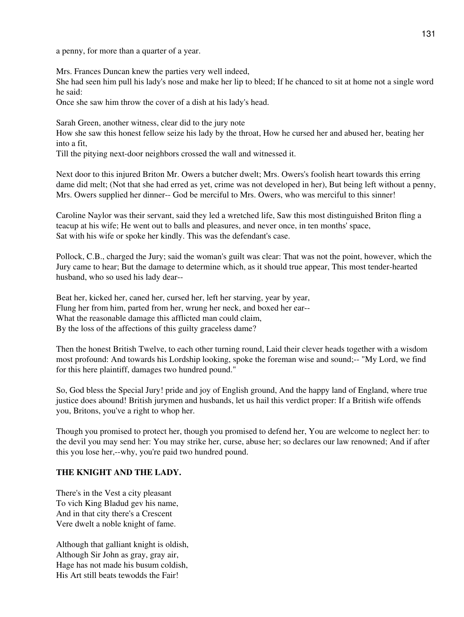a penny, for more than a quarter of a year.

Mrs. Frances Duncan knew the parties very well indeed, She had seen him pull his lady's nose and make her lip to bleed; If he chanced to sit at home not a single word he said:

Once she saw him throw the cover of a dish at his lady's head.

Sarah Green, another witness, clear did to the jury note

How she saw this honest fellow seize his lady by the throat, How he cursed her and abused her, beating her into a fit,

Till the pitying next-door neighbors crossed the wall and witnessed it.

Next door to this injured Briton Mr. Owers a butcher dwelt; Mrs. Owers's foolish heart towards this erring dame did melt; (Not that she had erred as yet, crime was not developed in her), But being left without a penny, Mrs. Owers supplied her dinner-- God be merciful to Mrs. Owers, who was merciful to this sinner!

Caroline Naylor was their servant, said they led a wretched life, Saw this most distinguished Briton fling a teacup at his wife; He went out to balls and pleasures, and never once, in ten months' space, Sat with his wife or spoke her kindly. This was the defendant's case.

Pollock, C.B., charged the Jury; said the woman's guilt was clear: That was not the point, however, which the Jury came to hear; But the damage to determine which, as it should true appear, This most tender-hearted husband, who so used his lady dear--

Beat her, kicked her, caned her, cursed her, left her starving, year by year, Flung her from him, parted from her, wrung her neck, and boxed her ear-- What the reasonable damage this afflicted man could claim, By the loss of the affections of this guilty graceless dame?

Then the honest British Twelve, to each other turning round, Laid their clever heads together with a wisdom most profound: And towards his Lordship looking, spoke the foreman wise and sound;-- "My Lord, we find for this here plaintiff, damages two hundred pound."

So, God bless the Special Jury! pride and joy of English ground, And the happy land of England, where true justice does abound! British jurymen and husbands, let us hail this verdict proper: If a British wife offends you, Britons, you've a right to whop her.

Though you promised to protect her, though you promised to defend her, You are welcome to neglect her: to the devil you may send her: You may strike her, curse, abuse her; so declares our law renowned; And if after this you lose her,--why, you're paid two hundred pound.

## **THE KNIGHT AND THE LADY.**

There's in the Vest a city pleasant To vich King Bladud gev his name, And in that city there's a Crescent Vere dwelt a noble knight of fame.

Although that galliant knight is oldish, Although Sir John as gray, gray air, Hage has not made his busum coldish, His Art still beats tewodds the Fair!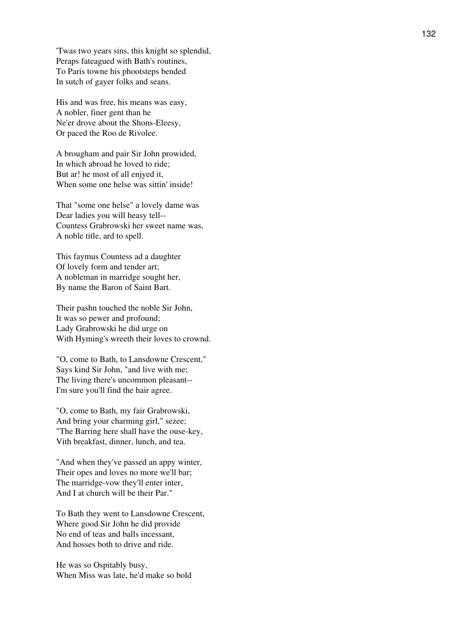'Twas two years sins, this knight so splendid, Peraps fateagued with Bath's routines, To Paris towne his phootsteps bended In sutch of gayer folks and seans.

His and was free, his means was easy, A nobler, finer gent than he Ne'er drove about the Shons-Eleesy, Or paced the Roo de Rivolee.

A brougham and pair Sir John prowided, In which abroad he loved to ride; But ar! he most of all enjyed it, When some one helse was sittin' inside!

That "some one helse" a lovely dame was Dear ladies you will heasy tell-- Countess Grabrowski her sweet name was, A noble title, ard to spell.

This faymus Countess ad a daughter Of lovely form and tender art; A nobleman in marridge sought her, By name the Baron of Saint Bart.

Their pashn touched the noble Sir John, It was so pewer and profound; Lady Grabrowski he did urge on With Hyming's wreeth their loves to crownd.

"O, come to Bath, to Lansdowne Crescent," Says kind Sir John, "and live with me; The living there's uncommon pleasant-- I'm sure you'll find the hair agree.

"O, come to Bath, my fair Grabrowski, And bring your charming girl," sezee; "The Barring here shall have the ouse-key, Vith breakfast, dinner, lunch, and tea.

"And when they've passed an appy winter, Their opes and loves no more we'll bar; The marridge-vow they'll enter inter, And I at church will be their Par."

To Bath they went to Lansdowne Crescent, Where good Sir John he did provide No end of teas and balls incessant, And hosses both to drive and ride.

He was so Ospitably busy, When Miss was late, he'd make so bold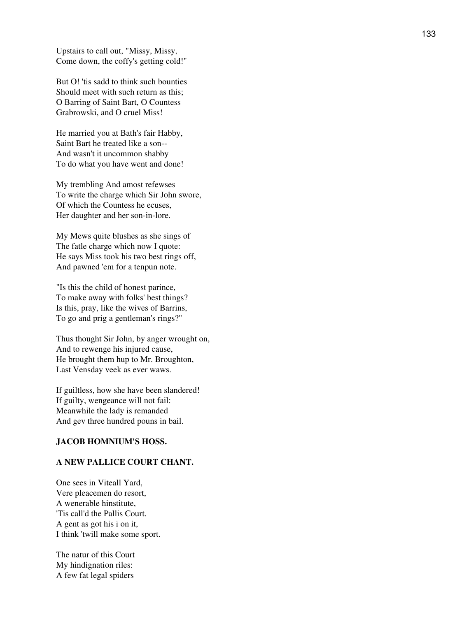Upstairs to call out, "Missy, Missy, Come down, the coffy's getting cold!"

But O! 'tis sadd to think such bounties Should meet with such return as this; O Barring of Saint Bart, O Countess Grabrowski, and O cruel Miss!

He married you at Bath's fair Habby, Saint Bart he treated like a son-- And wasn't it uncommon shabby To do what you have went and done!

My trembling And amost refewses To write the charge which Sir John swore, Of which the Countess he ecuses, Her daughter and her son-in-lore.

My Mews quite blushes as she sings of The fatle charge which now I quote: He says Miss took his two best rings off, And pawned 'em for a tenpun note.

"Is this the child of honest parince, To make away with folks' best things? Is this, pray, like the wives of Barrins, To go and prig a gentleman's rings?"

Thus thought Sir John, by anger wrought on, And to rewenge his injured cause, He brought them hup to Mr. Broughton, Last Vensday veek as ever waws.

If guiltless, how she have been slandered! If guilty, wengeance will not fail: Meanwhile the lady is remanded And gev three hundred pouns in bail.

#### **JACOB HOMNIUM'S HOSS.**

## **A NEW PALLICE COURT CHANT.**

One sees in Viteall Yard, Vere pleacemen do resort, A wenerable hinstitute, 'Tis call'd the Pallis Court. A gent as got his i on it, I think 'twill make some sport.

The natur of this Court My hindignation riles: A few fat legal spiders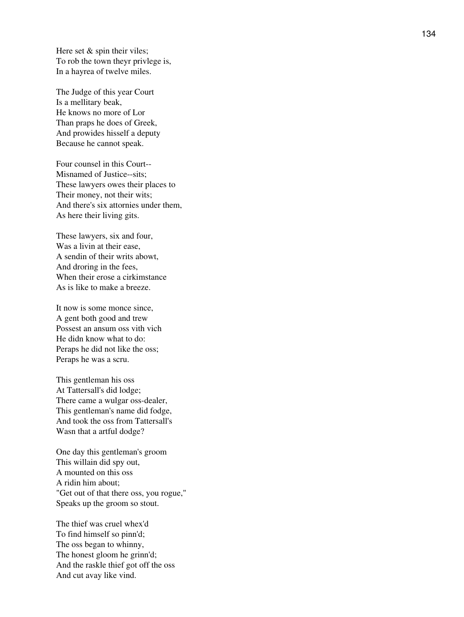Here set  $&$  spin their viles; To rob the town theyr privlege is, In a hayrea of twelve miles.

The Judge of this year Court Is a mellitary beak, He knows no more of Lor Than praps he does of Greek, And prowides hisself a deputy Because he cannot speak.

Four counsel in this Court-- Misnamed of Justice--sits; These lawyers owes their places to Their money, not their wits; And there's six attornies under them, As here their living gits.

These lawyers, six and four, Was a livin at their ease, A sendin of their writs abowt, And droring in the fees, When their erose a cirkimstance As is like to make a breeze.

It now is some monce since, A gent both good and trew Possest an ansum oss vith vich He didn know what to do: Peraps he did not like the oss; Peraps he was a scru.

This gentleman his oss At Tattersall's did lodge; There came a wulgar oss-dealer, This gentleman's name did fodge, And took the oss from Tattersall's Wasn that a artful dodge?

One day this gentleman's groom This willain did spy out, A mounted on this oss A ridin him about; "Get out of that there oss, you rogue," Speaks up the groom so stout.

The thief was cruel whex'd To find himself so pinn'd; The oss began to whinny, The honest gloom he grinn'd; And the raskle thief got off the oss And cut avay like vind.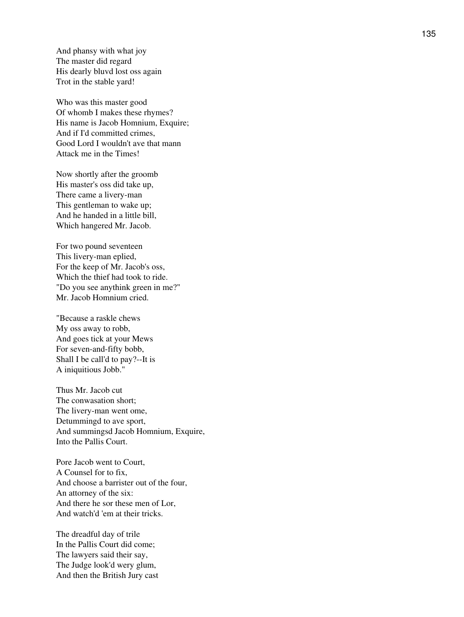And phansy with what joy The master did regard His dearly bluvd lost oss again Trot in the stable yard!

Who was this master good Of whomb I makes these rhymes? His name is Jacob Homnium, Exquire; And if I'd committed crimes, Good Lord I wouldn't ave that mann Attack me in the Times!

Now shortly after the groomb His master's oss did take up, There came a livery-man This gentleman to wake up; And he handed in a little bill, Which hangered Mr. Jacob.

For two pound seventeen This livery-man eplied, For the keep of Mr. Jacob's oss, Which the thief had took to ride. "Do you see anythink green in me?" Mr. Jacob Homnium cried.

"Because a raskle chews My oss away to robb, And goes tick at your Mews For seven-and-fifty bobb, Shall I be call'd to pay?--It is A iniquitious Jobb."

Thus Mr. Jacob cut The conwasation short; The livery-man went ome, Detummingd to ave sport, And summingsd Jacob Homnium, Exquire, Into the Pallis Court.

Pore Jacob went to Court, A Counsel for to fix, And choose a barrister out of the four, An attorney of the six: And there he sor these men of Lor, And watch'd 'em at their tricks.

The dreadful day of trile In the Pallis Court did come; The lawyers said their say, The Judge look'd wery glum, And then the British Jury cast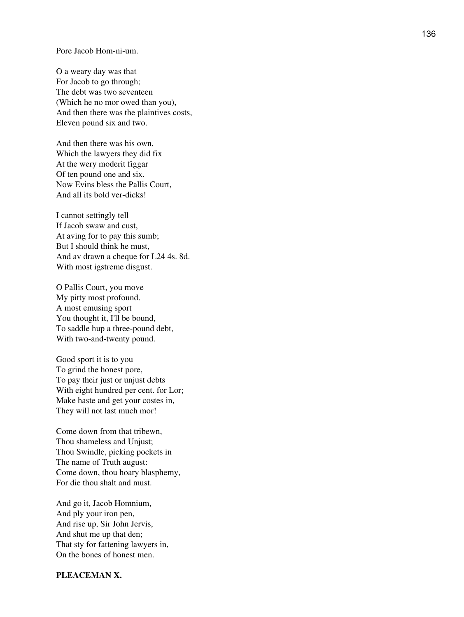#### Pore Jacob Hom-ni-um.

O a weary day was that For Jacob to go through; The debt was two seventeen (Which he no mor owed than you), And then there was the plaintives costs, Eleven pound six and two.

And then there was his own, Which the lawyers they did fix At the wery moderit figgar Of ten pound one and six. Now Evins bless the Pallis Court, And all its bold ver-dicks!

I cannot settingly tell If Jacob swaw and cust, At aving for to pay this sumb; But I should think he must, And av drawn a cheque for L24 4s. 8d. With most igstreme disgust.

O Pallis Court, you move My pitty most profound. A most emusing sport You thought it, I'll be bound, To saddle hup a three-pound debt, With two-and-twenty pound.

Good sport it is to you To grind the honest pore, To pay their just or unjust debts With eight hundred per cent. for Lor; Make haste and get your costes in, They will not last much mor!

Come down from that tribewn, Thou shameless and Unjust; Thou Swindle, picking pockets in The name of Truth august: Come down, thou hoary blasphemy, For die thou shalt and must.

And go it, Jacob Homnium, And ply your iron pen, And rise up, Sir John Jervis, And shut me up that den; That sty for fattening lawyers in, On the bones of honest men.

#### **PLEACEMAN X.**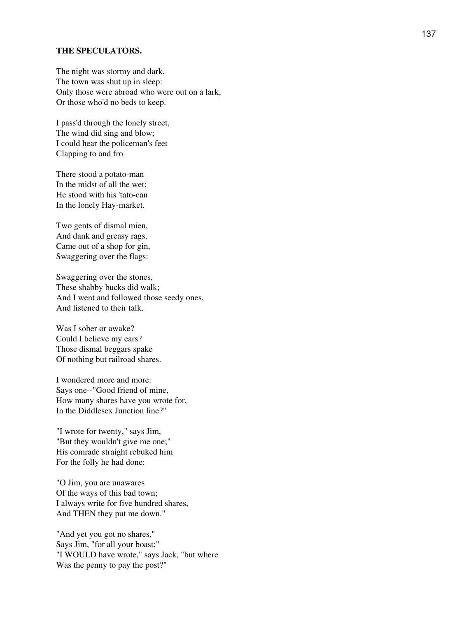#### **THE SPECULATORS.**

The night was stormy and dark, The town was shut up in sleep: Only those were abroad who were out on a lark, Or those who'd no beds to keep.

I pass'd through the lonely street, The wind did sing and blow; I could hear the policeman's feet Clapping to and fro.

There stood a potato-man In the midst of all the wet; He stood with his 'tato-can In the lonely Hay-market.

Two gents of dismal mien, And dank and greasy rags, Came out of a shop for gin, Swaggering over the flags:

Swaggering over the stones, These shabby bucks did walk; And I went and followed those seedy ones, And listened to their talk.

Was I sober or awake? Could I believe my ears? Those dismal beggars spake Of nothing but railroad shares.

I wondered more and more: Says one--"Good friend of mine, How many shares have you wrote for, In the Diddlesex Junction line?"

"I wrote for twenty," says Jim, "But they wouldn't give me one;" His comrade straight rebuked him For the folly he had done:

"O Jim, you are unawares Of the ways of this bad town; I always write for five hundred shares, And THEN they put me down."

"And yet you got no shares," Says Jim, "for all your boast;" "I WOULD have wrote," says Jack, "but where Was the penny to pay the post?"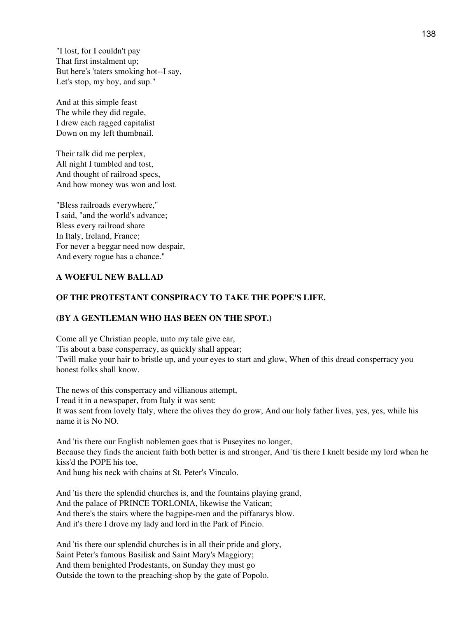"I lost, for I couldn't pay That first instalment up; But here's 'taters smoking hot--I say, Let's stop, my boy, and sup."

And at this simple feast The while they did regale, I drew each ragged capitalist Down on my left thumbnail.

Their talk did me perplex, All night I tumbled and tost, And thought of railroad specs, And how money was won and lost.

"Bless railroads everywhere," I said, "and the world's advance; Bless every railroad share In Italy, Ireland, France; For never a beggar need now despair, And every rogue has a chance."

## **A WOEFUL NEW BALLAD**

## **OF THE PROTESTANT CONSPIRACY TO TAKE THE POPE'S LIFE.**

#### **(BY A GENTLEMAN WHO HAS BEEN ON THE SPOT.)**

Come all ye Christian people, unto my tale give ear, 'Tis about a base consperracy, as quickly shall appear; 'Twill make your hair to bristle up, and your eyes to start and glow, When of this dread consperracy you honest folks shall know.

The news of this consperracy and villianous attempt, I read it in a newspaper, from Italy it was sent: It was sent from lovely Italy, where the olives they do grow, And our holy father lives, yes, yes, while his name it is No NO.

And 'tis there our English noblemen goes that is Puseyites no longer, Because they finds the ancient faith both better is and stronger, And 'tis there I knelt beside my lord when he kiss'd the POPE his toe,

And hung his neck with chains at St. Peter's Vinculo.

And 'tis there the splendid churches is, and the fountains playing grand, And the palace of PRINCE TORLONIA, likewise the Vatican; And there's the stairs where the bagpipe-men and the piffararys blow. And it's there I drove my lady and lord in the Park of Pincio.

And 'tis there our splendid churches is in all their pride and glory, Saint Peter's famous Basilisk and Saint Mary's Maggiory; And them benighted Prodestants, on Sunday they must go Outside the town to the preaching-shop by the gate of Popolo.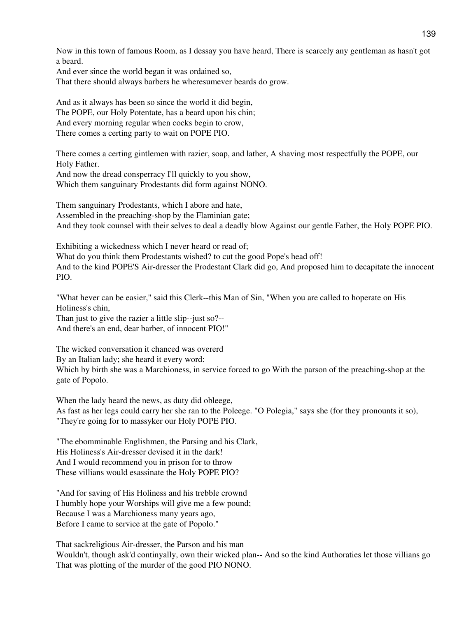Now in this town of famous Room, as I dessay you have heard, There is scarcely any gentleman as hasn't got a beard.

And ever since the world began it was ordained so,

That there should always barbers he wheresumever beards do grow.

And as it always has been so since the world it did begin, The POPE, our Holy Potentate, has a beard upon his chin; And every morning regular when cocks begin to crow, There comes a certing party to wait on POPE PIO.

There comes a certing gintlemen with razier, soap, and lather, A shaving most respectfully the POPE, our Holy Father.

And now the dread consperracy I'll quickly to you show, Which them sanguinary Prodestants did form against NONO.

Them sanguinary Prodestants, which I abore and hate, Assembled in the preaching-shop by the Flaminian gate; And they took counsel with their selves to deal a deadly blow Against our gentle Father, the Holy POPE PIO.

Exhibiting a wickedness which I never heard or read of;

What do you think them Prodestants wished? to cut the good Pope's head off! And to the kind POPE'S Air-dresser the Prodestant Clark did go, And proposed him to decapitate the innocent PIO.

"What hever can be easier," said this Clerk--this Man of Sin, "When you are called to hoperate on His Holiness's chin,

Than just to give the razier a little slip--just so?-- And there's an end, dear barber, of innocent PIO!"

The wicked conversation it chanced was overerd

By an Italian lady; she heard it every word:

Which by birth she was a Marchioness, in service forced to go With the parson of the preaching-shop at the gate of Popolo.

When the lady heard the news, as duty did obleege, As fast as her legs could carry her she ran to the Poleege. "O Polegia," says she (for they pronounts it so), "They're going for to massyker our Holy POPE PIO.

"The ebomminable Englishmen, the Parsing and his Clark, His Holiness's Air-dresser devised it in the dark! And I would recommend you in prison for to throw These villians would esassinate the Holy POPE PIO?

"And for saving of His Holiness and his trebble crownd I humbly hope your Worships will give me a few pound; Because I was a Marchioness many years ago, Before I came to service at the gate of Popolo."

That sackreligious Air-dresser, the Parson and his man Wouldn't, though ask'd continyally, own their wicked plan-- And so the kind Authoraties let those villians go That was plotting of the murder of the good PIO NONO.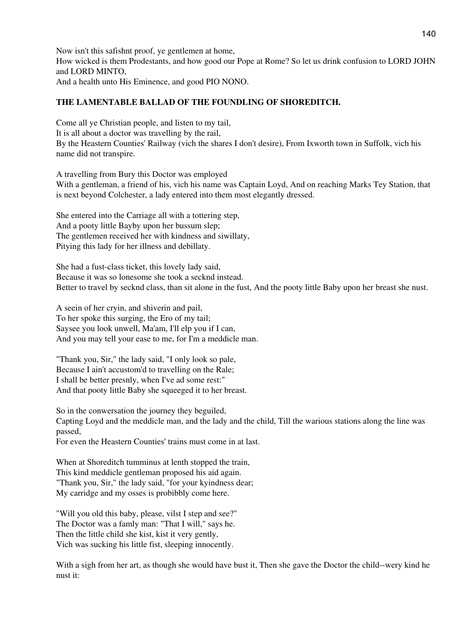Now isn't this safishnt proof, ye gentlemen at home, How wicked is them Prodestants, and how good our Pope at Rome? So let us drink confusion to LORD JOHN and LORD MINTO, And a health unto His Eminence, and good PIO NONO.

# **THE LAMENTABLE BALLAD OF THE FOUNDLING OF SHOREDITCH.**

Come all ye Christian people, and listen to my tail, It is all about a doctor was travelling by the rail, By the Heastern Counties' Railway (vich the shares I don't desire), From Ixworth town in Suffolk, vich his name did not transpire.

A travelling from Bury this Doctor was employed With a gentleman, a friend of his, vich his name was Captain Loyd, And on reaching Marks Tey Station, that is next beyond Colchester, a lady entered into them most elegantly dressed.

She entered into the Carriage all with a tottering step, And a pooty little Bayby upon her bussum slep; The gentlemen received her with kindness and siwillaty, Pitying this lady for her illness and debillaty.

She had a fust-class ticket, this lovely lady said, Because it was so lonesome she took a secknd instead. Better to travel by secknd class, than sit alone in the fust, And the pooty little Baby upon her breast she nust.

A seein of her cryin, and shiverin and pail, To her spoke this surging, the Ero of my tail; Saysee you look unwell, Ma'am, I'll elp you if I can, And you may tell your ease to me, for I'm a meddicle man.

"Thank you, Sir," the lady said, "I only look so pale, Because I ain't accustom'd to travelling on the Rale; I shall be better presnly, when I've ad some rest:" And that pooty little Baby she squeeged it to her breast.

So in the conwersation the journey they beguiled, Capting Loyd and the meddicle man, and the lady and the child, Till the warious stations along the line was passed,

For even the Heastern Counties' trains must come in at last.

When at Shoreditch tumminus at lenth stopped the train, This kind meddicle gentleman proposed his aid again. "Thank you, Sir," the lady said, "for your kyindness dear; My carridge and my osses is probibbly come here.

"Will you old this baby, please, vilst I step and see?" The Doctor was a famly man: "That I will," says he. Then the little child she kist, kist it very gently, Vich was sucking his little fist, sleeping innocently.

With a sigh from her art, as though she would have bust it, Then she gave the Doctor the child--wery kind he nust it: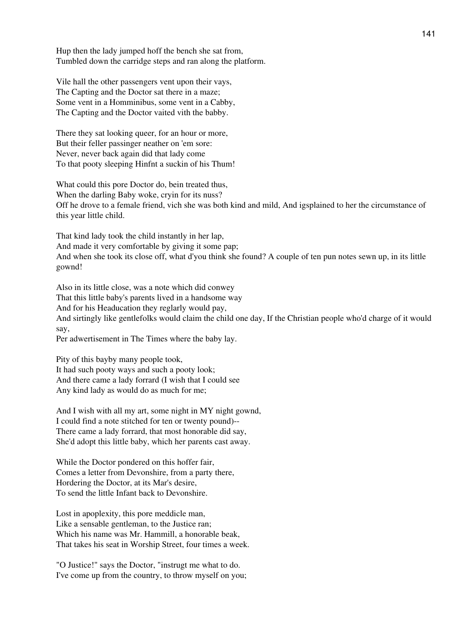Hup then the lady jumped hoff the bench she sat from, Tumbled down the carridge steps and ran along the platform.

Vile hall the other passengers vent upon their vays, The Capting and the Doctor sat there in a maze; Some vent in a Homminibus, some vent in a Cabby, The Capting and the Doctor vaited vith the babby.

There they sat looking queer, for an hour or more, But their feller passinger neather on 'em sore: Never, never back again did that lady come To that pooty sleeping Hinfnt a suckin of his Thum!

What could this pore Doctor do, bein treated thus, When the darling Baby woke, cryin for its nuss? Off he drove to a female friend, vich she was both kind and mild, And igsplained to her the circumstance of this year little child.

That kind lady took the child instantly in her lap, And made it very comfortable by giving it some pap; And when she took its close off, what d'you think she found? A couple of ten pun notes sewn up, in its little gownd!

Also in its little close, was a note which did conwey That this little baby's parents lived in a handsome way And for his Headucation they reglarly would pay, And sirtingly like gentlefolks would claim the child one day, If the Christian people who'd charge of it would say,

Per adwertisement in The Times where the baby lay.

Pity of this bayby many people took, It had such pooty ways and such a pooty look; And there came a lady forrard (I wish that I could see Any kind lady as would do as much for me;

And I wish with all my art, some night in MY night gownd, I could find a note stitched for ten or twenty pound)-- There came a lady forrard, that most honorable did say, She'd adopt this little baby, which her parents cast away.

While the Doctor pondered on this hoffer fair, Comes a letter from Devonshire, from a party there, Hordering the Doctor, at its Mar's desire, To send the little Infant back to Devonshire.

Lost in apoplexity, this pore meddicle man, Like a sensable gentleman, to the Justice ran; Which his name was Mr. Hammill, a honorable beak, That takes his seat in Worship Street, four times a week.

"O Justice!" says the Doctor, "instrugt me what to do. I've come up from the country, to throw myself on you;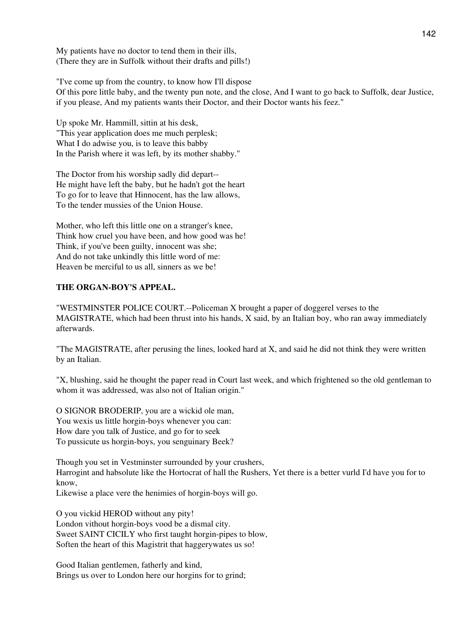My patients have no doctor to tend them in their ills, (There they are in Suffolk without their drafts and pills!)

"I've come up from the country, to know how I'll dispose

Of this pore little baby, and the twenty pun note, and the close, And I want to go back to Suffolk, dear Justice, if you please, And my patients wants their Doctor, and their Doctor wants his feez."

Up spoke Mr. Hammill, sittin at his desk, "This year application does me much perplesk; What I do adwise you, is to leave this babby In the Parish where it was left, by its mother shabby."

The Doctor from his worship sadly did depart-- He might have left the baby, but he hadn't got the heart To go for to leave that Hinnocent, has the law allows, To the tender mussies of the Union House.

Mother, who left this little one on a stranger's knee, Think how cruel you have been, and how good was he! Think, if you've been guilty, innocent was she; And do not take unkindly this little word of me: Heaven be merciful to us all, sinners as we be!

# **THE ORGAN-BOY'S APPEAL.**

"WESTMINSTER POLICE COURT.--Policeman X brought a paper of doggerel verses to the MAGISTRATE, which had been thrust into his hands, X said, by an Italian boy, who ran away immediately afterwards.

"The MAGISTRATE, after perusing the lines, looked hard at X, and said he did not think they were written by an Italian.

"X, blushing, said he thought the paper read in Court last week, and which frightened so the old gentleman to whom it was addressed, was also not of Italian origin."

O SIGNOR BRODERIP, you are a wickid ole man, You wexis us little horgin-boys whenever you can: How dare you talk of Justice, and go for to seek To pussicute us horgin-boys, you senguinary Beek?

Though you set in Vestminster surrounded by your crushers, Harrogint and habsolute like the Hortocrat of hall the Rushers, Yet there is a better vurld I'd have you for to know,

Likewise a place vere the henimies of horgin-boys will go.

O you vickid HEROD without any pity! London vithout horgin-boys vood be a dismal city. Sweet SAINT CICILY who first taught horgin-pipes to blow, Soften the heart of this Magistrit that haggerywates us so!

Good Italian gentlemen, fatherly and kind, Brings us over to London here our horgins for to grind;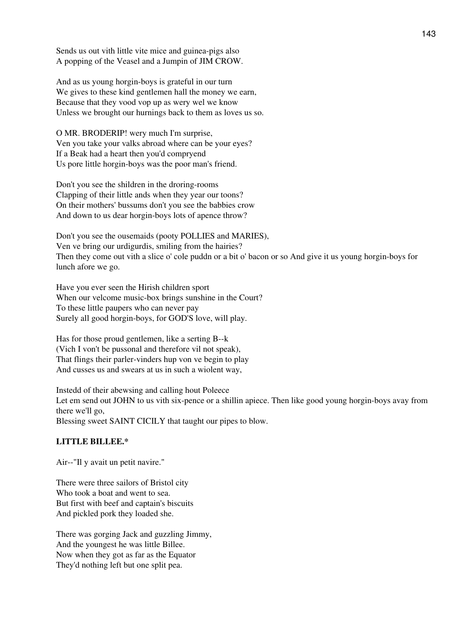Sends us out vith little vite mice and guinea-pigs also A popping of the Veasel and a Jumpin of JIM CROW.

And as us young horgin-boys is grateful in our turn We gives to these kind gentlemen hall the money we earn, Because that they vood vop up as wery wel we know Unless we brought our hurnings back to them as loves us so.

O MR. BRODERIP! wery much I'm surprise, Ven you take your valks abroad where can be your eyes? If a Beak had a heart then you'd compryend Us pore little horgin-boys was the poor man's friend.

Don't you see the shildren in the droring-rooms Clapping of their little ands when they year our toons? On their mothers' bussums don't you see the babbies crow And down to us dear horgin-boys lots of apence throw?

Don't you see the ousemaids (pooty POLLIES and MARIES), Ven ve bring our urdigurdis, smiling from the hairies? Then they come out vith a slice o' cole puddn or a bit o' bacon or so And give it us young horgin-boys for lunch afore we go.

Have you ever seen the Hirish children sport When our velcome music-box brings sunshine in the Court? To these little paupers who can never pay Surely all good horgin-boys, for GOD'S love, will play.

Has for those proud gentlemen, like a serting B--k (Vich I von't be pussonal and therefore vil not speak), That flings their parler-vinders hup von ve begin to play And cusses us and swears at us in such a wiolent way,

Instedd of their abewsing and calling hout Poleece Let em send out JOHN to us vith six-pence or a shillin apiece. Then like good young horgin-boys avay from there we'll go, Blessing sweet SAINT CICILY that taught our pipes to blow.

# **LITTLE BILLEE.\***

Air--"Il y avait un petit navire."

There were three sailors of Bristol city Who took a boat and went to sea. But first with beef and captain's biscuits And pickled pork they loaded she.

There was gorging Jack and guzzling Jimmy, And the youngest he was little Billee. Now when they got as far as the Equator They'd nothing left but one split pea.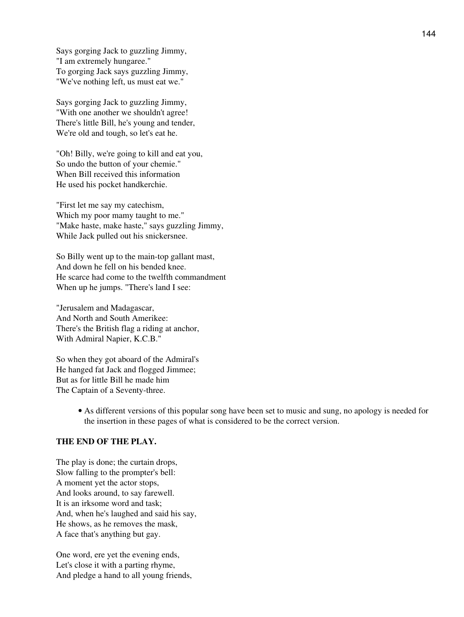Says gorging Jack to guzzling Jimmy, "I am extremely hungaree." To gorging Jack says guzzling Jimmy, "We've nothing left, us must eat we."

Says gorging Jack to guzzling Jimmy, "With one another we shouldn't agree! There's little Bill, he's young and tender, We're old and tough, so let's eat he.

"Oh! Billy, we're going to kill and eat you, So undo the button of your chemie." When Bill received this information He used his pocket handkerchie.

"First let me say my catechism, Which my poor mamy taught to me." "Make haste, make haste," says guzzling Jimmy, While Jack pulled out his snickersnee.

So Billy went up to the main-top gallant mast, And down he fell on his bended knee. He scarce had come to the twelfth commandment When up he jumps. "There's land I see:

"Jerusalem and Madagascar, And North and South Amerikee: There's the British flag a riding at anchor, With Admiral Napier, K.C.B."

So when they got aboard of the Admiral's He hanged fat Jack and flogged Jimmee; But as for little Bill he made him The Captain of a Seventy-three.

> • As different versions of this popular song have been set to music and sung, no apology is needed for the insertion in these pages of what is considered to be the correct version.

# **THE END OF THE PLAY.**

The play is done; the curtain drops, Slow falling to the prompter's bell: A moment yet the actor stops, And looks around, to say farewell. It is an irksome word and task; And, when he's laughed and said his say, He shows, as he removes the mask, A face that's anything but gay.

One word, ere yet the evening ends, Let's close it with a parting rhyme, And pledge a hand to all young friends,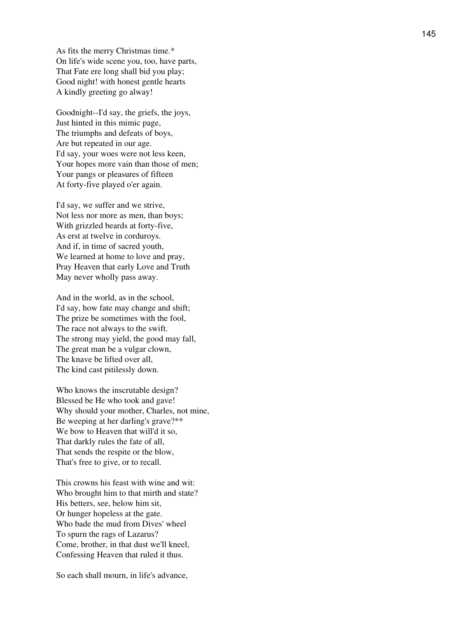As fits the merry Christmas time.\* On life's wide scene you, too, have parts, That Fate ere long shall bid you play; Good night! with honest gentle hearts A kindly greeting go alway!

Goodnight--I'd say, the griefs, the joys, Just hinted in this mimic page, The triumphs and defeats of boys, Are but repeated in our age. I'd say, your woes were not less keen, Your hopes more vain than those of men; Your pangs or pleasures of fifteen At forty-five played o'er again.

I'd say, we suffer and we strive, Not less nor more as men, than boys; With grizzled beards at forty-five, As erst at twelve in corduroys. And if, in time of sacred youth, We learned at home to love and pray, Pray Heaven that early Love and Truth May never wholly pass away.

And in the world, as in the school, I'd say, how fate may change and shift; The prize be sometimes with the fool, The race not always to the swift. The strong may yield, the good may fall, The great man be a vulgar clown, The knave be lifted over all, The kind cast pitilessly down.

Who knows the inscrutable design? Blessed be He who took and gave! Why should your mother, Charles, not mine, Be weeping at her darling's grave?\*\* We bow to Heaven that will'd it so, That darkly rules the fate of all, That sends the respite or the blow, That's free to give, or to recall.

This crowns his feast with wine and wit: Who brought him to that mirth and state? His betters, see, below him sit, Or hunger hopeless at the gate. Who bade the mud from Dives' wheel To spurn the rags of Lazarus? Come, brother, in that dust we'll kneel, Confessing Heaven that ruled it thus.

So each shall mourn, in life's advance,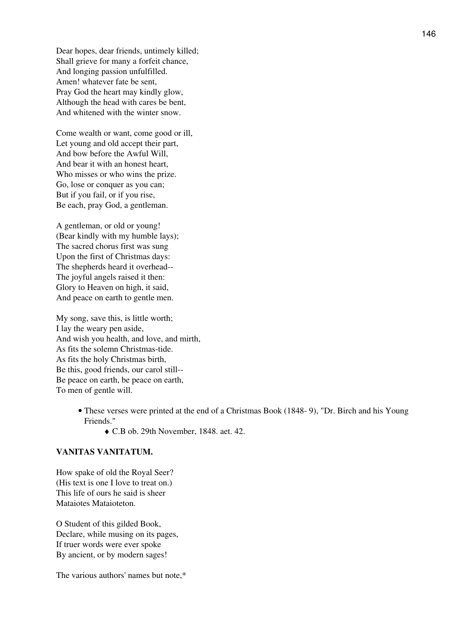Dear hopes, dear friends, untimely killed; Shall grieve for many a forfeit chance, And longing passion unfulfilled. Amen! whatever fate be sent, Pray God the heart may kindly glow, Although the head with cares be bent, And whitened with the winter snow.

Come wealth or want, come good or ill, Let young and old accept their part, And bow before the Awful Will, And bear it with an honest heart, Who misses or who wins the prize. Go, lose or conquer as you can; But if you fail, or if you rise, Be each, pray God, a gentleman.

A gentleman, or old or young! (Bear kindly with my humble lays); The sacred chorus first was sung Upon the first of Christmas days: The shepherds heard it overhead-- The joyful angels raised it then: Glory to Heaven on high, it said, And peace on earth to gentle men.

My song, save this, is little worth; I lay the weary pen aside, And wish you health, and love, and mirth, As fits the solemn Christmas-tide. As fits the holy Christmas birth, Be this, good friends, our carol still-- Be peace on earth, be peace on earth, To men of gentle will.

- These verses were printed at the end of a Christmas Book (1848- 9), "Dr. Birch and his Young Friends."
	- ♦ C.B ob. 29th November, 1848. aet. 42.

## **VANITAS VANITATUM.**

How spake of old the Royal Seer? (His text is one I love to treat on.) This life of ours he said is sheer Mataiotes Mataioteton.

O Student of this gilded Book, Declare, while musing on its pages, If truer words were ever spoke By ancient, or by modern sages!

The various authors' names but note,\*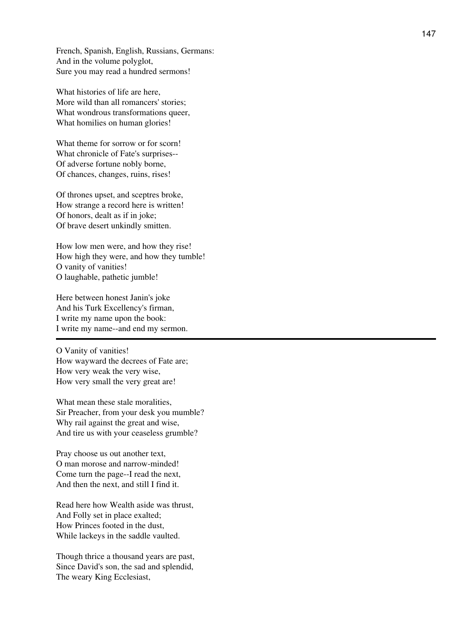French, Spanish, English, Russians, Germans: And in the volume polyglot, Sure you may read a hundred sermons!

What histories of life are here, More wild than all romancers' stories; What wondrous transformations queer, What homilies on human glories!

What theme for sorrow or for scorn! What chronicle of Fate's surprises-- Of adverse fortune nobly borne, Of chances, changes, ruins, rises!

Of thrones upset, and sceptres broke, How strange a record here is written! Of honors, dealt as if in joke; Of brave desert unkindly smitten.

How low men were, and how they rise! How high they were, and how they tumble! O vanity of vanities! O laughable, pathetic jumble!

Here between honest Janin's joke And his Turk Excellency's firman, I write my name upon the book: I write my name--and end my sermon.

O Vanity of vanities! How wayward the decrees of Fate are; How very weak the very wise, How very small the very great are!

What mean these stale moralities, Sir Preacher, from your desk you mumble? Why rail against the great and wise, And tire us with your ceaseless grumble?

Pray choose us out another text, O man morose and narrow-minded! Come turn the page--I read the next, And then the next, and still I find it.

Read here how Wealth aside was thrust, And Folly set in place exalted; How Princes footed in the dust, While lackeys in the saddle vaulted.

Though thrice a thousand years are past, Since David's son, the sad and splendid, The weary King Ecclesiast,